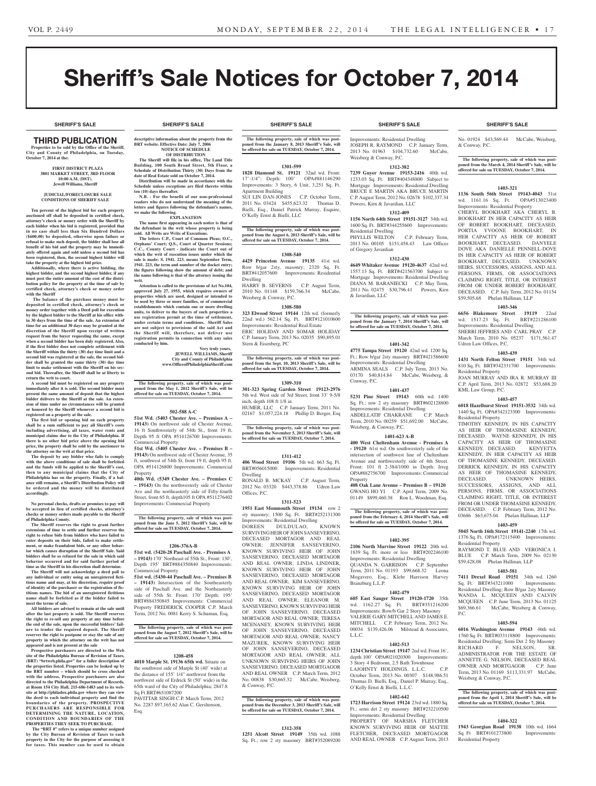# Sheriff's Sale Notices for October 7, 2014

**SHERIFF'S SALE SHERIFF'S SALE SHERIFF'S SALE SHERIFF'S SALE SHERIFF'S SALE**

# **SHERIFF'S SALE SHERIFF'S SALE SHERIFF'S SALE SHERIFF'S SALE SHERIFF'S SALE**

# **THIRD PUBLICATION**

**Properties to be sold by the Office of the Sheriff, City and County of Philadelphia, on Tuesday, October 7, 2014 at the:** 

#### **First District Plaza 3801 Market Street, 3rd Floor 10:00 A.M. (DST). Jewell Williams, Sheriff**

#### **JUDICIAL/FORECLOSURE SALE CONDITIONS OF SHERIFF SALE**

**Ten percent of the highest bid for each property auctioned off shall be deposited in certified check, attorney's check or money order with the Sheriff by each bidder when his bid is registered, provided that in no case shall less than Six Hundred Dollars (\$600.00) be deposited, otherwise upon failure or refusal to make such deposit, the bidder shall lose all benefit of his bid and the property may be immediately offered again and sold unless a second bid has been registered, then, the second highest bidder will take the property at the highest bid price.**

**Additionally, where there is active bidding, the highest bidder, and the second highest bidder, if any must post the entire amount of the cost of the distribution policy for the property at the time of sale by certified check, attorney's check or money order with the Sheriff**

 **The balance of the purchase money must be deposited in certified check, attorney's check or money order together with a Deed poll for execution by the highest bidder to the Sheriff at his office within 30 days from the time of the sale. An extension of time for an additional 30 days may be granted at the discretion of the Sheriff upon receipt of written request from the buyer requesting the same, except when a second bidder has been duly registered. Also, if the first bidder does not complete settlement with the Sheriff within the thirty (30) day time limit and a second bid was registered at the sale, the second bidder shall be granted the same thirty (30) day time limit to make settlement with the Sheriff on his second bid. Thereafter, the Sheriff shall be at liberty to return the writ to court.**

**A second bid must be registered on any property immediately after it is sold. The second bidder must present the same amount of deposit that the highest bidder delivers to the Sheriff at the sale. An exten-sion of time under no circumstances will be granted or honored by the Sheriff whenever a second bid is registered on a property at the sale.** 

**The first bid or opening bid on each property shall be a sum sufficient to pay all Sheriff's costs including advertising, all taxes, water rents and municipal claims due to the City of Philadelphia. If there is no other bid price above the opening bid price, the property shall be sold by the auctioneer to** 

**the attorney on the writ at that price. The deposit by any bidder who fails to comply with the above conditions of sale shall be forfeited and the funds will be applied to the Sheriff's cost, then to any municipal claims that the City of Philadelphia has on the property. Finally, if a bal-ance still remains, a Sheriff's Distribution Policy will be ordered and the money will be distributed accordingly.**

**No personal checks, drafts or promises to pay will be accepted in lieu of certified checks, attorney's checks or money orders made payable to the Sheriff of Philadelphia County.**

**The Sheriff reserves the right to grant further extensions of time to settle and further reserves the right to refuse bids from bidders who have failed to enter deposits on their bids, failed to make settlement, or make fraudulent bids, or any other behavior which causes disruption of the Sheriff Sale. Said bidders shall be so refused for the sale in which said behavior occurred and for said further period of time as the Sheriff in his discretion shall determine.**

**The Sheriff will not acknowledge a deed poll to any individual or entity using an unregistered fictitious name and may, at his discretion, require proof of identity of the purchaser or the registration of fictitious names. The bid of an unregistered fictitious name shall be forfeited as if the bidder failed to meet the terms of sale.**

**All bidders are advised to remain at the sale until after the last property is sold. The Sheriff reserves the right to re-sell any property at any time before the end of the sale, upon the successful bidders' failure to tender the required deposit. The Sheriff reserves the right to postpone or stay the sale of any property in which the attorney on the writ has not appeared and is not present at the sale**

**Prospective purchasers are directed to the Web site of the Philadelphia Bureau of Revision of Taxes, (BRT) "brtweb.phila.gov" for a fuller description of the properties listed. Properties can be looked up by the BRT number – which should be cross checked with the address. Prospective purchasers are also directed to the Philadelphia Department of Records, at Room 154 City Hall, 215-686-1483 and to its web-site at http://philadox.phila.gov where they can view the deed to each individual property and find the boundaries of the property. PROSPECTIVE PURCHASERS ARE RESPONSIBLE FOR DETERMINING THE NATURE, LOCATION, CONDITION AND BOUNDARIES OF THE PROPERTIES THEY SEEK TO PURCHASE.**

 **The "BRT #" refers to a unique number assigned by the City Bureau of Revision of Taxes to each property in the City for the purpose of assessing it for taxes. This number can be used to obtain** 

**descriptive information about the property from the BRT** website. Effective Date: July 7, 20 **NOTICE OF SCHEDULE OF DISTRIBUTION**

**The Sheriff will file in his office, The Land Title Building, 100 South Broad Street, 5th Floor, a Schedule of Distribution Thirty (30) Days from the date of Real Estate sold on October 7, 2014. Distribution will be made in accordance with the** 

**Schedule unless exceptions are filed thereto within ten (10) days thereafter. N.B.** - For the benefit of our non-profession **readers who do not understand the meaning of the** 

**letters and figures following the defendant's names, we make the following. EXPLANATION**

**The name first appearing in each notice is that of the defendant in the writ whose property is being sold. All Writs are Writs of Executions. The letters C.P., Court of Common Pleas; O.C.,** 

**Orphans' Court; Q.S., Court of Quarter Sessions; C.C., County Court - indicate the Court out of which the writ of execution issues under which the sale is made: S. 1941. 223. means September Term, 1941. 223, the term and number of the docket entry; the figures following show the amount of debt; and the name following is that of the attorney issuing the writ.**

**Attention is called to the provisions of Act No.104, approved July 27, 1955, which requires owners of**  perties which are used, designed or intended to **be used by three or more families, or of commercial establishments which contain one or more dwelling units, to deliver to the buyers of such properties a use registration permit at the time of settlement, under certain terms and conditions. Sheriff Sales are not subject to provisions of the said Act and the Sheriff will, therefore, not deliver use registration permits in connection with any sales conducted by him.**

> **Very truly yours, JEWELL WILLIAMS, Sheriff City and County of Philadelphia www.OfficeofPhiladelphiaSheriff.com**

**The following property, sale of which was postponed from the May 1, 2012 Sheriff's Sale, will be offered for sale on TUESDAY, October 7, 2014.**

# **502-588 A-C**

**51st Wd. (5403 Chester Ave. – Premises A – 19143)** On northwest side of Chester Avenue, 16 ft Southwesterly of 54th St., front 19 ft, Depth 95 ft OPA #514126700 Improvements: Commercial Property

**51st Wd. (5405 Chester Ave. – Premises B – 19143)** On northwest side of Chester Avenue, 35 ft, southwest of 54th St, front 19 ft, depth 95 ft. OPA #514126800 Improvements: Commercial Property

**40th Wd. (5349 Chester Ave. – Premises C – 19143)** On the northwesterly side of Chester Ave and the northeasterly side of Fifty-fourth Street, front 65 ft, depth105 ft OPA #511276402 Improvements: Commercial Property

**The following property, sale of which was postponed from the June 5, 2012 Sheriff's Sale, will be offered for sale on TUESDAY, October 7, 2014.**

# **1206-376A-B**

**51st wd. (5420-28 Paschall Ave. - Premises A – 19143)** 170' Northeast of 55th St., Front: 130', Depth 195' BRT#884350840 Improvements: Commercial Property

**51st wd. (5430-44 Paschall Ave. – Premises B – 19143)** Intersection of the Southeasterly side of Paschall Ave. and the Northeasterly side of 55th St. Front: 170' Depth: 195' BRT#884350845 Improvements: Commercial Property FREDERICK COOPER C.P. March Term, 2012 No. 0081 Kerry S. Schuman, Esq.

**The following property, sale of which was post-poned from the August 7, 2012 Sheriff's Sale, will be offered for sale on TUESDAY, October 7, 2014.**

# **1208-458**

**4010 Marple St. 19136 65th wd.** Situate on the southwest side of Marple St (40' wide) at the distance of 155' 1/4" northwest from the northwest side of Erdrick St (50' wide) in the 65th ward of the City of Philadelphia; 2847.8 Sq Ft BRT#651087200 PAVITTAR SINGH C.P. March Term, 2012

No. 2287 \$97,165.62 Alan C. Gershenson, Esq.

**The following property, sale of which was postponed from the January 8, 2013 Sheriff's Sale, will be offered for sale on TUESDAY, October 7, 2014.**

# **1301-599**

**1828 Diamond St. 19121** 32nd wd. Front: 17'-1/4"; Depth: 100' OPA#881146290 Improvements: 3 Story, 6 Unit, 3,251 Sq. Ft. Apartment Building

SUI LIN DAN-JONES C.P. October Term, 2011 No. 03424 \$455,623.32 Thomas D. Bielli, Esq., Daniel Patrick Murray, Esquire, O'Kelly Ernst & Bielli, LLC

**The following property, sale of which was post-poned from the August 6, 2013 Sheriff's Sale, will be offered for sale on TUESDAY, October 7, 2014.**

#### **1308-540**

**4429 Princeton Avenue 19135** 41st wd. Row b/gar 2sty, masonry; 2320 Sq. Ft. BRT#412057600 Improvements: Residential Dwelling HARRY B. SEVERNS C.P. August Term,

2010 No. 01148 \$159,766.34 McCabe, Weisberg & Conway, P.C. **1308-580**

**323 Elwood Street 19144** 12th wd. (formerly 22nd wd.) 562.14 Sq. Ft. BRT#121010600 Improvements: Residential Real Estate ERIC HOLIDAY AND SOMAR HOLIDAY C.P. January Term, 2013 No. 02035 \$90,895.01 Stern & Eisenberg, PC

**The following property, sale of which was post-poned from the Sept. 10, 2013 Sheriff's Sale, will be offered for sale on TUESDAY, October 7, 2014.**

#### **1309-310**

**301-323 Spring Garden Street 19123-2976**  5th wd. West side of 3rd Street, front 33' 9-5/8 inch, depth 108 ft 1/8 in HUMER, LLC C.P. January Term, 2011 No.

02167 \$1,057,224.18 Phillip D. Berger, Esq

**The following property, sale of which was post-poned from the November 5, 2013 Sheriff's Sale, will be offered for sale on TUESDAY, October 7, 2014.**

#### **1311-412**

**406 Wood Street 19106** 5th wd. 663 Sq. Ft. BRT#056015000 Improvements: Residential Dwelling

RONALD B. MCKAY C.P. August Term, 2012 No. 03320 \$443,378.86 Udren Law Offices, P.C.

**1311-523 1951 East Monmouth Street 19134** row 2 sty masonry; 1500 Sq. Ft. BRT#252131300 Improvements: Residential Dwelling<br>DOREEN DULDULAO KNOWN DOREEN DULDULAO, SURVIVING HEIR OF JOHN SANSEVERINO, DECEASED MORTAGOR AND REAL OWNER; JENNIFER SANSEVERINO, KNOWN SURVIVING HEIR OF JOHN SANSEVERINO, DECEASED MORTAGOR AND REAL OWNER; LINDA LINDNER, KNOWN SURVIVING HEIR OF JOHN SANSEVERINO, DECEASED MORTAGOR AND REAL OWNER; KIM SANSEVERINO, KNOWN SURVIVING HEIR OF JOHN SANSEVERINO, DECEASED MORTAGOR AND REAL OWNER; ELEANOR M. SANSEVERINO, KNOWN SURVIVING HEIR OF JOHN SANSEVERINO, DECEASED MORTAGOR AND REAL OWNER; TERESA MCENANEY, KNOWN SURVIVING HEIR OF JOHN SANSEVERINO, DECEASED MORTAGOR AND REAL OWNER; NANCY MAZUREK, KNOWN SURVIVING HEIR OF JOHN SANSEVERINO, DECEASED<br>MORTAGOR AND REAL OWNER; ALL 1ORTAGOR UNKNOWN SURVIVING HEIRS OF JOHN SANSEVERINO, DECEASED MORTGAGOR AND REAL OWNER C.P. March Term, 2012 No. 00838 \$30,665.32 McCabe, Weisberg,

**The following property, sale of which was postponed from the December 3, 2013 Sheriff's Sale, will be offered for sale on TUESDAY, October 7, 2014.**

& Conway, P.C.

# **1312-358**

**1251 Alcott Street 19149** 35th wd. 1088 Sq. Ft.; row 2 sty masonry BRT#352089200

Improvements: Residential Dwelling JOSEPH R. RAYMOND C.P. January Term, 2013 No. 01963 \$104,732.60 McCabe, Weisberg & Conway, P.C.

# **1312-382**

**7239 Guyer Avenue 19153-2416** 40th wd. 1233.03 Sq. Ft. BRT#404348800 Subject to Mortgage Improvements: Residential Dwelling BRUCE E MARTIN AKA BRUCE MARTIN C.P. August Term, 2012 No. 02678 \$102,337.34 Powers, Kirn & Javardian, LLC

# **1312-409**

**1156 North 64th Street 19151-3127** 34th wd. 1600 Sq. Ft. BRT#344255600 Improvements: Residential Dwelling PHYLLIS WELTON C.P. February Term, 2013 No. 00105 \$151,458.43 Law Offices of Gregory Javardian

# **1312-430**

**4649 Whitaker Avenue 19120-4637** 42nd wd. 1557.13 Sq. Ft. BRT#421563700 Subject to Mortgage Improvements: Residential Dwelling DIANA M. BARANIECKI C.P. May Term, 2011 No. 02475 \$30,796.41 Powers, Kirn & Javardian, LLC

**The following property, sale of which was postponed from the January 7, 2014 Sheriff's Sale, will be offered for sale on TUESDAY, October 7, 2014.**

# **1401-342**

**4775 Tampa Street 19120** 42nd wd. 1200 Sq. Ft.; Row b/gar 2sty masonry BRT#421586600 Improvements: Residential Dwelling ARMINA SEALS C.P. July Term, 2013 No. 03170 \$40,814.84 McCabe, Weisberg, & Conway, P.C.

# **1401-437**

**5231 Pine Street 19143** 60th wd. 1400 Sq. Ft.; row 2 sty masonry BRT#602128800 Improvements: Residential Dwelling ABDELLATIF CHAKRANE C.P. March Term, 2010 No. 00259 \$51,692.00 McCabe, Weisberg, & Conway, P.C.

# **1401-623 A-B**

**400 West Cheltenham Avenue - Premises A - 19120** 61st wd. On southwesterly side of the intersection of southwest line of Cheltenham Avenue and northwesterly side of 4th Street. Front: 101 ft 2-384/1000 in Depth: Irreg OPA#882756700 Improvements: Commercial Property **408 Oak Lane Avenue – Premises B – 19120**

GWANG HO YI C.P. April Term, 2009 No. 01149 \$899,460.38 Ron L. Woodman, Esq.

**The following property, sale of which was post-poned from the February 4, 2014 Sheriff's Sale, will be offered for sale on TUESDAY, October 7, 2014.**

# **1402-395**

**2106 North Marvine Street 19122** 20th wd. 1839 Sq. Ft. more or less BRT#202246100 Improvements: Residential Dwelling QUANDA N. GARRISON C.P. September Term, 2011 No. 01193 \$99,668.32 Leona Mogavero, Esq., Klehr Harrison Harvey Branzburg L.L.P.

# **1402-479**

**605 East Sanger Street 19120-1720** 35th wd. 1162.27 Sq. Ft. BRT#351216200 Improvements: Row/b Gar 2 Story Masonry VALERIE GARY-MITCHELL AND JAMES E. MITCHELL C.P. February Term, 2012 No. 00034 \$139,426.06 Milstead & Associates, L.L.C.

# **1402-513**

**1234 Christian Street 19147** 2nd wd. Front 16', depth 100' OPA#021020300 Improvements: 3 Story 4 Bedroom, 2.5 Bath Townhouse

LAJOHNTY HOLDINGS, L.L.C. C.P. October Term, 2013 No. 00307 \$148,986.51 Thomas D. Bielli, Esq., Daniel P. Murray, Esq., O'Kelly Ernst & Bielli, L.L.C.

# **1402-642**

**1723 Harrison Street 19124** 23rd wd. 1880 Sq. Ft.; semi det 2 sty masonry BRT#232210500 Improvements: Residential Dwelling PROPERTY OF MARSHA FLETCHER KNOWN SURVIVING HEIR OF MATTIE FLETCHER, DECEASED MORTGAGOR AND REAL OWNER C.P. August Term, 2013

No. 01924 \$43,569.44 McCabe, Weisberg, & Conway, P.C.

#### **The following property, sale of which was postponed from the March 4, 2014 Sheriff's Sale, will be offered for sale on TUESDAY, October 7, 2014.**

# **1403-321**

**1136 South 56th Street 19143-4043** 51st wd. 1161.16 Sq. Ft. OPA#513023400 Improvements: Residential Property CHERYL BOOKHART AKA CHERYL B. BOOKHART IN HER CAPACITY AS HEIR OF ROBERT BOOKHART, DECEASED, PORTIA YVOONE BOOKHART, IN HER CAPACITY AS HEIR OF ROBERT BOOKHART, DECEASED. DANYELE DOVE AKA DANIELLE PENNELL-DOVE IN HER CAPACITY AS HEIR OF ROBERT BOOKHART, DECEASED. UNKNOWN HEIRS, SUCCESSORS, ASSIGNS, AND ALL PERSONS, FIRMS, OR ASSOCIATIONS CLAIMING RIGHT, TITLE, OR INTEREST FROM OR UNDER ROBERT BOOKHART, DECEASED. C.P. July Term, 2012 No. 01154 \$59,505.68 Phelan Hallinan, LLP

# **1403-346**

**6656 Blakemore Street 19119** 22nd wd. 1517.23 Sq. Ft. BRT#221286100 Improvements: Residential Dwelling SHERRI JEFFRIES AND CARL PRAY C.P. March Term, 2010 No. 05237 \$171,561.47 Udren Law Offices, P.C.

**1431 North Felton Street 19151** 34th wd. 810 Sq. Ft. BRT#342331700 Improvements:

JOAN MURRAY AND IRA R. MURRAY III C.P. April Term, 2013 No. 02872 \$53,688.20

**1403-457 6018 Hazelhurst Street 19151-3532** 34th wd. 1440 Sq. Ft. OPA#342123300 Improvements:

TIMOTHY KENNEDY, IN HIS CAPACITY AS HEIR OF THOMASINE KENNEDY, DECEASED. WAYNE KENNEDY, IN HIS CAPACITY AS HEIR OF THOMASINE KENNEDY, DECEASED. KENYETTA KENNEDY, IN HER CAPACITY AS HEIR OF THOMASINE KENNEDY, DECEASED. DERRICK KENNEDY, IN HIS CAPACITY AS HEIR OF THOMASINE KENNEDY, DECEASED. UNKNOWN HEIRS, SUCCESSORS, ASSIGNS, AND ALL PERSONS, FIRMS, OR ASSOCIATIONS CLAIMING RIGHT, TITLE, OR INTEREST FROM OR UNDER THOMASINE KENNEDY, DECEASED. C.P. February Term, 2012 No. 03686 \$63,675.04 Phelan Hallinan, LLP **1403-459 5045 North 16th Street 19141-2240** 17th wd. 1376 Sq. Ft. OPA#172115400 Improvements:

RAYMOND T. BLUE AND VERONICA I. BLUE C.P. March Term, 2009 No. 02130 \$59,428.08 Phelan Hallinan, LLP

**1403-581 7411 Drexel Road 19151** 34th wd. 1260 Sq. Ft. BRT#343211000 Improvements: Residential Dwelling; Row B/gar 2sty Masonry WANDA L. MCQUEEN AND CALVIN MCQUEEN C.P. June Term, 2013 No. 01125 \$69,366.61 McCabe, Weisberg & Conway,

**1403-594 6016 Washington Avenue 19143** 46th wd. 1760 Sq. Ft. BRT#033118800 Improvements: Residential Dwelling; Semi Det 2 Sty Masonry RICHARD F. NELSON, SR. ADMINISTRATOR FOR THE ESTATE OF ANNETTE G. NELSON, DECEASED REAL OWNER AND MORTGAGOR C.P. June Term, 2013 No. 01169 \$113,331.97 McCabe,

**The following property, sale of which was postponed from the April 1, 2014 Sheriff's Sale, will be offered for sale on TUESDAY, October 7, 2014.**

**1404-322 1943 Georgian Road 19138** 10th wd. 1664 Sq Ft BRT#101273800 Improvements:

Weisberg & Conway, P.C.

Residential Property

# **1403-439**

Residential Property

KML Law Group, P.C.

Residential Property

Residential Property

P.C.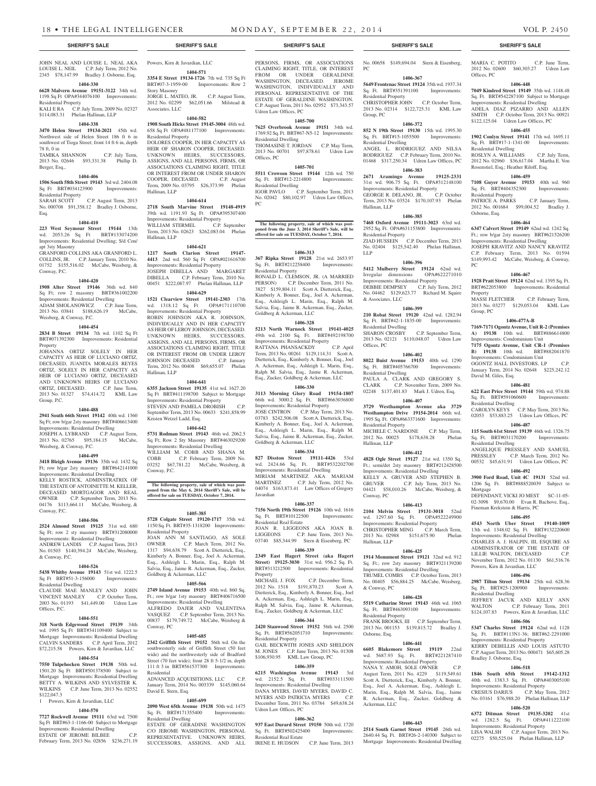JOHN NEAL AND LOUISE L. NEAL AKA LOUISE L. NEIL C.P. July Term, 2012 No. 2345 \$78,147.99 Bradley J. Osborne, Esq.

# **1404-330**

**6628 Malvern Avenue 19151-3122** 34th wd. 1198 Sq Ft OPA#344076100 Improvements: Residential Property

KALI E RA C.P. July Term, 2009 No. 02327 \$114,083.31 Phelan Hallinan, LLP

#### **1404-338**

**3470 Helen Street 19134-2021** 45th wd. Northwest side of Helen Street 186 ft 6 in southwest of Tioga Street; front 14 ft 6 in, depth 78 ft, 0 in TAMIKA SHANNON C.P. July Term,

2013 No. 02646 \$93,331.38 Phillip D. Berger, Esq.,

#### **1404-406**

**1506 South 58th Street 19143** 3rd wd. 2404.08 Sq Ft BRT#034123900 Improvements: Residential Property SARAH SCOTT C.P. August Term, 2013 No. 000708 \$91,358.12 Bradley J. Osborne,

Esq.

# **1404-410**

**223 West Seymour Street 19144** 13th wd. 2053.26 Sq Ft BRT#133074200 Improvements: Residential Dwelling; S/d Con/ apt 3sty Masonry GRANFORD COLLINS AKA GRANFORD L. COLLINS, JR. C.P. January Term, 2010 No.

01752 \$155,516.02 McCabe, Weisberg, & Conway, P.C. **1404-420**

# **1908 Alter Street 19146** 36th wd. 840

Sq Ft; row 2 masonry BRT#361002200 Improvements: Residential Dwelling ADAM SMOLANOWICZ C.P. June Term,

2013 No. 03841 \$188,626.19 McCabe, Weisberg, & Conway, P.C.

# **1404-454**

**2834 B Street 19134** 7th wd. 1102 Sq Ft BRT#071392300 Improvements: Residential **Property** 

JOHANNA ORTIZ SOLELY IN HER CAPACITY AS HEIR OF LUCIANO ORTIZ, DECEASED, JUANITA MORALES REYES ORTIZ, SOLELY IN HER CAPACITY AS HEIR OF LUCIANO ORTIZ, DECEASED AND UNKNOWN HEIRS OF LUCIANO ORTIZ, DECEASED. C.P. June Term, 2013 No. 01327 \$74,414.72 KML Law Group, P.C.

# **1404-488**

**2941 South 66th Street 19142** 40th wd. 1360 Sq Ft; row b/gar 2sty masonry BRT#406613400 Improvements: Residential Dwelling JOSEPH A. LYBRAND C.P. August Term,

2013 No. 02765 \$95,184.15 McCabe, Weisberg, & Conway, P.C. **1404-499**

**3418 Bleigh Avenue 19136** 35th wd. 1432 Sq Ft; row b/gar 2sty masonry BRT#642141000 Improvements: Residential Dwelling KELLY ROSTICK, ADMINSTRATRIX OF THE ESTATE OF ANTOINETTE M. KELLER DECEASED MORTGAGOR AND REAL OWNER C.P. September Term, 2013 No. 04176 \$113,664.11 McCabe, Weisberg, & Conway, P.C.

# **1404-506**

**2524 Almond Street 19125** 31st wd. 680 Sq Ft; row 2 sty masonry BRT#312080000 Improvements: Residential Dwelling ANDREW LANDIS C.P. August Term, 2013 No. 01503 \$140,394.24 McCabe, Weisberg, & Conway, P.C.

# **1404-526**

**5438 Whitby Avenue 19143** 51st wd. 1222.5 Sq Ft BRT#51-3-156000 Improvements: Residential Dwelling CLAUDIE MAE MANLEY AND JOHN VINCENT MANLEY C.P. October Term, 2003 No. 01193 \$41,449.00 Udren Law Offices, P.C.

# **1404-551**

**318 North Edgewood Street 19139** 34th wd. 1995 Sq Ft BRT#341109400 Subject to Mortgage Improvements: Residential Dwelling CALVIN SANDERS C.P. April Term, 2012 \$72,215.58 Powers, Kirn & Javardian, LLC

# **1404-554**

**7550 Tulpehocken Street 19138** 50th wd. 1501.20 Sq Ft BRT#501378500 Subject to Mortgage Improvements: Residential Dwelling BETTY A. WILKINS AND SYLVESTER K. WILKINS C.P. June Term, 2013 No. 02552 \$122,047.3

# 1 Powers, Kirn & Javardian, LLC

**1404-570 7727 Rockwell Avenue 19111** 63rd wd. 7500 Sq Ft BRT#63-1-1166-00 Subject to Mortgage Improvements: Residential Dwelling ESTATE OF JEROME BILBEE C.P. February Term, 2013 No. 02856 \$236,271.19

Powers, Kirn & Javardian, LLC **1404-571**

# **3354 E Street 19134-1726** 7th wd. 735 Sq Ft BRT#07-3-1959-00 Improvements: Row 2 Story Masonry JORGE L. MATEO, JR. C.P. August Term,

2012 No. 02299 \$62,051.66 Milstead & Associates, LLC **1404-582**

# **1908 South Hicks Street 19145-3004** 48th wd.

658 Sq Ft OPA#481177100 Improvements: Residential Property DOLORES COOPER, IN HER CAPACITY AS HEIR OF SHARON COOPER, DECEASED. UNKNOWN HEIRS, SUCCESSORS, ASSIGNS, AND ALL PERSONS, FIRMS, OR ASSOCIATIONS CLAIMING RIGHT, TITLE OR INTEREST FROM OR UNDER SHARON COOPER, DECEASED. C.P. August Term, 2009 No. 03795 \$26,373.99 Phelan Hallinan, LLP

# **1404-614**

**2718 South Marvine Street 19148-4919**  39th wd. 1191.93 Sq Ft OPA#395307400 Improvements: Residential Property<br>
WILLIAM STERMEL C.P. September WILLIAM STERMEL Term, 2013 No. 02623 \$262,083.04 Phelan Hallinan, LLP

# **1404-621**

**1217 South Clarion Street 19147- 4413** 2nd wd. 560 Sq Ft OPA#021616700 Improvements: Residential Property JOSEPH DIBELLA AND MARGARET DIBELLA C.P. February Term, 2010 No. 00451 \$222,087.97 Phelan Hallinan, LLP

# **1404-629**

**1521 Clearview Street 19141-2303** 17th wd. 1318.12 Sq Ft OPA#171110700 Improvements: Residential Property ROBIN JOHNSON AKA R. JOHNSON, INDIVIDUALLY AND IN HER CAPACITY AS HEIR OF LEROY JOHNSON, DECEASED. UNKNOWN HEIRS, SUCCESSORS, ASSIGNS, AND ALL PERSONS, FIRMS, OR ASSOCIATIONS CLAIMING RIGHT, TITLE OR INTEREST FROM OR UNDER LEROY JOHNSON DECEASED C.P. January Term, 2012 No. 00408 \$69,655.07 Phelan Hallinan, LLP

# **1404-641**

**6355 Jackson Street 19135** 41st wd. 1627.20 Sq Ft BRT#411198700 Subject to Mortgage Improvements: Residential Property STEVEN AND PAMELA DROBISH C.P. September Term, 2013 No. 00633 \$241,858.99 Kristen Wetzel Ladd, Esq.

# **1404-642**

Conway, P.C.

Conway, PC

**5731 Rodman Street 19143** 46th wd. 2062.5 Sq Ft; Row 2 Sty Masonry BRT#463029200 Improvements: Residential Dwelling WILLIAM M. COBB AND SHANA M.<br>COBB C.P. February Term, 2009 No. C.P. February Term, 2009 No. 03252 \$67,781.22 McCabe, Weisberg, &

# **The following property, sale of which was postponed from the May 6, 2014 Sheriff's Sale, will be offered for sale on TUESDAY, October 7, 2014.**

# **1405-385**

**5728 Colgate Street 19120-1717** 35th wd. 1150 Sq. Ft. BRT#35-1318200 Improvements: Residential Property

JOAN ANN M SANTIAGO, AS SOLE<br>OWNER C.P. March Term. 2012 No. C.P. March Term, 2012 No. 1317 \$94,638.79 Scott A. Dietterick, Esq., Kimberly A. Bonner, Esq., Joel A. Ackerman, Esq., Ashleigh L. Marin, Esq., Ralph M. Salvia, Esq., Jaime R. Ackerman, Esq., Zucker, Goldberg & Ackerman, LLC

# **1405-566**

**2749 Island Avenue 19153** 40th wd. 860 Sq. Ft.; row b/gar 1sty masonry BRT#406716500 Improvements: Residential Dwelling ALFREDO DAJER AND VALENTINA VASQUEZ C.P. September Term, 2013 No. 00837 \$179,749.72 McCabe, Weisberg &

# **1405-685**

**2342 Griffith Street 19152** 56th wd. On the southwesterly side of Griffith Street (50 feet wide) and the northwesterly side of Bradford Street (70 feet wide); front 28 ft 5-1/2 in, depth 111 ft 3 in BRT#561537300 Improvements: Residential

ADVANCED ACQUISITIONS, LLC January Term, 2014 No. 003339 \$145,060.64 David E. Stern, Esq.

# **1405-699**

**2090 West 65th Avenue 19138** 50th wd. 1475 Sq. Ft. BRT#171355400 Improvements: Residential Dwelling

ESTATE OF GERADINE WASHINGTON C/O JEROME WASHINGTON, PERSONAL REPRESENTATIVE. UNKNOWN HEIRS, SUCCESSORS, ASSIGNS, AND ALL

PERSONS, FIRMS, OR ASSOCIATIONS CLAIMING RIGHT, TITLE, OR INTEREST FROM OR UNDER GERALDINE WASHINGTON, DECEASED. JEROME WASHINGTON, INDIVIDUALLY AND PERSONAL REPRESENTATIVE OF THE ESTATE OF GERALDINE WASHINGTON. C.P. August Term, 2011 No. 02952 \$73,343.57 Udren Law Offices, PC

# **1405-700**

**7625 Overbrook Avenue 19151** 34th wd. 1769.92 Sq. Ft. BRT#67-N5-12 Improvements: Residential Dwelling THOMASINE T. JORDAN C.P. May Term

2013 No. 00701 \$97,878.61 Udren Law Offices, PC **1405-701**

**5511 Crowson Street 19144** 12th wd. 750 Sq. Ft. BRT#12-2214800 Improvements: Residential Dwelling IGOR PAVLO C.P. September Term, 2013 No. 02042 \$80,102.97 Udren Law Offices, PC

# **The following property, sale of which was post-poned from the June 3, 2014 Sheriff's Sale, will be offered for sale on TUESDAY, October 7, 2014.**

**1406-313 367 Ripka Street 19128** 21st wd. 2653.97 Sq. Ft. BRT#212258400 Improvements: Residential Property

RONALD L. CLEMSON, JR. (A MARRIED PERSON) C.P. December Term, 2011 No. 3827 \$159,804.11 Scott A. Dietterick, Esq., Kimberly A. Bonner, Esq., Joel A. Ackerman, Esq., Ashleigh L. Marin, Esq., Ralph M. Salvia, Esq., Jaime R. Ackerman, Esq., Zucker, Goldberg & Ackerman, LLC

# **1406-328**

**5213 North Warnock Street 19141-4025**  49th wd. 2100 Sq. Ft. BRT#492198700 Improvements: Residential Property<br>
RATTANA PHANSACKDY C.P. April RATTANA PHANSACKDY Term, 2013 No. 00261 \$129,114.31 Scott A. Dietterick, Esq., Kimberly A. Bonner, Esq., Joel A. Ackerman, Esq., Ashleigh L. Marin, Esq., Ralph M. Salvia, Esq., Jaime R. Ackerman, Esq., Zucker, Goldberg & Ackerman, LLC

# **1406-330**

**3113 Morning Glory Road 19154-1807**  66th wd. 3000.2 Sq. Ft. BRT#663036800 Improvements: Residential Property JOSE CINTRON C.P. May Term, 2013 No. 03783 \$242,506.08 Scott A. Dietterick, Esq., Kimberly A. Bonner, Esq., Joel A. Ackerman, Esq., Ashleigh L. Marin, Esq., Ralph M. Salvia, Esq., Jaime R. Ackerman, Esq., Zucker, Goldberg & Ackerman, LLC

# **1406-334**

**827 Disston Street 19111-4426** 53rd wd. 2424.66 Sq. Ft. BRT#532202700 Improvements: Residential Dwelling MIRIAM MARTINEZ AKA MARIAM<br>MARTINEZ C.P. July Term, 2012 No. C.P. July Term, 2012 No. 04074 \$163,873.41 Law Offices of Gregory Javardian

#### **1406-337**

**7156 North 19th Street 19126** 10th wd. 1616 Sq. Ft. BRT#10122500 Improvements: Residential Real Estate JOAN R. LIGGEONS AKA JOAN B.<br>LIGGEONS C.P. June Term, 2013 No.

C.P. June Term, 2013 No. 03740 \$85,344.99 Stern & Eisenberg, PC **1406-339**

**2349 East Hagert Street (aka Hagert Street) 19125-3030** 31st wd. 956.2 Sq. Ft. BRT#313212500 Improvements: Residential

Property<br>MICHAEL J. FOX C.P. December Term, 2012 No. 1518 \$191,870.23 Scott A. Dietterick, Esq., Kimberly A. Bonner, Esq., Joel A. Ackerman, Esq., Ashleigh L. Marin, Esq., Ralph M. Salvia, Esq., Jaime R. Ackerman, Esq., Zucker, Goldberg & Ackerman, LLC

# **1406-344**

**2420 Stanwood Street 19152** 56th wd. 2500 Sq. Ft. BRT#562051710 Improvements: Residential Property GAIL BECKWITH JONES AND SHELDON

M. JONES C.P. June Term, 2013 No. 01308 \$106,930.95 KML Law Group, PC

# **1406-359**

**6215 Washington Avenue 19143** 3rd wd. 2152.5 Sq. Ft. BRT#033111500 Improvements: Residential Dwelling DANA MYERS, DAVID MYERS, DAVID C. MYERS AND PATRICIA MYERS C.P. December Term, 2011 No. 03784 \$49,638.24 Udren Law Offices, PC

# **1406-362**

**937 East Durard Street 19150** 50th wd. 1720 Sq. Ft. BRT#502425400 Improvements: Residential Real Estate IRENE E. HUDSON C.P. June Term, 2013

# **SHERIFF'S SALE SHERIFF'S SALE SHERIFF'S SALE SHERIFF'S SALE SHERIFF'S SALE**

No. 00658 \$149,694.04 Stern & Eisenberg, PC

MARIA C. POTITO C.P. June Term, 2012 No. 02600 \$60,303.27 Udren Law

**1406-448 7049 Kindred Street 19149** 35th wd. 1148.48 Sq. Ft. BRT#542287100 Subject to Mortgage Improvements: Residential Dwelling ADELA DIAZ PIZARRO AND ALLEN SMITH C.P. October Term, 2013 No. 00921 \$122,125.04 Udren Law Offices, PC **1406-455 1902 Conlyn Street 19141** 17th wd. 1695.11 Sq. Ft. BRT#17-1-1341-00 Improvements:

ROSLYN A. WILLIAMS C.P. July Term, 2012 No. 02960 \$36,617.04 Martha E. Von Rosenstiel, Esq.; Heather Riloff, Esq. **1406-459 7108 Guyer Avenue 19153** 40th wd. 960 Sq. Ft. BRT#404352300 Improvements:

PATRICE A. PARKS C.P. January Term, 2012 No. 001684 \$99,004.52 Bradley J.

**1406-464 6347 Calvert Street 19149** 62nd wd. 1242 Sq. Ft.; row b/gar 2sty masonry BRT#621526200 Improvements: Residential Dwelling JOSEPH KRAVITZ AND NANCY KRAVITZ C.P. February Term, 2013 No. 01594 \$149,993.42 McCabe, Weisberg, & Conway,

**1406-467 1928 Pratt Street 19124** 62nd wd. 1395 Sq. Ft. BRT#622053800 Improvements: Residential

MASSI FLETCHER C.P. February Term, 2013 No. 03277 \$129,053.04 KML Law

**1406-477A-B 7169-7171 Ogontz Avenue, Unit R-2 (Premises A) 19138** 10th wd. BRT#886614800 Improvements: Condominium Unit **7175 Ogontz Avenue, Unit CR-1 (Premises B) 19138** 10th wd. BRT#882041870 Improvements: Condominium Unit OGONTZ HALL INVESTORS, LP C.P. January Term, 2014 No. 02648 \$225,242.12

**1406-481 622 East Price Street 19144** 59th wd. 974.88 Sq. Ft. BRT#591060600 Improvements:

CAROLYN KEYS C.P. May Term, 2013 No. 02053 \$53,883.25 Udren Law Offices, PC **1406-487 115 South 61st Street 19139** 46th wd. 1326.75 Sq. Ft. BRT#031170200 Improvements:

ANGELIQUE PRESSLEY AND SAMUEL PRESSLEY C.P. March Term, 2012 No. 00532 \$45,631.91 Udren Law Offices, PC **1406-492 3900 Ford Road, Unit 4C 19131** 52nd wd. 1206 Sq. Ft. BRT#888520039 Subject to

DEFENDANT, VICKI JO MEST SC-11-05-02-3098 \$9,670.00 Evan R. Bachove, Esq.,

**1406-495 4543 North Uber Street 19140-1009**  13th wd. 1348.02 Sq. Ft. BRT#132220600 Improvements: Residential Dwelling CHARLES A. J. HALPIN, III, ESQUIRE AS ADMINISTRATOR OF THE ESTATE OF LILLIE WALTON, DECEASED C.P. November Term, 2012 No. 01130 \$61,516.76

**1406-496 2987 Tilton Street 19134** 25th wd. 628.36 Sq. Ft. BRT#25-1200900 Improvements:

JEFFREY JACUK AND KELLY ANN WALTON C.P. February Term, 2011 \$124,107.83 Powers, Kirn & Javardian, LLC **1406-506 5347 Charles Street 19124** 62nd wd. 1128 Sq. Ft. BRT#113N1-36; BRT#62-2291000 Improvements: Residential Property KERRY DEBELLIS AND LOUIS ASTUTO C.P. August Term, 2013 No. 000471 \$65,605.28

**1406-518 1846 South 65th Street 19142-1312**  40th wd. 1383.3 Sq. Ft. OPA#403005100 Improvements: Residential Property CRESIUS DARIUS C.P. May Term, 2012 No. 03161 \$76,988.20 Phelan Hallinan, LLP **1406-520 6372 Ditman Street 19135-3202** 41st wd. 1282.5 Sq. Ft. OPA#411222100 Improvements: Residential Property LISA WALSH C.P. August Term, 2013 No. 02275 \$50,525.04 Phelan Hallinan, LLP

Fineman Krekstein & Harris, PC

Powers, Kirn & Javardian, LLC

Residential Dwelling

Bradley J. Osborne, Esq.

Offices, PC

Residential Dwelling

Residential Property

Osborne, Esq.

PC

Property

Group, PC

David M. Giles, Esq.

Residential Dwelling

Residential Dwelling

Mortgage

#### **1406-367 5649 Frontenac Street 19124** 35th wd. 1937.34

Sq. Ft. BRT#351391100 Improvements: Residential Property CHRISTOPHER JOHN C.P. October Term, 2013 No. 02314 \$122,725.31 KML Law Group, PC

# **1406-372**

**852 N 19th Street 19130** 15th wd. 1995.30 Sq. Ft. BRT#15-1055500 Improvements: Residential Dwelling

ANGEL L. RODRIGUEZ AND NILSA RODRIGUEZ C.P. February Term, 2010 No. 01468 \$317,250.34 Udren Law Offices, PC

# **1406-383**

**2671 Aramingo Avenue 19125-2331**  31st wd. 906.75 Sq. Ft. OPA#312148100 Improvements: Residential Property<br>GEORGE R. DELANO, JR. C.P. October GEORGE R. DELANO, JR. Term, 2013 No. 03524 \$170,107.93 Phelan Hallinan, LLP

**1406-385 7468 Oxford Avenue 19111-3023** 63rd wd. 2952 Sq. Ft. OPA#631153800 Improvements:

ZIAD HUSSEIN C.P. December Term, 2013 No. 02404 \$125,542.40 Phelan Hallinan,

**1406-396** 5412 Mulberry Street 19124 62nd wd.<br>Irregular dimensions OPA#622271010

**1406-399 210 Robat Street 19120** 42nd wd. 1282.94 Sq. Ft. BRT#42-1-1835-00 Improvements:

SHARON CROSBY C.P. September Term, 2013 No. 02121 \$110,048.07 Udren Law

**1406-402 8022 Buist Avenue 19153** 40th wd. 1290 Sq. Ft. BRT#405766700 Improvements:

PAULA A. CLARK AND GREGORY S. CLARK C.P. November Term, 2009 No. 02248 \$137,401.83 Mark J. Udren, Esq. **1406-407 3729 Westhampton Avenue aka 3729 Westhampton Drive 19154-2014** 66th wd. 1995 Sq. Ft. OPA#663371600 Improvements:

MICHELE C. NARDONE C.P. May Term, 2012 No. 00025 \$178,638.28 Phelan

**1406-412 4828 Ogle Street 19127** 21st wd. 1350 Sq. Ft.; semi/det 2sty masonry BRT#212428500 Improvements: Residential Dwelling KELLY A. GRUVER AND STEPHEN B. GRUVER C.P. July Term, 2013 No. 04421 \$58,010.26 McCabe, Weisberg, &

**1406-413 2104 Melvin Street 19131-3018** 52nd wd. 1297.60 Sq. Ft. OPA#522249900 Improvements: Residential Property CHRISTOPHER MING C.P. March Term, 2013 No. 02988 \$151,675.90 Phelan

**1406-425 1914 Monument Street 19121** 32nd wd. 912 Sq. Ft.; row 2sty masonry BRT#321139200 Improvements: Residential Dwelling TRUMEL COMBS C.P. October Term, 2013 No. 00405 \$56,884.25 McCabe, Weisberg,

**1406-428 5519 Catharine Street 19143** 46th wd. 1065 Sq. Ft. BRT#463093100 Improvements:

FRANK BROOKS, III C.P. September Term 2013 No. 001153 \$139,815.72 Bradley J.

**1406-441 6605 Blakemore Street 19119** 22nd wd. 5687.93 Sq. Ft. BRT#221287410 Improvements: Residential Property NANA Y. AMOH, SOLE OWNER August Term, 2011 No. 4229 \$119,549.61 Scott A. Dietterick, Esq., Kimberly A. Bonner, Esq., Joel A. Ackerman, Esq., Ashleigh L. Marin, Esq., Ralph M. Salvia, Esq., Jaime R. Ackerman, Esq., Zucker, Goldberg &

**1406-443 2514 South Garnet Street 19145** 26th wd. 2640.44 Sq. Ft. BRT#26-2-140300 Subject to Mortgage Improvements: Residential Dwelling

Residential Property

Irregular dimensions Improvements: Residential Property DEBBIE DEMPSEY C.P. July Term, 2012 No. 04462 \$129,623.77 Richard M. Squire

& Associates, LLC

Residential Dwelling

Residential Dwelling

Residential Property

Hallinan, LLP

Conway, PC

Hallinan, LLP

& Conway, PC

Residential Property

Osborne, Esq.

Ackerman, LLC

Offices, PC

LLP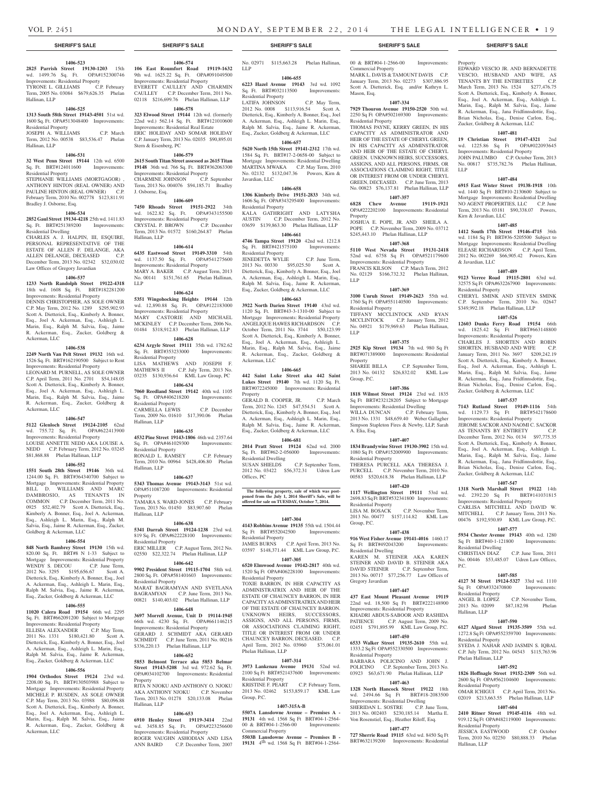Hallinan, LLP

Hallinan, LLP

# **SHERIFF'S SALE SHERIFF'S SALE SHERIFF'S SALE SHERIFF'S SALE SHERIFF'S SALE**

# **1406-523**

**2825 Parrish Street 19130-1203** 15th wd. 1499.76 Sq. Ft. OPA#152300746 Improvements: Residential Property TYRONE L. GILLIAMS C.P. February Term, 2005 No. 03084 \$679,626.35 Phelan

# **1406-525**

**1313 South 58th Street 19143-4501** 51st wd. 1600 Sq. Ft. OPA#513048400 Improvements: Residential Property JOSEPH A. WILLIAMS C.P. March Term, 2012 No. 00538 \$83,536.47 Phelan

# **1406-531**

**32 West Penn Street 19144** 12th wd. 6500 Sq. Ft. BRT#124011600 Improvements: Residential Property

STEPHANIE WILLIAMS (MORTGAGOR) , ANTHONY HINTON (REAL OWNER) AND PAULINE HINTON (REAL OWNER) C.P. February Term, 2010 No. 002778 \$123,811.91 Bradley J. Osborne, Esq.

# **1406-534**

**2852 Gaul Street 19134-4218** 25th wd. 1411.83 Sq. Ft. BRT#251389200 Improvements: Residential Dwelling

CHARLES A. J. HALPIN, III, ESQUIRE, PERSONAL REPRESENTATIVE OF THE ESTATE OF ALLEN F. DELANGE, AKA ALLEN DELANGE, DECEASED C.P. December Term, 2013 No. 02342 \$32,030.02 Law Offices of Gregory Javardian

#### **1406-537**

**1233 North Randolph Street 19122-4318**  18th wd. 1608 Sq. Ft. BRT#182281200 Improvements: Residential Property

DENNIS CHRISTOPHER, AS SOLE OWNER C.P. May Term, 2012 No. 1289 \$295,902.93 Scott A. Dietterick, Esq., Kimberly A. Bonner, Esq., Joel A. Ackerman, Esq., Ashleigh L. Marin, Esq., Ralph M. Salvia, Esq., Jaime R. Ackerman, Esq., Zucker, Goldberg & Ackerman, LLC

#### **1406-538**

**2249 North Van Pelt Street 19132** 16th wd. 1526 Sq. Ft. BRT#162190500 Subject to Rent Improvements: Residential Property LEONARD M. PURNELL, AS SOLE OWNER C.P. April Term, 2011 No. 2701 \$54,148.05 Scott A. Dietterick, Esq., Kimberly A. Bonner,

Esq., Joel A. Ackerman, Esq., Ashleigh L. Marin, Esq., Ralph M. Salvia, Esq., Jaime R. Ackerman, Esq., Zucker, Goldberg & Ackerman, LLC

# **1406-547**

**5122 Glenloch Street 19124-2105** 62nd wd. 755.72 Sq. Ft. OPA#622413900 Improvements: Residential Property LOUISE ANNETTE NEDD AKA LOUISE A. NEDD C.P. February Term, 2012 No. 03245 \$81,868.88 Phelan Hallinan, LLP

# **1406-552**

**1551 South 28th Street 19146** 36th wd. 1244.00 Sq. Ft. BRT#364340700 Subject to Mortgage Improvements: Residential Property<br>BILL D. WILLIAMS AND MARC D. WILLIAMS AND MARC DAMBROSIO, AS TENANTS IN COMMON C.P. December Term, 2011 No. 0925 \$52,402.79 Scott A. Dietterick, Esq., Kimberly A. Bonner, Esq., Joel A. Ackerman, Esq., Ashleigh L. Marin, Esq., Ralph M. Salvia, Esq., Jaime R. Ackerman, Esq., Zucker, Goldberg & Ackerman, LLC

# **1406-554**

**848 North Bambrey Street 19130** 15th wd. 820.00 Sq. Ft. BRT#8 N 1-33 Subject to Mortgage Improvements: Residential Property WENDY S. DECOU C.P. June Term, 2012 No. 3295 \$195,656.67 Scott A. Dietterick, Esq., Kimberly A. Bonner, Esq., Joel A. Ackerman, Esq., Ashleigh L. Marin, Esq., Ralph M. Salvia, Esq., Jaime R. Ackerman, Esq., Zucker, Goldberg & Ackerman, LLC

# **1406-555**

**11020 Calera Road 19154** 66th wd. 2295 Sq. Ft. BRT#662091200 Subject to Mortgage Improvements: Residential Property ELLISIA ALEXANDER C.P. May Term, 2011 No. 1331 \$180,421.80 Scott A. Dietterick, Esq., Kimberly A. Bonner, Esq., Joel A. Ackerman, Esq., Ashleigh L. Marin, Esq., h M. Salvia, Esq., Jaime R. Acker Esq., Zucker, Goldberg & Ackerman, LLC

# **1406-556**

**1904 Orthodox Street 19124** 23rd wd. 2208.00 Sq. Ft. BRT#130503988 Subject to Mortgage Improvements: Residential Property MICHELE P. RUSDEN, AS SOLE OWNER C.P. May Term, 2013 No. 03988 \$80,096.88 Scott A. Dietterick, Esq., Kimberly A. Bonner, Esq., Joel A. Ackerman, Esq., Ashleigh L. Marin, Esq., Ralph M. Salvia, Esq., Jaime R. Ackerman, Esq., Zucker, Goldberg & Ackerman, LLC

**1406-574 106 East Roumfort Road 19119-1632**  9th wd. 1625.22 Sq. Ft. OPA#091049500 Improvements: Residential Property EVERETT CAULLEY AND CHARMIN CAULLEY C.P. December Term, 2011 No. 02118 \$216,699.76 Phelan Hallinan, LLP

# **1406-578**

**323 Elwood Street 19144** 12th wd. (formerly 22nd wd.) 562.14 Sq. Ft. BRT#121010600 Improvements: Residential Real Estate ERIC HOLIDAY AND SOMAR HOLIDAY C.P. January Term, 2013 No. 02035 \$90,895.01 Stern & Eisenberg, PC

# **1406-579**

**2615 South Titan Street assessed as 2615 Titan 19148** 36th wd. 766 Sq. Ft. BRT#362063300 Improvements: Residential Property CHARMINE JOHNSON C.P. September Term, 2013 No. 004076 \$94,185.71 Bradley J. Osborne, Esq.

# **1406-609**

**7450 Rhoads Street 19151-2922** 34th wd. 1622.82 Sq. Ft. OPA#343155500 Wu. 1022.02 by 1. Communisty<br>Improvements: Residential Property<br>CRYSTAL P. BROWN C.P. December CRYSTAL P. BROWN Term, 2013 No. 01572 \$160,264.87 Phelan Hallinan, LLP

# **1406-614**

**6435 Eastwood Street 19149-3310** 54th wd. 1137.50 Sq. Ft. OPA#541275600 Improvements: Residential Property MARY A. BAKER C.P. August Term, 2013 No. 00141 \$151,761.65 Phelan Hallinan, LLP

# **1406-624**

**5351 Wingohocking Heights 19144** 12th wd. 12,890.88 Sq. Ft. OPA#122183000 Improvements: Residential Property MARY CASTORIE AND MICHAEL MCKINLEY C.P. December Term, 2006 No. 01484 \$318,912.83 Phelan Hallinan, LLP

# **1406-628**

**6234 Argyle Street 19111** 35th wd. 1782.62 Sq. Ft. BRT#353233000 Improvements: Residential Property LISA MATHEWS AND JOSEPH F. MATHEWS II C.P. July Term, 2013 No. 03235 \$130,936.64 KML Law Group, PC

# **1406-634**

**7060 Reedland Street 19142** 40th wd. 1105 Sq. Ft. OPA#406218200 Improvements: Residential Property CARMELLA LEWIS C.P. December Term, 2009 No. 01610 \$17,390.06 Phelan Hallinan, LLP

#### **1406-635**

**4532 Pine Street 19143-1806** 46th wd. 2357.64 Sq. Ft. OPA#461029300 Improvements: Residential Property RONALD L. RAMSEY C.P. February Term, 2010 No. 00964 \$428,406.80 Phelan Hallinan, LLP

# **1406-637**

**5343 Thomas Avenue 19143-3143** 51st wd. OPA#511087200 Improvements: Residential Property

TAMARA S. WARD-JONES C.P. February Term, 2013 No. 01450 \$83,907.60 Phelan Hallinan, LLP

# **1406-638**

**5341 Darrah Street 19124-1238** 23rd wd. 819 Sq. Ft. OPA#622228100 Improvements: Residential Property ERIC MILLER C.P. August Term, 2012 No. 02550 \$22,322.74 Phelan Hallinan, LLP

#### **1406-642**

**9902 President Street 19115-1704** 58th wd. 2800 Sq. Ft. OPA#581401603 Improvements: Residential Property MARAT BAGRAMYAN AND SVETLANA

BAGRAMYAN C.P. June Term, 2013 No. 00821 \$140,403.02 Phelan Hallinan, LLP **1406-648**

**3697 Morrell Avenue, Unit D 19114-1945**  66th wd. 4230 Sq. Ft. OPA#661146215 Improvements: Residential Property GERARD J. SCHMIDT AKA GERARD SCHMIDT C.P. June Term, 2011 No. 00216 \$336,220.13 Phelan Hallinan, LLP

# **1406-652**

**5853 Belmont Terrace aka 5853 Belmar Street 19143-5208** 3rd wd. 972.62 Sq. Ft. OPA#034102700 Improvements: Residential Property

RITA N NJOKU AND ANTHONY O. NJOKU AKA ANTHONY NJOKU C.P. November Term, 2013 No. 01278 \$20,133.08 Phelan Hallinan, LLP

# **1406-653**

**6910 Henley Street 19119-3414** 22nd wd. 3458.85 Sq. Ft. OPA#223256600 Improvements: Residential Property ROGER VAUGHN ASHODIAN AND LISA ANN BAIRD C.P. December Term, 2007

No. 02971 \$115,663.28 Phelan Hallinan, LLP

# **1406-655**

**6223 Hazel Avenue 19143** 3rd wd. 1092 Sq. Ft. BRT#032113500 Improvements: Residential Property LATIFA JOHNSON C.P. May Term, 2012 No. 0008 \$113,916.54 Scott A. Dietterick, Esq., Kimberly A. Bonner, Esq., Joel

A. Ackerman, Esq., Ashleigh L. Marin, Esq., Ralph M. Salvia, Esq., Jaime R. Ackerman, Esq., Zucker, Goldberg & Ackerman, LLC **1406-657**

**5620 North 15th Street 19141-2312** 17th wd. 1584 Sq. Ft. BRT#17-2-0658-00 Subject to Mortgage Improvements: Residential Dwelling MARTINA MWAKA C.P. May Term, 2010 No. 02132 \$132,047.36 Powers, Kirn & Javardian, LLC

# **1406-658**

**1306 Kimberly Drive 19151-2833** 34th wd. 1606 Sq. Ft. OPA#343295400 Improvements: Residential Property KALA GATHRIGHT AND LATYSHA AUSTIN C.P. December Term, 2012 No. 03659 \$139,863.30 Phelan Hallinan, LLP

# **1406-661**

**4746 Tampa Street 19120** 42nd wd. 1212.8 Sq. Ft. BRT#421575100 Improvements: Residential Property JENEDETTA WYLIE C.P. June Term, 2013 No. 00330 \$95,025.50 Scott A. Dietterick, Esq., Kimberly A. Bonner, Esq., Joel A. Ackerman, Esq., Ashleigh L. Marin, Esq., Ralph M. Salvia, Esq., Jaime R. Ackerman, Esq., Zucker, Goldberg & Ackerman, LLC

#### **1406-663**

**3922 North Darien Street 19140** 43rd wd. 1120 Sq. Ft. BRT#43-3-1310-00 Subject to Mortgage Improvements: Residential Property ANGELIQUE HAWES RICHARDSON C.P. October Term, 2011 No. 3744 \$50,123.99 Scott A. Dietterick, Esq., Kimberly A. Bonner, Esq., Joel A. Ackerman, Esq., Ashleigh L. Marin, Esq., Ralph M. Salvia, Esq., Jaime R. Ackerman, Esq., Zucker, Goldberg & Ackerman, LLC

#### **1406-665**

**442 Saint Luke Street aka 442 Saint Lukes Street 19140** 7th wd. 1120 Sq. Ft. BRT#072245000 Improvements: Residential **Property** 

GERALD B. COOPER, JR. C.P. March Term, 2012 No. 1245 \$47,554.51 Scott A. Dietterick, Esq., Kimberly A. Bonner, Esq., Joel A. Ackerman, Esq., Ashleigh L. Marin, Esq., Ralph M. Salvia, Esq., Jaime R. Ackerman, Esq., Zucker, Goldberg & Ackerman, LLC

# **1406-681**

**2014 Pratt Street 19124** 62nd wd. 2000 Sq. Ft. BRT#62-2-056000 Improvements: Residential Dwelling C.P. September Term, 2012 No. 03422 \$56,372.31 Udren Law Offices, PC

**The following property, sale of which was post-poned from the July 1, 2014 Sheriff's Sale, will be offered for sale on TUESDAY, October 7, 2014.**

# **1407-304**

**4143 Robbins Avenue 19135** 55th wd. 1504.44 Sq Ft BRT#552042500 Improvements: Residential Property

JAMES BURNS C.P. April Term, 2013 No. 03597 \$148,371.44 KML Law Group, P.C.

# **1407-305**

**6520 Elmwood Avenue 19142-2817** 40th wd. 1520 Sq Ft OPA#406228100 Improvements: Residential Property TOXIE BARRON, IN HER CAPACITY AS ADMINISTRATRIX AND HEIR OF THE ESTATE OF CHAUNCEY BARRON, IN HER CAPACITY AS ADMINSTRATRIX AND HEIR OF THE ESTATE OF CHAUNCEY BARRON. UNKNOWN HEIRS, SUCCESSORS, ASSIGNS, AND ALL PERSONS, FIRMS, OR ASSOCIATIONS CLAIMING RIGHT, TITLE OR INTEREST FROM OR UNDER CHAUNCEY BARRON, DECEASED. C.P. April Term, 2012 No. 03960 \$75,061.01 Phelan Hallinan, LLP

# **1407-314**

**3973 Lankenau Avenue 19131** 52nd wd. 2100 Sq Ft BRT#521437600 Improvements: Residential Property KRISTINE F. PEART C.P. February Term, 2013 No. 02462 \$153,859.17 KML Law Group, P.C.

#### **1407-315A-B**

**5507A Lansdowne Avenue – Premises A - 19131** 4th wd. 1568 Sq Ft BRT#04-1-2564-00 & BRT#04-1-2566-00 Improvements: 00 & BRT#04-1-2566-00 Commercial Property

**5503B Lansdowne Avenue – Premises B - 19131** 4th wd. 1568 Sq Ft BRT#04-1-2564-

# 00 & BRT#04-1-2566-00 Improvements:

Commercial Property MARK L. DAVIS & TAMOUNT DAVIS C.P. January Term, 2013 No. 02273 \$307,886.95 Scott A. Dietterick, Esq. and/or Kathryn L. Mason, Esq.

Property

LLP

Kirn & Javardian, LLC

& Javardian, LLC

Residential Property

Residential Dwelling<br>CHRISTIAN DIAZ

Sq Ft OPA#332470800 Residential Property

Hallinan, LLP

Residential Property

Phelan Hallinan, LLP

Residential Property

Residential Property

Hallinan, LLP

P.C.

C.P. June Term, 2011

No. 00446 \$53,485.07 Udren Law Offices,

**1407-585 4127 M Street 19124-5327** 33rd wd. 1110<br>
Sq Ft OPA#332470800 Improvements:

ANGEL B. LOPEZ C.P. November Term, 2013 No. 02099 \$87,182.98 Phelan

**1407-590 6127 Algard Street 19135-3509** 55th wd. 1272.8 Sq Ft OPA#552359700 Improvements:

SYEDA J. NAHAR AND JASMIN S. IQBAL C.P. July Term, 2012 No. 04543 \$115,763.96

**1407-592 1826 Hoffnagle Street 19152-2309** 56th wd. 2600 Sq Ft OPA#562104600 Improvements:

OMAR ICHIGUI C.P. April Term, 2013 No. 02019 \$213,663.55 Phelan Hallinan, LLP **1407-604 2410 Ritner Street 19145-4116** 48th wd. 919.12 Sq Ft OPA#482119000 Improvements:

JESSICA EASTWOOD C.P. October Term, 2010 No. 02250 \$80,888.33 Phelan

EDWARD VESCIO JR. AND BERNADETTE VESCIO, HUSBAND AND WIFE, AS TENANTS BY THE ENTIRETIES March Term, 2013 No. 1524 \$277,476.75 Scott A. Dietterick, Esq., Kimberly A. Bonner, Esq., Joel A. Ackerman, Esq., Ashleigh L. Marin, Esq., Ralph M. Salvia, Esq., Jaime R. Ackerman, Esq., Jana Fridfinnsdottir, Esq., Brian Nicholas, Esq., Denise Carlon, Esq., Zucker, Goldberg & Ackerman, LLC **1407-481 19 Christian Street 19147-4321** 2nd wd. 1225.86 Sq Ft OPA#022093645 Improvements: Residential Property JOHN PALUMBO C.P. October Term, 2013 No. 00817 \$735,782.76 Phelan Hallinan,

**1407-484 6915 East Wister Street 19138-1918** 10th wd. 1440 Sq Ft BRT#10-2130600 Subject to Mortgage Improvements: Residential Dwelling NO AGENT PROPERTIES, LLC C.P. June Term, 2013 No. 03181 \$90,338.07 Powers,

**1407-485 1412 South 17th Street 19146-4715** 36th wd. 1184 Sq Ft BRT#36-5205500 Subject to Mortgage Improvements: Residential Dwelling ELEASE RICHARDSON C.P. April Term, 2012 No. 002269 \$66,905.42 Powers, Kirn

**1407-489 9123 Verree Road 19115-2801** 63rd wd. 32575 Sq Ft OPA#632267900 Improvements:

CHERYL SMINK AND STEVEN SMINK C.P. September Term, 2010 No. 02647 \$349,992.18 Phelan Hallinan, LLP **1407-526 12603 Dunks Ferry Road 19154** 66th wd. 1825.42 Sq Ft BRT#663148800 Improvements: Residential Property CHARLES J. SHORTEN AND ROBIN SHORTEN, HUSBAND AND WIFE C.P. January Term, 2011 No. 3697 \$209,242.19 Scott A. Dietterick, Esq., Kimberly A. Bonner, Esq., Joel A. Ackerman, Esq., Ashleigh L. Marin, Esq., Ralph M. Salvia, Esq., Jaime R. Ackerman, Esq., Jana Fridfinnsdottir, Esq., Brian Nicholas, Esq., Denise Carlon, Esq., Zucker, Goldberg & Ackerman, LLC **1407-537 7143 Rutland Street 19149-1116** 54th wd. 1129.73 Sq Ft BRT#542178600 Improvements: Residential Property JEROME SACKOR AND NAOMI C. SACKOR AS TENANTS BY ENTIRETY C.P. December Term, 2012 No. 0134 \$97,775.35 Scott A. Dietterick, Esq., Kimberly A. Bonner, Esq., Joel A. Ackerman, Esq., Ashleigh L. Marin, Esq., Ralph M. Salvia, Esq., Jaime R. Ackerman, Esq., Jana Fridfinnsdottir, Esq., Brian Nicholas, Esq., Denise Carlon, Esq., Zucker, Goldberg & Ackerman, LLC **1407-547 1318 North Marshall Street 19122** 14th wd. 2392.20 Sq Ft BRT#141031815 Improvements: Residential Property CARLISA MITCHELL AND DAVID W. MITCHELL C.P. January Term, 2013 No. 00476 \$192,930.89 KML Law Group, P.C. **1407-577 5934 Chester Avenue 19143** 40th wd. 1280 Sq Ft BRT#40-1-121800 Improvements:

# **1407-334**

**7929 Thouron Avenue 19150-2520** 50th wd. 2250 Sq Ft OPA#502169300 Improvements: Residential Property THOMAS PAYNE, KERRY GREEN, IN HIS

CAPACITY AS ADMINISTRATOR AND HEIR OF THE ESTATE OF CHERYL GREEN, IN HIS CAPACITY AS ADMINSTRATOR AND HEIR OF THE ESTATE OF CHERYL GREEN. UNKNOWN HEIRS, SUCCESSORS, ASSIGNS, AND ALL PERSONS, FIRMS, OR ASSOCIATIONS CLAIMING RIGHT, TITLE OR INTEREST FROM OR UNDER CHERYL GREEN, DECEASED. C.P. June Term, 2013 No. 00823 \$76,137.81 Phelan Hallinan, LLP

# **1407-357 6828 Chew Avenue 19119-1921**

OPA#222202100 Improvements: Residential Property JOSHUA E. POPE, JR. AND SHEILA A.

#### POPE C.P. November Term, 2009 No. 03712 \$245,443.10 Phelan Hallinan, LLP

**1407-368 5110 West Nevada Street 19131-2418**  52nd wd. 6758 Sq Ft OPA#521179600 Improvements: Residential Property

FRANCIS KILSON C.P. March Term, 2012 No. 02129 \$166,732.32 Phelan Hallinan, LLP

# **1407-369 3100 Unruh Street 19149-2623** 55th wd. 1760 Sq Ft OPA#551140500 Improvements:

TIFFANY MCCLINTOCK AND RYAN MCCLINTOCK C.P. January Term, 2012 No. 04921 \$179,969.63 Phelan Hallinan,

**1407-375 2925 Kip Street 19134** 7th wd. 980 Sq Ft BRT#071389000 Improvements: Residential

2013 No. 04132 \$26,832.02 KML Law

**1407-386 1818 Wilmot Street 19124** 23rd wd. 1835 Sq Ft BRT#232128205 Subject to Mortgage Improvements: Residential Dwelling WILLA DUNCAN C.P. February Term, 2013 No. 1331 \$48,659.40 Weber Gallagher Simpson Stapleton Fires & Newby, LLP, Sarah

**1407-407 1834 Brandywine Street 19130-3902** 15th wd. 1080 Sq Ft OPA#152009900 Improvements:

THERESA PURCELL AKA THERESA J. PURCELL C.P. November Term, 2010 No. 00583 \$520,618.38 Phelan Hallinan, LLP **1407-420 1117 Wellington Street 19111** 53rd wd. 2698.83 Sq Ft BRT#532341800 Improvements:

2013 No. 00477 \$157,114.82 KML Law

**1407-438 916 West Fisher Avenue 19141-4016** 1460.17 Sq Ft BRT#492043200 Improvements:

KAREN M. STEINER AKA KAREN STEINER AND DAVID B. STEINER AKA DAVID STEINER C.P. September Term, 2013 No. 00717 \$77,256.77 Law Offices of

**1407-447 437 East Mount Pleasant Avenue 19119**  22nd wd. 18,500 Sq Ft BRT#222148900 Improvements: Residential Property KHADRI ABDUS-SABOOR AND RASHIDA PATIENCE C.P. August Term, 2009 No. 02451 \$791,895.99 KML Law Group, P.C. **1407-450 6533 Walker Street 19135-2610** 55th wd. 1333.2 Sq Ft OPA#552330500 Improvements:

BARBARA POLICINO AND JOHN J. POLICINO C.P. September Term, 2013 No. 03923 \$63,671.90 Phelan Hallinan, LLP **1407-463 1328 North Hancock Street 19122** 18th wd. 2494.66 Sq Ft BRT#18-2083500 Improvements: Residential Dwelling SHERIDAN L. SOSTRE C.P. June Term, 2013 No. 002403 \$230,185.14 Martha E. Von Rosenstiel, Esq., Heather Riloff, Esq. **1407-477 727 Sherrie Road 19115** 63rd wd. 8450 Sq Ft BRT#632139200 Improvements: Residential

C.P. September Term,

C.P. November Term,

Residential Property

Property<br>SHAREE BILLA

Group, P.C.

A. Elia, Esq.

Residential Property

Residential Property<br>LISA M. BOSACK

Residential Dwelling

Gregory Javardian

Residential Property

Group, P.C.

LLP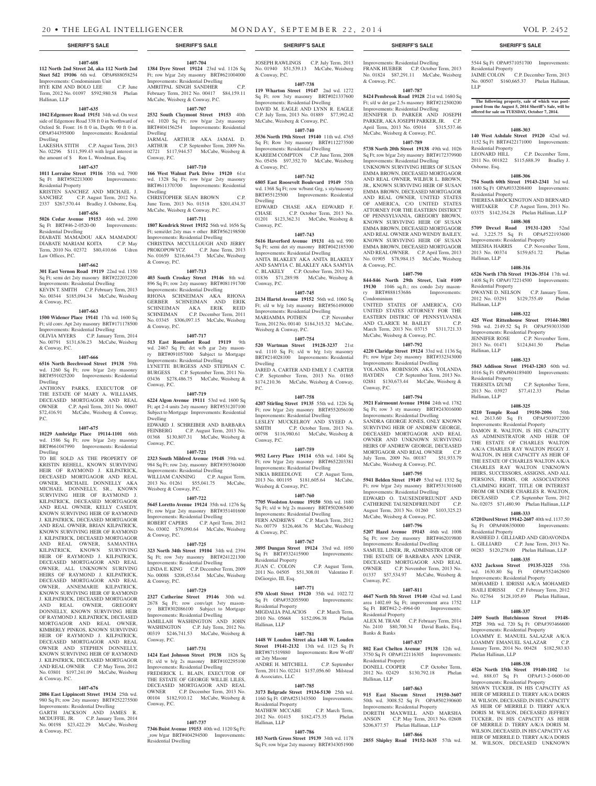#### **1407-608 112 North 2nd Street 2d, aka 112 North 2nd**

**Steet 5d2 19106** 6th wd. OPA#888058254 Improvements: Condominium Unit HYE KIM AND BOLO LEE C.P. June

Term, 2012 No. 01097 \$592,980.58 Phelan Hallinan, LLP

# **1407-635**

**1042 Edgemore Road 19151** 34th wd. On west side of Edgemore Road 338 ft 0 in Northward of Oxford St. Front: 16 ft 0 in, Depth: 90 ft 0 in. OPA#344395000 Improvements: Residential Dwelling

LAKESHA STITH C.P. August Term, 2013 No. 02296 \$111,599.43 with legal interest in the amount of \$ Ron L. Woodman, Esq.

# **1407-637**

**1011 Lorraine Street 19116** 35th wd. 7900 Sq Ft BRT#582213000 Improvements: Residential Property

KRISTEN SANCHEZ AND MICHAEL J.<br>SANCHEZ C.P. August Term. 2012 No. C.P. August Term, 2012 No. 2337 \$267,570.44 Bradley J. Osborne, Esq.

### **1407-656**

**5026 Cedar Avenue 19153** 46th wd. 2090 Sq Ft BRT#46-2-0520-00 Improvements: Residential Dwelling DIABATE MAMADOU AKA MAMADOU DIABATE MARIAM KOITA C.P. May

Term, 2010 No. 02372 \$80,410.66 Udren Law Offices, P.C.

# **1407-662**

**301 East Vernon Road 19119** 22nd wd. 1350 Sq Ft; semi det 2sty masonry BRT#222032200 Improvements: Residential Dwelling KEVIN T. SMITH C.P. February Term, 2013 No. 00344 \$185,094.34 McCabe, Weisberg & Conway, P.C.

# **1407-663**

**1500 Widener Place 19141** 17th wd. 1600 Sq Ft; s/d conv. Apt 2sty masonry BRT#171178500 Improvements: Residential Dwelling OLIVIA MYERS C.P. January Term, 2014

No. 00791 \$131,636.23 McCabe, Weisberg & Conway, P.C. **1407-666**

**6516 North Beechwood Street 19138** 59th wd. 1260 Sq Ft; row b/gar 2sty masonry BRT#591025200 Improvements: Residential Dwelling

ANTHONY PARKS, EXECUTOR OF THE ESTATE OF MARY A. WILLIAMS, DECEASED MORTGAGOR AND REAL OWNER C.P. April Term, 2011 No. 00607 \$72,416.91 McCabe, Weisberg & Conway, P.C.

# **1407-675**

**10229 Ambridge Place 19114-1101** 66th wd. 1586 Sq Ft; row b/gar 2sty masonry BRT#661047990 Improvements: Residential Dwelling

TO BE SOLD AS THE PROPERTY OF KRISTIN REHELL, KNOWN SURVIVING HEIR OF RAYMOND J. KILPATRICK, DECEASED MORTGAGOR AND REAL OWNER, MICHAEL DONNELLY AKA MICHAEL DONNELLY, SR., KNOWN SURVIVING HEIR OF RAYMOND J. KILPATRICK, DECEASED MORTGAGOR AND REAL OWNER, KELLY CASEDY, KNOWN SURVIVING HEIR OF RAYMOND J. KILPATRICK, DECEASED MORTGAGOR AND REAL OWNER, BRIAN KILPATRICK, KNOWN SURVIVING HEIR OF RAYMOND J. KILPATRICK, DECEASED MORTGAGOR AND REAL OWNER, SAMANTHA KILPATRICK, KNOWN SURVIVING HEIR OF RAYMOND J. KILPATRICK, DECEASED MORTGAGOR AND REAL OWNER, ALL UNKNOWN SURIVING HEIRS OF RAYMOND J. KILPATRICK, DECEASED MORTGAGOR AND REAL OWNER, ANNEMARIE KILPATRICK, KNOWN SURVIVING HEIR OF RAYMOND J. KILPATRICK, DECEASED MORTGAGOR AND REAL OWNER, GREGORY DONNELLY, KNOWN SURVIVING HEIR OF RAYMOND J. KILPATRICK, DECEASED MORTGAGOR AND REAL OWNER, KIMBERLY PINKOS, KNOWN SURVIVING HEIR OF RAYMOND J. KILPATRICK, DECEASED MORTGAGOR AND REAL OWNER AND STEPHEN DONNELLY, KNOWN SURVIVING HEIR OF RAYMOND J. KILPATRICK, DECEASED MORTGAGOR AND REAL OWNER C.P. May Term, 2012 No. 03801 \$197,241.09 McCabe, Weisberg & Conway, P.C.

# **1407-676**

**2086 East Lippincott Street 19134** 25th wd. 980 Sq Ft; row 2sty masonry BRT#252275500 Improvements: Residential Dwelling GARTH JACKSON AND JAMES R.

**1384 Dyre Street 19124** 23rd wd. 1126 Sq Ft; row b/gar 2sty masonry BRT#621004000 Improvements: Residential Dwelling AMRITPAL SINGH SANDHER February Term, 2012 No. 00417 \$84,159.11 McCabe, Weisberg & Conway, P.C.

**1407-704**

**1407-707 2532 South Claymont Street 19153** 40th wd. 1020 Sq Ft; row b/gar 2sty masonry BRT#404156254 Improvements: Residential Dwelling

JARMAL ARTHUR AKA JAMAL D. ARTHUR C.P. September Term, 2009 No. 02721 \$117,944.57 McCabe, Weisberg & Conway, P.C. **1407-710**

**166 West Walnut Park Drive 19120** 61st wd. 1328 Sq Ft; row b/gar 2sty masonry BRT#611370700 Improvements: Residential Dwelling CHRISTOPHER SEAN BROWN C.P.

June Term, 2013 No. 01518 \$201,434.37 McCabe, Weisberg & Conway, P.C. **1407-711**

# **1807 Kendrick Street 19152** 56th wd. 1656 Sq

Ft; semi/det 2sty mas + other BRT#562198500 Improvements: Residential Dwelling CHRISTINA MCCULLOUGH AND JERRY PROKOPOWYCZ C.P. June Term, 2013 No. 01659 \$216,664.73 McCabe, Weisberg & Conway, P.C.

**1407-713 403 South Croskey Street 19146** 8th wd. 896 Sq Ft; row 2sty masonry BRT#081191700 Improvements: Residential Dwelling RHONA SCHNEIMAN AKA RHONA GERBER SCHNEIMAN AND ERIK SCHNEIMAN AKA ERIK REID SCHNEIMAN C.P. December Term, 2011 No. 03345 \$306,097.15 McCabe, Weisberg & Conway, P.C.

# **1407-717**

**513 East Roumfort Road 19119** 9th wd. 2467 Sq Ft; det w/b gar 2sty masonry BRT#091057000 Subject to Mortgage Improvements: Residential Dwelling LYNETTE BURGESS AND STEPHAN C. BURGESS C.P. September Term, 2011 No. 03436 \$278,486.75 McCabe, Weisberg & Conway, P.C.

#### **1407-719**

**6224 Algon Avenue 19111** 53rd wd. 1600 Sq Ft; apt 2-4 units 2sty masonry BRT#531207100 Subject to Mortgage Improvements: Residential Dwelling EDWARD J. SCHREIBER AND BARBARA FEINBERG C.P. August Term, 2013 No. 01368 \$130,807.31 McCabe, Weisberg &

# **1407-721**

Conway, P.C.

**2323 South Mildred Avenue 19148** 39th wd. 984 Sq Ft; row 2sty, masonry BRT#393360400

Improvements: Residential Dwelling WILLIAM CANNING C.P. August Term, 2013 No. 01261 \$55,041.75 McCabe, Weisberg & Conway, P.C.

**1407-722**

# **5645 Loretto Avenue 19124** 35th wd. 1276 Sq Ft; row b/gar 2sty masonry BRT#351401600 Improvements: Residential Dwelling

ROBERT CAPERS C.P. April Term, 2012 No. 03002 \$79,090.64 McCabe, Weisberg & Conway, P.C.

#### **1407-725**

**323 North 34th Street 19104** 34th wd. 2394 Sq Ft; row 3sty masonry BRT#241221300 Improvements: Residential Dwelling LINDA E. KING C.P. December Term, 2009 No. 00088 \$208,453.64 McCabe, Weisberg & Conway, P.C.

#### **1407-729**

**2327 Catherine Street 19146** 30th wd. 2678 Sq Ft; row conv/apt 3sty masonry BRT#302086100 Subject to Mortgage Improvements: Residential Dwelling JAMILLAH WASHINGTON AND JOHN WASHINGTON C.P. July Term, 2012 No. 00319 \$246,741.53 McCabe, Weisberg & Conway, P.C.

#### **1407-731 1424 East Johnson Street 19138** 1826 Sq

Ft; s/d w b/g 2s masonry BRT#102295100 Improvements: Residential Dwelling FREDERICK L. BLAIN, EXECUTOR OF THE ESTATE OF GEORGE WILLIE LILES, DECEASED MORTGAGOR AND REAL

OWNER C.P. December Term, 2013 No. 00104 \$182,910.12 McCabe, Weisberg & Conway, P.C.

# **1407-737**

**7346 Buist Avenue 19153** 40th wd. 1120 Sq Ft; \_row b/gar BRT#404294500 Improvements: Residential Dwelling

JOSEPH RAWLINGS C.P. July Term, 2013 No. 01940 \$51,539.13 McCabe, Weisberg & Conway, P.C.

# **1407-738**

**119 Wharton Street 19147** 2nd wd. 1272 Sq Ft; row 3sty masonry BRT#021337600 Improvements: Residential Dwelling DAVID M. EAGLE AND LYNN R. EAGLE

C.P. July Term, 2013 No. 01889 \$77,992.42 McCabe, Weisberg & Conway, P.C. **1407-740**

# **3536 North 19th Street 19140** 11th wd. 4765

Sq Ft: Row 3sty masonry BRT#112273500 Improvements: Residential Dwelling KAREEM COMPTON C.P. June Term, 2008 No. 05456 \$97,352.70 McCabe, Weisberg & Conway, P.C.

# **1407-742**

**6805 East Roosevelt Boulevard 19149** 55th wd. 1368 Sq Ft; row w/bsmt Grg, s sty/masonry BRT#55125500 Improvements: Residential Dwelling EDWARD CHASE AKA EDWARD F.

CHASE C.P. October Term, 2013 No. 01201 \$123,362.31 McCabe, Weisberg & Conway, P.C.

# **1407-743**

**5616 Haverford Avenue 19131** 4th wd. 990 Sq Ft; semi det sty masonry BRT#042185300 Improvements: Residential Dwelling ANITA BLAKLEY AKA ANITA BLAKELY AND SAMYIA C. BLAKLEY AKA SAMYIA C. BLAKELY C.P. October Term, 2013 No. 01836 \$71,289.98 McCabe, Weisberg & Conway, P.C.

# **1407-745**

**2134 Hartel Avenue 19152** 56th wd. 1060 Sq Ft; s/d w b/g 1sty masonry BRT#561490000 Improvements: Residential Dwelling MARIAMMA POTHEN C.P. November Term, 2012 No. 00140 \$184,315.32 McCabe, Weisberg & Conway, P.C.

### **1407-754**

**520 Wartman Street 19128-3237** 21st wd. 1110 Sq Ft; s/d w b/g 1sty masonry BRT#214028100 Improvements: Residential Dwelling JARED A. CARTER AND EMILY J. CARTER

C.P. September Term, 2013 No. 01865 \$174,210.36 McCabe, Weisberg & Conway, P.C.

# **1407-758**

**4207 Stirling Street 19135** 55th wd. 1226 Sq Ft; row b/gar 2sty masonry BRT#552056100 Improvements: Residential Dwelling LESLEY MUCKELROY AND SYEED A.<br>SMITH C.P. October Term, 2013 No. C.P. October Term, 2013 No. 00798 \$116,980.61 McCabe, Weisberg & Conway, P.C.

# **1407-759**

**9932 Lorry Place 19114** 65th wd. 1404 Sq Ft; row b/gar 2sty masonry BRT#652203381 Improvements: Residential Dwelling NIKIA BREEDLOVE C.P. August Term, 2013 No. 001195 \$181,605.64 McCabe, Weisberg & Conway, P.C.

#### **1407-760**

**7705 Woolston Avenue 19150** 50th wd. 1680 Sq Ft; s/d w b/g 2s masonry BRT#502065400 Improvements: Residential Dwelling FERN ANDREWS C.P. March Term, 2012 No. 00779 \$126,468.76 McCabe, Weisberg & Conway, P.C.

# **1407-767**

**3895 Dungan Street 19124** 33rd wd. 1050 Sq Ft BRT#332415900 Improvements: Residential Property JUAN C. COLON C.P. August Term,

2011 No. 04505 \$51,308.01 Valentino F. DiGiorgio, III, Esq.

# **1407-771 570 Alcott Street 19120** 35th wd. 1022.72 Sq Ft OPA#352055900 Improvements:

Residential Property MIGDALIA PALACIOS C.P. March Term, 2010 No. 05668 \$152,096.38 Phelan Hallinan, LLP

# **1407-781**

**1448 W Loudon Street aka 1448 W. Louden Street 19141-2132** 13th wd. 1125 Sq Ft BRT#871519880 Improvements: Row W-off/ str 2sty Masonr ANDRE H. MITCHELL C.P. September Term, 2011 No. 02241 \$157,056.60 Milstead

# **1407-785**

& Associates, LLC

**3173 Belgrade Street 19134-5130** 25th wd. 1160 Sq Ft OPA#251343500 Improvements: Residential Property

MATHEW MCCABE C.P. March Term, 2012 No. 01415 \$182,475.35 Phelan Hallinan, LLP

# **1407-786**

**103 North Gross Street 19139** 34th wd. 1178 Sq Ft; row b/gar 2sty masonry BRT#343051900

# **SHERIFF'S SALE SHERIFF'S SALE SHERIFF'S SALE SHERIFF'S SALE SHERIFF'S SALE**

Improvements: Residential Dwelling FRANK HUEBER C.P. October Term, 2013 No. 01824 \$87,291.11 McCabe, Weisberg & Conway, P.C.

5544 Sq Ft OPA#571051700 Improvements:

JAIME COLON C.P. December Term, 2013 No. 00507 \$160,665.37 Phelan Hallinan,

**The following property, sale of which was post-poned from the August 5, 2014 Sheriff's Sale, will be offered for sale on TUESDAY, October 7, 2014.**

**1408-303 140 West Ashdale Street 19120** 42nd wd. 1152 Sq Ft BRT#422171000 Improvements:

LEONARD HILL C.P. December Term, 2011 No. 001822 \$115,688.39 Bradley J.

**1408-306 754 South 60th Street 19143-2341** 3rd wd. 1600 Sq Ft OPA#033208400 Improvements:

THERESA BROCKINGTON AND BERNARD WHITAKER C.P. August Term, 2013 No. 03375 \$142,354.28 Phelan Hallinan, LLP **1408-308 5709 Drexel Road 19131-1203** 52nd wd. 3,225.75 Sq Ft OPA#522193600 Improvements: Residential Property MEESHA HARRIS C.P. November Term,<br>2013 No. 00374 \$159.651.72 Phelan 2013 No. 00374 \$159,651.72

**1408-316 6526 North 17th Street 19126-3514** 17th wd. 1408 Sq Ft OPA#172214500 Improvements:

DWAYNE D. NELSON C.P. January Term, 2012 No. 03291 \$129,755.49 Phelan

**1408-322 425 West Rittenhouse Street 19144-3801**  59th wd. 2149.52 Sq Ft OPA#593033500 Improvements: Residential Property JENNIFER ROSE C.P. November Term, 2013 No. 01471 \$124,841.50 Phelan

**1408-323 5843 Addison Street 19143-1203** 60th wd. 1016 Sq Ft OPA#604189400 Improvements:

**1408-325 8210 Temple Road 19150-2006** 50th wd. 2613.60 Sq Ft OPA#501072200 Improvements: Residential Property DAMON R. WALTON, IS HIS CAPACITY AS ADMINISTRATOR AND HEIR OF THE ESTATE OF CHARLES WALTON A/K/A CHARLES RAY WALTON PEGGY J. WALTON, IN HER CAPACITY AS HEIR OF THE ESTATE OF CHARLES WALTON A/K/A CHARLES RAY WALTON UNKNOWN HEIRS, SUCCESSORS, ASSIGNS, AND ALL PERSONS, FIRMS, OR ASSOCIATIONS CLAIMING RIGHT, TITLE OR INTEREST FROM OR UNDER CHARLES R. WALTON, DECEASED C.P. September Term, 2012 No. 02075 \$71,480.90 Phelan Hallinan, LLP **1408-333 6720 Dorel Street 19142-2607** 40th wd. 1137.50 Sq Ft OPA#406350000 Improvements:

RASHEED J. GILLIARD AND GIOAVONDA L. GILLIARD C.P. June Term, 2013 No. 00283 \$120,278.00 Phelan Hallinan, LLP **1408-335 6332 Jackson Street 19135-3225** 55th wd. 1630.80 Sq Ft OPA#552462600 Improvements: Residential Property MOHAMED I. IDRISSI A/K/A MOHAMED ISAILI IDRISSI C.P. February Term, 2012 No. 02764 \$128,105.69 Phelan Hallinan,

**1408-337 2409 South Hutchinson Street 19148- 3725** 39th wd. 720 Sq Ft OPA#393466600 Improvements: Residential Property LOAMMY E. MANUEL SALAZAR A/K/A LOAMMY EMANUEL SALAZAR C.P. January Term, 2014 No. 00428 \$182,583.83

**1408-338 4526 North 15th Street 19140-1102** 1st wd. 888.07 Sq Ft OPA#13-2-0600-00 Improvements: Residential Property SHAWN TUCKER, IN HIS CAPACITY AS HEIR OF MERRILE D. TERRY A/K/A DORIS M. WILSON, DECEASED, IN HIS CAPACITY AS HEIR OF MERRILE D. TERRY A/K/A DORIS M. WILSON, DECEASED JEFFREY TUCKER, IN HIS CAPACITY AS HEIR OF MERRILE D. TERRY A/K/A DORIS M. WILSON, DECEASED, IN HIS CAPACITY AS HEIR OF MERRILE D. TERRY A/K/A DORIS M. WILSON, DECEASED UNKNOWN

Phelan Hallinan, LLP

2013 No. 03927 \$77,412.33

C.P. September Term,<br>77,412.33 Phelan

Residential Property

Residential Property

Residential Property

Hallinan, LLP

Hallinan, LLP

Hallinan, LLP

Residential Property<br>TERESITA IZUMI

Residential Property

LLP

Hallinan, LLP

Residential Property

Osborne. Esq.

LLP

# **1407-787**

**8424 Pembrook Road 19128** 21st wd. 1680 Sq Ft; s/d w det gar 2.5s masonry BRT#212500200 Improvements: Residential Dwelling JENNIFER D. PARKER AND JOSEPH PARKER, AKA JOSEPH PARKER, JR. C.P. April Term, 2013 No. 05014 \$315,537.46 McCabe, Weisberg & Conway, P.C.

# **1407-789**

**5738 North 20th Street 19138** 49th wd. 1026 Sq Ft; row b/gar 2sty masonry BRT#172379900 Improvements: Residential Dwelling UNKNOWN SURVIVING HEIRS OF SUSAN EMMA BROWN, DECEASED MORTGAGOR AND REAL OWNER, WILBUR L. BROWN, JR., KNOWN SURVIVING HEIR OF SUSAN EMMA BROWN, DECEASED MORTGAGOR AND REAL OWNER, UNITED STATES OF AMERICA, C/O UNITED STATES ATTORNEY FOR THE EASTERN DISTRICT OF PENNSYLVANIA, GREGORY BROWN, KNOWN SURVIVING HEIR OF SUSAN EMMA BROWN, DECEASED MORTGAGOR AND REAL OWNER AND WENDY BAILEY, KNOWN SURVIVING HEIR OF SUSAN EMMA BROWN, DECEASED MORTGAGOR AND REAL OWNER. C.P. April Term, 2013 No. 01905 \$78,984.15 McCabe, Weisberg & Conway, P.C.

#### **1407-790**

**844-846 North 29th Street, Unit #109 19130 1046 sq.ft.; res condo 2sty mason-**<br>ry **BRT#888153686 Improvements:** ry BRT#888153686 Condominium

UNITED STATES OF AMERICA, C/O UNITED STATES ATTORNEY FOR THE EASTERN DISTRIC OF PENNSYLVANIA AND CLARICE M. BAILEY March Term, 2013 No. 03715 \$311,721.33 McCabe, Weisberg & Conway, P.C.

Ft; row b/gar 2sty masonry BRT#332343000 Improvements: Residential Dwelling YOLANDA ROBINSON AKA YOLANDA HAYDEN C.P. September Term, 2013 No. 02881 \$130,673.44 McCabe, Weisberg &

**1407-794 3921 Fairmount Avenue 19104** 24th wd. 1782 Sq Ft; row 3 sty masonry BRT#243016000 Improvements: Residential Dwelling SANDRA GEORGE JONES, ONLY KNOWN SURVIVING HEIR OF ANDREW GEORGE, DECEASED MORTGAGOR AND REAL OWNER AND UNKNOWN SURVIVING HEIRS OF ANDREW GEORGE, DECEASED MORTGAGOR AND REAL OWNER July Term, 2009 No. 00187 \$51,933.79

McCabe, Weisberg & Conway, P.C. **1407-795 5941 Belden Street 19149** 53rd wd. 1332 Sq Ft; row b/gar 2sty masonry BRT#531301600 Improvements: Residential Dwelling EDWARD O. TAUSENDFREUNDT AND CATHERINE TAUSENDFREUNDT August Term, 2013 No. 01260 \$103,325.23

McCabe, Weisberg & Conway, P.C. **1407-796 5207 Hazel Avenue 19143** 46th wd. 1008 Sq Ft; row 2sty masonry BRT#462019800 Improvements: Residential Dwelling SAMUEL LINER, JR, ADMINISTRATOR OF THE ESTATE OF BARBARA ANN LINER, DECEASED MORTGAGOR AND REAL OWNER C.P. November Term, 2013 No. 01337 \$57,534.97 McCabe, Weisberg &

**1407-811 4647 North 5th Street 19140** 42nd wd. Land area 1402.69 Sq Ft; improvement area 1752 Sq Ft BRT#42-2-4964-00 Improvements:

ALEX M. TRAM C.P. February Term, 2014 No. 2410 \$80,700.34 David Banks, Esq.,

**1407-837 802 East Chelten Avenue 19138** 12th wd. 3750 Sq Ft OPA#122116305 Improvements:

DONELL COOPER C.P. October Term, 2012 No. 02429 \$130,792.18 Phelan

**1407-863 915 East Slocum Street 19150-3607**  50th wd. 3008.52 Sq Ft OPA#502390600 Improvements: Residential Property DORETH MAXWELL AND MARSHA ANSON C.P. May Term, 2013 No. 02608 \$206,877.57 Phelan Hallinan, LLP **1407-866 2855 Shipley Road 19152-1635** 57th wd.

Conway, P.C.

Residential Property

Residential Property

Hallinan, LLP

Banks & Banks

#### **1407-792 4220 Claridge Street 19124** 33rd wd. 1136 Sq

Conway, P.C.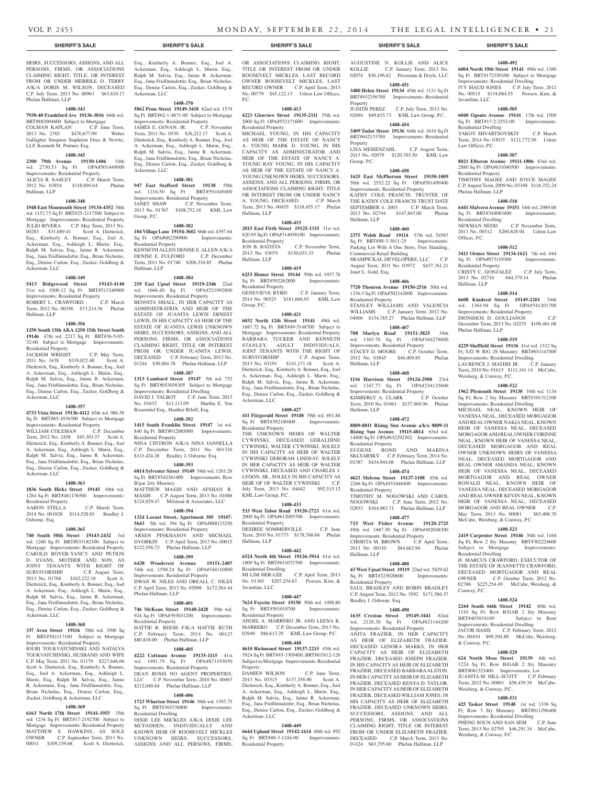# HEIRS, SUCCESSORS, ASSIGNS, AND ALL PERSONS, FIRMS, OR ASSOCIATIONS CLAIMING RIGHT, TITLE, OR INTEREST FROM OR UNDER MERRILE D. TERRY A/K/A DORIS M. WILSON, DECEASED C.P. July Term, 2013 No. 00963 \$63,810.17 Phelan Hallinan, LLP

# **1408-343**

**7938-40 Frankford Ave 19136-3016** 64th wd. BRT#882004600 Subject to Mortgage COLMAN KAPLAN C.P. June Term,

2013 No. 2765 \$470,677.09 Weber Gallagher Simpson Stapleton Fires & Newby, LLP, Kenneth M. Portner, Esq.

# **1408-345**

**2300 79th Avenue 19150-1406** 54th wd. 2730.53 Sq Ft OPA#501449000 Improvements: Residential Property ALICIA R. EASLEY C.P. March Term, 2012 No. 03854 \$118,894.64 Phelan

Hallinan, LLP

# **1408-348**

**1948 East Monmouth Street 19134-4352** 58th wd. 1152.75 Sq Ft BRT#25-2117500 Subject to Mortgage Improvements: Residential Property JULIO RIVERA C.P. May Term, 2013 No. 00283 \$31,089.41 Scott A. Dietterick, Esq., Kimberly A. Bonner, Esq., Joel A. Ackerman, Esq., Ashleigh L. Marin, Esq., Ralph M. Salvia, Esq., Jaime R. Ackerman, Esq., Jana Fridfinnsdottir, Esq., Brian Nicholas, Esq., Denise Carlon, Esq., Zucker, Goldberg & Ackerman, LLC

# **1408-349**

**5413 Ridgewood Street 19143-4140**  51st wd. 1000.12 Sq Ft BRT#513240900 Improvements: Residential Property ROBERT L. CRAWFORD C.P. March

Term, 2012 No. 00356 \$73,214.36 Phelan Hallinan, LLP

# **1408-356**

**1250 South 15th AKA 1250 15th Street South 19146** 47th wd. 2217 Sq Ft BRT#36-5-05- 32-00 Subject to Mortgage Improvements: Residential Property<br>JACKIEM WRIGHT

C.P. May Term, 2011 No. 3438 \$339,022.48 Scott A. Dietterick, Esq., Kimberly A. Bonner, Esq., Joel A. Ackerman, Esq., Ashleigh L. Marin, Esq., Ralph M. Salvia, Esq., Jaime R. Ackerman, Esq., Jana Fridfinnsdottir, Esq., Brian Nicholas, Esq., Denise Carlon, Esq., Zucker, Goldberg & Ackerman, LLC

#### **1408-357**

**4733 Vista Street 19136-4112** 65th wd. 986.58 Sq Ft BRT#65-1036300 Subject to Mortgage

Improvements: Residential Property WILLIAM COLEMAN Term, 2012 No. 2458 \$45,303.57 Scott A. Dietterick, Esq., Kimberly A. Bonner, Esq., Joel A. Ackerman, Esq., Ashleigh L. Marin, Esq., Ralph M. Salvia, Esq., Jaime R. Ackerman, Esq., Jana Fridfinnsdottir, Esq., Brian Nicholas, Esq., Denise Carlon, Esq., Zucker, Goldberg & Ackerman, LLC

#### **1408-363**

**1836 South Hicks Street 19145** 48th wd. 1284 Sq Ft BRT#481176500 Improvements: Residential Property

AARON STELLA C.P. March Term, 2014 No. 001828 \$114,528.65 Bradley J. Osborne. Esq.

#### **1408-365**

**740 South 58th Street 19143-2432** 3rd wd. 1260 Sq Ft BRT#033182100 Subject to Mortgage Improvements: Residential Property CAROLD BOYER-YANCY AND PETION D. EVANS, MOTHER AND SON, AS JOINT TENANTS WITH RIGHT OF SURVIVORSHIP C.P. August Term, 2013 No. 01768 \$102,222.18 Scott A. Dietterick, Esq., Kimberly A. Bonner, Esq., Joel A. Ackerman, Esq., Ashleigh L. Marin, Esq., Ralph M. Salvia, Esq., Jaime R. Ackerman, Esq., Jana Fridfinnsdottir, Esq., Brian Nicholas, Esq., Denise Carlon, Esq., Zucker, Goldberg & Ackerman, LLC

# **1408-368**

**337 Avon Street 19116** 58th wd. 3500 Sq Ft BRT#582117100 Subject to Mortgage Improvements: Residential Property IOURI TOUKVATCHINSKI AND NATALYA OUKVATCHINSKI, HUSBAND AND WIFE C.P. May Term, 2011 No. 01179 \$227,646.66 Scott A. Dietterick, Esq., Kimberly A. Bonner, Esq., Joel A. Ackerman, Esq., Ashleigh L. Marin, Esq., Ralph M. Salvia, Esq., Jaime R. Ackerman, Esq., Jana Fridfinnsdottir, Esq., Brian Nicholas, Esq., Denise Carlon, Esq.,

# **1408-369**

Zucker, Goldberg & Ackerman, LLC

**6163 North 17th Street 19141-1955** 35th wd. 1234 Sq Ft BRT#17-2192700 Subject to Mortgage Improvements: Residential Property MATTHEW S. HAWKINS, AS SOLE<br>OWNER C.P. September Term, 2013 No. C.P. September Term, 2013 No. 00011 \$109,159.68 Scott A. Dietterick, Esq., Kimberly A. Bonner, Esq., Joel A. Ackerman, Esq., Ashleigh L. Marin, Esq., Ralph M. Salvia, Esq., Jaime R. Ackerman, Esq., Jana Fridfinnsdottir, Esq., Brian Nicholas, Esq., Denise Carlon, Esq., Zucker, Goldberg & Ackerman, LLC

# **1408-370**

**5862 Penn Street 19149-3418** 62nd wd. 1574 Sq Ft BRT#62-1-4871-00 Subject to Mortgage Improvements: Residential Property

JAMES E. GOVAN, JR. C.P. November Term, 2011 No. 0530 \$26,212.17 Scott A. Dietterick, Esq., Kimberly A. Bonner, Esq., Joel A. Ackerman, Esq., Ashleigh L. Marin, Esq., Ralph M. Salvia, Esq., Jaime R. Ackerman, Esq., Jana Fridfinnsdottir, Esq., Brian Nicholas, Esq., Denise Carlon, Esq., Zucker, Goldberg & Ackerman, LLC

# **1408-381**

**947 East Stafford Street 19138** 59th wd. 1216.50 Sq Ft BRT#591049400 Improvements: Residential Property JANET SHAW C.P. November Term, 2013 No. 01767 \$108,752.18 KML Law Group, P.C.

#### **1408-382**

**104 Village Lane 19154-3602** 66th wd. 4397.64 Sq Ft OPA#662290900 Improvements: Residential Property KENNETH ALLEN DENISE E. ALLEN A/K/A DENISE E. FULFORD C.P. December Term, 2011 No. 01740 \$206,334.85 Phelan

# **1408-384**

Hallinan, LLP

**219 East Upsal Street 19119-2346** 22nd wd. 1666.40 Sq Ft OPA#221092800 Improvements: Residential Property BENNITA SMALL, IN HER CAPACITY AS ADMINISTRATRIX AND HEIR OF THE ESTATE OF JUANITA LEWIS ERNEST LEWIS, IN HIS CAPACITY AS HEIR OF THE ESTATE OF JUANITA LEWIS UNKNOWN HEIRS, SUCCESSORS, ASSIGNS, AND ALL PERSONS, FIRMS, OR ASSOCIATIONS CLAIMING RIGHT, TITLE OR INTEREST FROM OR UNDER JUANITA LEWIS, DECEASED C.P. February Term, 2013 No. 01244 \$30,004.78 Phelan Hallinan, LLP

#### **1408-387**

**1313 Lombard Street 19147** 5th wd. 752 Sq Ft BRT#053058305 Subject to Mortgage Improvements: Residential Dwelling DAVID J. TALBOT C.P. June Term, 2013 No. 01632 \$11,113.09 Martha E. Von Rosenstiel Esq., Heather Riloff, Esq.

# **1408-392**

**1415 South Franklin Street 19147** 1st wd. 840 Sq Ft BRT#012085000 Improvements: Residential Property

NINA CINTRON A/K/A NINA IANNELLA C.P. December Term, 2011 No. 001316 \$113,424.28 Bradley J. Osborne. Esq.

# **1408-393**

**6814 Sylvester Street 19149** 54th wd. 1261.28 Sq Ft BRT#542361400 Improvements: Row B/gar 2sty Masonry MATTHEW MASIH AND AFSHAN R.

MASIH C.P. August Term, 2013 No. 01086 \$124,929.47 Milstead & Associates, LLC **1408-394**

# **1324 Locust Street, Apartment 305 19107- 5643** 5th wd. 394 Sq Ft OPA#888115250 Improvements: Residential Property ARSEN PINKHASOV AND MICHAEL DVORKIN C.P. April Term, 2013 No. 00015 \$122,556.72 Phelan Hallinan, LLP

# **1408-399**

**6438 Woodcrest Avenue 19151-2407**  34th wd. 1598.24 Sq Ft OPA#344110800 Improvements: Residential Property DWAN W. NILES AND OREALL C. NILES C.P. April Term, 2013 No. 05098 \$172,564.44 Phelan Hallinan, LLP

# **1408-401**

**746 McKean Street 19148-2428** 39th wd. 924 Sq Ft OPA#393031200 Improvements: Residential Property

HATTIE R. REESE F/K/A HATTIE RUTH C.P. February Term, 2014 No. 00123 \$80,818.00 Phelan Hallinan, LLP

# **1408-405**

**4222 Cottman Avenue 19135-1115** 41st wd. 1981.79 Sq Ft OPA#871193650 Improvements: Residential Property DEAN ROSSI NO AGENT PROPERTIES, LLC C.P. November Term, 2010 No. 00467 \$212,040.84 Phelan Hallinan, LLP

# **1408-406**

**1723 Wharton Street 19146** 36th wd. 1593.75<br>Sq Ft BRT#365338800 Improvements: Sq Ft BRT#365338800 Residential Dwelling

DIXIE LEE MICKLES A/K/A DIXIE LEE MCFADDEN, INDIVIDUALLY AND KNOWN HEIR OF ROOSEVELT MICKLES UNKNOWN HEIRS, SUCCESSORS, ASSIGNS AND ALL PERSONS, FIRMS,

# **SHERIFF'S SALE SHERIFF'S SALE SHERIFF'S SALE SHERIFF'S SALE SHERIFF'S SALE**

OR ASSOCIATIONS CLAIMING RIGHT, TITLE OR INTEREST FROM OR UNDER ROOSEVELT MICKLES, LAST RECORD OWNER ROOSEVELT MICKLES, LAST RECORD OWNER C.P. April Term, 2013 No. 00779 \$45,122.13 Udren Law Offices,  $PC$ .

# **1408-413**

**4223 Glenview Street 19135-2111** 55th wd. 2000 Sq Ft OPA#552171600 Improvements: Residential Property

MICHAEL YOUNG, IN HIS CAPACITY AS HEIR OF THE ESTATE OF NANCY A. YOUNG MARK D. YOUNG, IN HIS CAPACITY AS ADMINISTRATOR AND HEIR OF THE ESTATE OF NANCY A. YOUNG RAY YOUNG, IN HIS CAPACITY AS HEIR OF THE ESTATE OF NANCY A. YOUNG UNKNOWN HEIRS, SUCCESSORS, ASSIGNS, AND ALL PERSONS, FIRMS, OR ASSOCIATIONS CLAIMING RIGHT, TITLE OR INTEREST FROM OR UNDER NANCY A. YOUNG, DECEASED C.P. March Term, 2013 No. 00455 \$118,455.17 Phelan Hallinan, LLP

# **1408-415**

**2015 East Firth Street 19125-1315** 31st wd. 820.95 Sq Ft OPA#314058100 Improvements: Residential Property<br>JON B. BATISTA

JON B. BATISTA C.P. November Term,<br>2013 No. 03079 \$130,031.33 Phelan \$130,031.33 Phelan Hallinan, LLP

# **1408-419 6253 Homer Street 19144** 59th wd. 1957.76 Sq Ft BRT#592262800 Improvements: Residential Property GENEVIEVE BYRD C.P. January Term, 2014 No. 00525 \$181,666.93 KML Law

Group, P.C. **1408-421**

**6032 North 12th Street 19141** 49th wd. 1687.72 Sq Ft BRT#49-3148700 Subject to Mortgage Improvements: Residential Property BARBARA TUCKER AND KENNETH STANLEY, ADULT INDIVIDUALS, JOINT TENANTS WITH THE RIGHT OF SURVIVORSHIP C.P. August Term, 2013 No. 03191 \$141,171.18 Scott A. Dietterick, Esq., Kimberly A. Bonner, Esq., Joel A. Ackerman, Esq., Ashleigh L. Marin, Esq., Ralph M. Salvia, Esq., Jaime R. Ackerman, Esq., Jana Fridfinnsdottir, Esq., Brian Nicholas, Esq., Denise Carlon, Esq., Zucker, Goldberg & Ackerman, LLC

# **1408-427**

**411 Fitzgerald Street 19148** 39th wd. 691.88 Sq Ft BRT#392180400 Improvements: Residential Property THE UNKNOWN HEIRS OF WALTER

CYWINSKI, DECEASED GERALDINE CYWINSKI, WALTER CYWINSKI, SOLELY IN HIS CAPACITY AS HEIR OF WALTER CYWINSKI DEBORAH LINDSAY, SOLELY IN HER CAPACITY AS HEIR OF WALTER CYWINSKI, DECEASED AND CHARLES J. LYDON, SR., SOLELY IN HIS CAPACITY AS HEIR OF OF WALTER CYWINSKI C.P. July Term, 2013 No. 04442 \$92,515.12 KML Law Group, P.C.

# **1408-433**

**533 West Tabor Road 19120-2723** 61st wd. 2000 Sq Ft OPA#612005700 Improvements: Residential Property DESIREE SOMMERVILLE C.P. June Term, 2010 No. 01773 \$178,768.84 Phelan Hallinan, LLP

# **1408-442**

**6524 North 4th Street 19126-3914** 61st wd. 1800 Sq Ft BRT#611072700 Improvements: Residential Dwelling MI LIM HER-LEE C.P. April Term, 2013 No. 01365 \$207,254.83 Powers, Kirn, &

# **1408-447**

Javardian, LLC

**7624 Fayette Street 19150** 50th wd. 1498.80 Sq Ft BRT#501018700 Improvements: Residential Property ANGEL A. MARRERO JR. AND LEENA K. MARRERO C.P. December Term, 2013 No. 02949 \$86,613.29 KML Law Group, P.C.

# **1408-448**

**4610 Richmond Street 19137-2215** 45th wd. 3924 Sq Ft BRT#45-3309400, BRT#81N12-126 Subject to Mortgage Improvements: Residential Property

DAMIEN WILSON C.P. June Term, 2013 No. 03515 \$137,356.90 Scott A. Dietterick, Esq., Kimberly A. Bonner, Esq., Joel A. Ackerman, Esq., Ashleigh L. Marin, Esq., Ralph M. Salvia, Esq., Jaime R. Ackerman, Esq., Jana Fridfinnsdottir, Esq., Brian Nicholas, Esq., Denise Carlon, Esq., Zucker, Goldberg & Ackerman, LLC

# **1408-449**

**6644 Upland Street 19142-1614** 40th wd. 992<br>Sq Ft BRT#40-3-1244-00 Improvements: Sq Ft BRT#40-3-1244-00 Residential Property

**1408-492 6004 North 19th Street 19141** 49th wd. 1360 So Ft BRT#172350100 Subject to Mortgage Improvements: Residential Dwelling IVY MAUD JONES C.P. July Term, 2012 No. 00515 \$134,084.55 Powers, Kirn, &

**1408-505 6040 Ogontz Avenue 19141** 17th wd. 1500 Sq Ft BRT#17-2-2552-00 Improvements:

YAKOV SHVARTSOVSKIY C.P. March Term, 2014 No. 03015 \$121,772.99 Udren

**1408-507 8021 Elberon Avenue 19111-1806** 63rd wd. 2880 Sq Ft OPA#631040500 Improvements:

TIMOTHY MAGEE AND JOYCE MAGEE C.P. August Term, 2009 No. 03348 \$116,352.24

**1408-510 6441 Malvern Avenue 19151** 34th wd. 2989.00<br>
Sq Ft BRT#344083400 Improvements: Sq Ft BRT#344083400 Improvements:

NEWMAN NEDD C.P. November Term, 2013 No. 00312 \$200,628.94 Udren Law

**1408-512 3411 Ormes Street 19134-1621** 7th wd. 644 Sq Ft OPA#073119300 Improvements:

CRISTY C. GONZALEZ C.P. July Term, 2013 No. 02716 \$44,379.14 Phelan

**1408-514 6608 Kindred Street 19149-2201** 54th wd. 1364.94 Sq Ft OPA#541201700 Improvements: Residential Property DIONISIOS D. GOULIANOS C.P. December Term, 2013 No. 02235 \$100,461.08

**1408-519 4229 Sheffield Street 19136** 41st wd. 1312 Sq Ft; S/D W B/G 2S Masonry BRT#651143500 Improvements: Residential Dwelling LAURENCE J. MATHIS JR. C.P. January Term, 2010 No. 01615 \$111,341.14 McCabe,

**1408-522 1962 Plymouth Street 19138** 10th wd. 1134 Sq Ft; Row 2 Sty Masonry BRT#101312100 Improvements: Residential Dwelling MICHAEL NEAL, KNOWN HEIR OF VANESSA NEAL, DECEASED MORGAGOR AND REAL OWNER NAKIA NEAL, KNOWN HEIR OF VANESSA NEAL, DECEASED MORGAGOR AND REAL OWNER CORINNE NEAL, KNOWN HEIR OF VANESSA NEAL, DECEASED MORGAGOR AND REAL OWNER UNKNOWN HEIRS OF VANESSA NEAL, DECEASED MORTGAGOR AND REAL OWNER AMANDA NEAL, KNOWN HEIR OF VANESSA NEAL, DECEASED MORTGAGOR AND REAL OWNER RONALD NEAL, KNOWN HEIR OF VANESSA NEAL, DECEASED MORGAGOR AND REAL OWNER KEVIN NEAL, KNOWN HEIR OF VANESSA NEAL, DECEASED MORGAGOR AND REAL OWNER C.P. May Term, 2013 No. 00081 \$63,406.70 McCabe, Weisberg, & Conway, P.C. **1408-523 2419 Carpenter Street 19146** 30th wd. 1164 Sq Ft; Row 2 Sty Masonry BRT#302224600<br>Subject to Mortgage Improvements:

Javardian, LLC

Residential Dwelling

Law Offices, P.C.

Residential Property

Phelan Hallinan, LLP

Residential Dwelling

Residential Property

Phelan Hallinan, LLP

Weisberg, & Conway, P.C.

 $Subject$  to Mortgage Residential Dwelling

Conway, P.C.

& Conway, P.C.

Weisberg, & Conway, P.C.

Weisberg, & Conway, P.C.

H. MARCUS CRAWFORD, EXECUTOR OF THE ESTATE OF JEANNETTE CRAWFORD, DECEASED MORTGAGOR AND REAL OWNER C.P. October Term, 2012 No. 02786 \$225,254.49 McCabe, Weisberg, &

**1408-524 2244 South 66th Street 19142** 40th wd. 1110 Sq Ft; Row B/GAR 2 Sty Masonry BRT#403034100 Subject to Rent Improvements: Residential Dwelling JACOB HASIS C.P. February Term, 2012 No. 00410 \$99,594.88 McCabe, Weisberg,

**1408-529 624 North Moss Street 19139** 6th wd. 1224 Sq Ft; Row B/GAR 2 Sty Masonry BRT#061323400 Improvements: Lot JUANITA M. HILL-SCOTT C.P. February Term, 2012 No. 00801 \$58,439.38 McCabe,

**1408-531 425 Tasker Street 19148** 1st wd. 1336 Sq Ft; Row 3 Sty Masonry BRT#011296400 Improvements: Residential Dwelling PHENG SOUN AND SAN SEM C.P. June Term, 2013 No. 02795 \$46,291.34 McCabe,

Hallinan, LLP

Offices, P.C.

AUGUSTINE N. KOLLIE AND ALICE KOLLIE C.P. January Term, 2013 No. 02074 \$36,196.62 Pressman & Doyle, LLC

# **1408-451**

**3480 Helen Street 19134** 45th wd. 1131 Sq Ft BRT#452356700 Improvements: Residential Property JUDITH PEREZ C.P. July Term, 2013 No. 02694 \$49,815.73 KML Law Group, P.C.

# **1408-454**

**3409 Tudor Street 19136** 64th wd. 1616 Sq Ft BRT#642133700 Improvements: Residential Property LISA MEISENZAHL C.P. August Term,

2013 No. 02079 \$120,785.50 KML Law Group, P.C.

# **1408-458**

**1625 East McPherson Street 19150-1009**  50th wd. 2552.22 Sq Ft OPA#501499400 Improvements: Residential Property KATHY COLE FRANCIS, TRUSTEE OF THE KATHY COLE FRANCIS TRUST DATE SEPTEMBER 4, 2003 C.P. March Term, 2013 No. 02744 \$147,843.00 Phelan Hallinan, LLP

# **1408-460**

**2375 Welsh Road 19114** 57th wd. 54567 Sq Ft BRT#88-3-3811-25 Improvements: Parking Lot With A One Story, Free Standing, Commercial Retail Building SRAMPICKAL DEVELOPERS, LLC C.P. August Term, 2011 No. 03972 \$437,761.21 Janet L. Gold, Esq.

# **1408-466**

**7720 Thouron Avenue 19150-2516** 50th wd. 1336.5 Sq Ft OPA#502142800 Improvements: Residential Property STANLEY WILLIAMS AND VALENCIA WILLIAMS C.P. January Term, 2012 No. 04006 \$134,785.27 Phelan Hallinan, LLP

# **1408-467**

**708 Marlyn Road 19151-3825** 34th wd. 1303.76 Sq Ft OPA#344278600 Improvements: Residential Property STACEY D. MOORE C.P. October Term, 2012 No. 03845 \$46,409.85 Phelan Hallinan, LLP

wd. 1347.77 Sq Ft OPA#234125600 Improvements: Residential Property<br>KIMBERLY A. CLARK C.P. October

Term, 2010 No. 01961 \$157,969.96 Phelan

**1408-472 8809-8811 Rising Sun Avenue a/k/a 8809-11 Rising Sun Avenue 19115-4814** 63rd wd. 14400 Sq Ft OPA#632292502 Improvements:

EUGENE BOND AND MARINA SKLYARSKY C.P. February Term, 2014 No. 01387 \$434,944.06 Phelan Hallinan, LLP **1408-474 4621 Melrose Street 19137-1108** 45th wd. 2266 Sq Ft OPA#453446400 Improvements:

TIMOTHY M. NOGOWSKI AND CAROL NOGOWSKI C.P. June Term, 2012 No. 02853 \$164,983.71 Phelan Hallinan, LLP **1408-477 715 West Fisher Avenue 19120-2725**  49th wd. 1687.50 Sq Ft OPA#492048300 Improvements: Residential Property CHERITA M. BROWN C.P. April Term, 2013 No. 00310 \$84,662.94 Phelan

**1408-488 43 West Upsal Street 19119** 22nd wd. 5829.62 Sq Ft BRT#223020600 Improvements:

SAUL BRADLEY AND ROBIN BRADLEY C.P. August Term, 2012 No. 3592 \$171,586.57

**1408-490 1635 Creston Street 19149-3441** 62nd wd. 2126.30 Sq Ft OPA#621144200 Improvements: Residential Property ANITA FRAZIER, IN HER CAPACITY AS HEIR OF ELIZABETH FRAZIER, DECEASED LENORA MARKS, IN HER CAPACITY AS HEIR OF ELIZABETH FRAZIER, DECEASED JOSEPH FRAZIER, IN HIS CAPACITY AS HEIR OF ELIZABETH FRAZIER, DECEASED BARBARA ALSTON, IN HER CAPACITY AS HEIR OF ELIZABETH FRAZIER, DECEASED KENYA D. TAYLOR, IN HER CAPACITY AS HEIR OF ELIZABETH FRAZIER, DECEASED WILLIAM JONES, IN HIS CAPACITY AS HEIR OF ELIZABETH FRAZIER, DECEASED UNKNOWN HEIRS, SUCCESSORS, ASSIGNS, AND ALL PERSONS, FIRMS, OR ASSOCIATIONS CLAIMING RIGHT, TITLE OR INTEREST FROM OR UNDER ELIZABETH FRAZIER, DECEASED C.P. March Term, 2013 No. 01424 \$63,795.60 Phelan Hallinan, LLP

# **1408-468 1116 Harrison Street 19124-2908** 23rd

KIMBERLY A. CLARK

Residential Property

Residential Property

Hallinan, LLP

Residential Property

Bradley J. Osborne. Esq.

Hallinan, LLP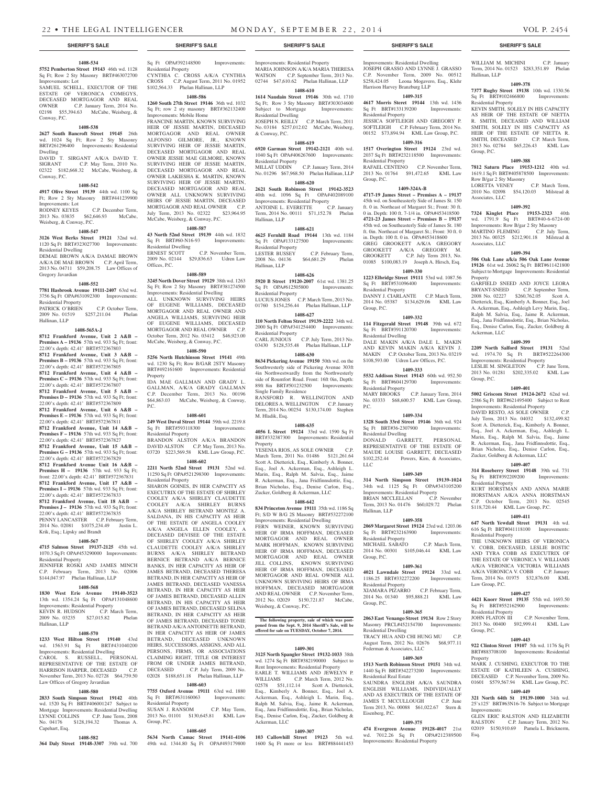# **1408-534**

**5752 Pemberton Street 19143** 46th wd. 1128 Sq Ft; Row 2 Sty Masonry BRT#463072700 Improvements: Lot

SAMUEL SCHELL, EXECUTOR OF THE ESTATE OF VERONICA COMEGYS, DECEASED MORTGAGOR AND REAL OWNER C.P. January Term, 2014 No. 02198 \$55,394.63 McCabe, Weisberg, & Conway, P.C.

#### **1408-538**

**2627 South Bancroft Street 19145** 26th wd. 1024 Sq Ft; Row 2 Sty Masonry BRT#261296400 Improvements: Residential Dwelling

DAVID T. SIRGANT A/K/A DAVID T. SIGRANT C.P. May Term, 2010 No. 02322 \$182,668.32 McCabe, Weisberg, & Conway, P.C.

# **1408-542**

**4917 Olive Street 19139** 44th wd. 1100 Sq Ft; Row 2 Sty Masonry BRT#441239900 Improvements: Lot<br>RODNEY KEYES C.P. December Term,

2013 No. 03835 \$62,646.93 McCabe, Weisberg, & Conway, P.C.

# **1408-547**

**3126 West Berks Street 19121** 32nd wd. 1120 Sq Ft BRT#323027700 Improvements: Residential Dwelling

DEMAE BROWN A/K/A DAMAE BROWN A/K/A DE MAE BROWN C.P. April Term, 2013 No. 04711 \$59,208.75 Law Offices of Gregory Javardian

## **1408-552**

**7781 Hasbrook Avenue 19111-2407** 63rd wd. 3756 Sq Ft OPA#631092300 Improvements: Residential Property<br>PATRICK O'BRIEN C.P. October Term,

2009 No. 01519 \$257,211.04 Phelan Hallinan, LLP

# **1408-565A-J**

**8712 Frankford Avenue, Unit 2 A&B – Premises A – 19136** 57th wd. 933 Sq Ft; front: 22.00'x depth: 42.41' BRT#572367803 **8712 Frankford Avenue, Unit 3 A&B – Premises B – 19136** 57th wd. 933 Sq Ft; front: 22.00'x depth: 42.41' BRT#572367805 **8712 Frankford Avenue, Unit 4 A&B – Premises C – 19136** 57th wd. 933 Sq Ft; front: 22.00'x depth: 42.41' BRT#572367807 **8712 Frankford Avenue, Unit 5 A&B – Premises D – 19136** 57th wd. 933 Sq Ft; front: 22.00'x depth: 42.41' BRT#572367809 **8712 Frankford Avenue, Unit 6 A&B – Premises E – 19136** 57th wd. 933 Sq Ft; front: 22.00'x depth: 42.41' BRT#572367811 **8712 Frankford Avenue, Unit 14 A&B – Premises F – 19136** 57th wd. 933 Sq Ft; front: 22.00'x depth: 42.41' BRT#572367827 **8712 Frankford Avenue, Unit 15 A&B – Premises G – 19136** 57th wd. 933 Sq Ft; front: 22.00'x depth: 42.41' BRT#572367829 **8712 Frankford Avenue Unit 16 A&B – Premises H – 19136** 57th wd. 933 Sq Ft; front: 22.00'x depth: 42.41' BRT#572367831 **8712 Frankford Avenue, Unit 17 A&B – Premises I – 19136** 57th wd. 933 Sq Ft; front: 22.00'x depth: 42.41' BRT#572367833 **8712 Frankford Avenue, Unit 18 A&B –** 

**Premises J – 19136** 57th wd. 933 Sq Ft; front: 22.00'x depth: 42.41' BRT#572367835 PENNY LANCASTER C.P. February Term, 2014 No. 02081 \$1075,234.49 Justin L. Krik, Esq.; Lipsky and Brandt

# **1408-567**

**4715 Salmon Street 19137-2125** 45th wd. 1070.3 Sq Ft OPA#453290000 Improvements: Residential Property JENNIFER ROSKI AND JAMES MINCH

C.P. February Term, 2013 No. 02006 \$144,047.97 Phelan Hallinan, LLP

# **1408-568**

**1830 West Erie Avenue 19140-3523**  13th wd. 1354.24 Sq Ft OPA#131048600 Improvements: Residential Property<br>KEVIN R. HUDSON C.P. March Term, KEVIN R. HUDSON C.P. March Term,<br>2009 No. 03235 \$27,015.82 Phelan 2009 No. 03235 \$27,015.82 Hallinan, LLP

# **1408-570**

**1233 West Hilton Street 19140** 43rd wd. 1563.91 Sq Ft BRT#431040200 Improvements: Residential Dwelling CAROL S. RUSSELL, PERSONAL REPRESENTATIVE OF THE ESTATE OF HARRISON HARPER. DECEASED C.P. HARRISON HARPER, DECEASED November Term, 2013 No. 02728 \$64,759.50 Law Offices of Gregory Javardian

# **1408-580**

**2833 South Simpson Street 19142** 40th wd. 1520 Sq Ft BRT#406001247 Subject to Mortgage Improvements: Residential Dwelling LYNNE COLLINS C.P. June Term, 2008 No. 04176 \$128,194.32 Thomas A. Capehart, Esq.

# **1408-582**

**364 Daly Street 19148-3307** 39th wd. 700 49th wd. 1344.80 Sq Ft OPA#493179800

Sq Ft OPA#392148500 Improvements: Residential Property CYNTHIA C. CROSS A/K/A CYNTHIA CROSS C.P. August Term, 2011 No. 01952 \$102,564.33 Phelan Hallinan, LLP

# **1408-586**

**1260 South 27th Street 19146** 36th wd. 1032 Sq Ft; row 2 sty masonry BRT#362132400 Improvements: Mobile Home

FRANCINE MARTIN, KNOWN SURVIVING HEIR OF JESSIE MARTIN, DECEASED MORTGAGOR AND REAL OWNER ALFONSO GILMORE, JR., KNOWN SURVIVING HEIR OF JESSIE MARTIN, DECEASED MORTGAGOR AND REAL OWNER JESSIE MAE GILMORE, KNOWN SURVIVING HEIR OF JESSIE MARTIN, DECEASED MORTGAGOR AND REAL OWNER LAKIESHA K. MARTIN, KNOWN SURVIVING HEIR OF JESSIE MARTIN, DECEASED MORTGAGOR AND REAL OWNER ALL UNKNOWN SURVIVING HEIRS OF JESSIE MARTIN, DECEASED MORTGAGOR AND REAL OWNER C.P. July Term, 2013 No. 02322 \$23,964.95 McCabe, Weisberg, & Conway, P.C.

# **1408-587**

**43 North 52nd Street 19139** 44th wd. 1832<br>
Sq Ft BRT#60-N16-93 Improvements: Sq Ft BRT#60-N16-93 Residential Dwelling<br>ERNEST SCOTT C.P. November Term, 2009 No. 02144 \$29,836.63 Udren Law

**1408-589**

Offices, P.C.

# **3245 North Dover Street 19129** 38th wd. 1263 Sq Ft; Row 2 Sty Masonry BRT#381274500 Improvements: Residential Dwelling ALL UNKNOWN SURVIVING HEIRS OF EUGENE WILLIAMS, DECEASED MORTGAGOR AND REAL OWNER AND ANGELA WILLIAMS, SURVIVING HEIR OF EUGENE WILLIAMS, DECEASED MORTGAGOR AND REAL OWNER October Term, 2012 No. 03412 \$46,923.00 McCabe, Weisberg, & Conway, P.C.

**1408-590**

**5256 North Hutchinson Street 19141** 49th wd. 1230 Sq Ft; Row B/GAR 2STY Masonry BRT#492161600 Improvements: Residential Property IDA MAE GALLMAN AND GRADY L.

GALLMAN, A/K/A GRADY GALLMAN C.P. December Term, 2013 No. 00196  $$64,863.03$  McCabe, Weisberg, & Conway, P.C.

# **1408-601**

**249 West Duval Street 19144** 59th wd. 2219.8<br>
Sq Ft BRT#593118300 Improvements: Sq Ft BRT#593118300 Residential Property BRANDON ALSTON A/K/A BRANDON

DAVID ALSTON C.P. May Term, 2013 No. 03720 \$223,569.58 KML Law Group, P.C. **1408-602**

**2211 North 52nd Street 19131** 52nd wd. 11250 Sq Ft OPA#521298300 Improvements: Residential Property SHARON GOINES, IN HER CAPACITY AS

EXECUTRIX OF THE ESTATE OF SHIRLEY COOLEY A/K/A SHIRLEY CLAUDETTE COOLEY A/K/A SHIRLEY BURNS A/K/A SHIRLEY BETRAND MONTEZ A. SALDANA, IN HIS CAPACITY AS HEIR OF THE ESTATE OF ANGELA COOLEY A/K/A ANGELA ELLEN COOLEY, A DECEASED DEVISEE OF THE ESTATE OF SHIRLEY COOLEY A/K/A SHIRLEY CLAUDETTE COOLEY A/K/A SHIRLEY BURNS A/K/A SHIRLEY BETRAND BERNICE BETRAND A/K/A BERNICE BANKS, IN HER CAPACITY AS HEIR OF JAMES BETRAND, DECEASED THERESA BETRAND, IN HER CAPACITY AS HEIR OF JAMES BETRAND, DECEASED VANESSA BETRAND, IN HER CAPACITY AS HEIR OF JAMES BETRAND, DECEASED ALLEN BETRAND, IN HIS CAPACITY AS HEIR OF JAMES BETRAND, DECEASED SELINA BETRAND, IN HER CAPACITY AS HEIR OF JAMES BETRAND, DECEASED TONIE BETRAND A/K/A ANTOINETTE BETRAND, IN HER CAPACITY AS HEIR OF JAMES BETRAND, DECEASED UNKNOWN HEIRS, SUCCESSORS, ASSIGNS, AND ALL PERSONS, FIRMS, OR ASSOCIATIONS CLAIMING RIGHT, TITLE OR INTEREST FROM OR UNDER JAMES BETRAND,<br>DECEASED CP July Term 2009 No C.P. July Term, 2009 No. 02028 \$188,651.18 Phelan Hallinan, LLP

# **1408-603**

**7755 Oxford Avenue 19111** 63rd wd. 1880 Sq Ft BRT#631160063 Improvements: Residential Property

SUSAN J. RANSOM C.P. May Term, 2013 No. 01101 \$130,645.81 KML Law Group, P.C.

# **1408-605**

**5634 North Camac Street 19141-4106** 

# Improvements: Residential Property

MARIA JOHNSON A/K/A MARIA THERESA WATSON C.P. September Term, 2013 No. 02744 \$47,610.62 Phelan Hallinan, LLP **1408-610**

# **1614 Naudain Street 19146** 30th wd. 1710

Sq Ft; Row 3 Sty Masonry BRT#303034600<br>Subject to Mortgage Improvements: Subject to Mortgage Residential Dwelling JOSEPH N. REILLY C.P. March Term, 2011

No. 03184 \$257,012.02 McCabe, Weisberg, & Conway, P.C.

# **1408-619**

**6920 Garman Street 19142-2121** 40th wd. 1040 Sq Ft OPA#406267600 Improvements: Residential Property<br>MILLAT UDDIN C.P. January Term, 2014 No. 01296 \$67,968.50 Phelan Hallinan, LLP

# **1408-620**

**2621 South Robinson Street 19142-3523**  40th wd. 1096 Sq Ft OPA#402089100 Improvements: Residential Property<br>ANTOINE L. EVERETTE C.P. January ANTOINE L. EVERETTE Term, 2014 No. 00111 \$71,152.78 Phelan Hallinan, LLP

# **1408-621**

**4625 Fernhill Road 19144** 13th wd. 1184 Sq Ft OPA#133127500 Improvements: Residential Property<br>LESTER BUSSEY C.P. February Term,<br>\$64,681.29 Phelan 2008 No. 04136 Hallinan, LLP

# **1408-626**

**5920 B Street 19120-2007** 61st wd. 1381.25 Sq Ft OPA#612505800 Improvements: Residential Property LUCIUS JONES C.P. March Term, 2013 No. 01760 \$154,256.44 Phelan Hallinan, LLP

# **1408-627**

**110 North Felton Street 19139-2222** 34th wd. 2000 Sq Ft OPA#341254400 Improvements: Residential Property CARL JUNIOUS C.P. July Term, 2013 No. 03430 \$128,535.48 Phelan Hallinan, LLP

#### **1408-630**

**8634 Pickering Avenue 19150** 50th wd. on the Southwesterly side of Pickering Avenue 303ft 4in Northwestwardly from the Northwesterly side of Roumfort Road. Front: 16ft 0in, Depth: 89ft 8in BRT#501232500 Improvements: Single Family Residence RANSFORD R. WELLINGTON AND DELORES A. WELLINGTON C.P. January Term, 2014 No. 00254 \$130,174.00 Stephen M. Hladik, Esq.

# **1408-635**

**4056 L Street 19124** 33rd wd. 1590 Sq Ft BRT#332387300 Improvements: Residential Property

YESENIA RIOS, AS SOLE OWNER C.P. March Term, 2011 No. 01486 \$121,261.64 Scott A. Dietterick, Esq., Kimberly A. Bonner, Esq., Joel A. Ackerman, Esq., Ashleigh L. Marin, Esq., Ralph M. Salvia, Esq., Jaime R. Ackerman, Esq., Jana Fridfinnsdottir, Esq., Brian Nicholas, Esq., Denise Carlon, Esq., Zucker, Goldberg & Ackerman, LLC

# **1408-642**

**834 Princeton Avenue 19111** 35th wd. 1186 Sq Ft; S/D W B/G 2S Masonry BRT#532272100 Improvements: Residential Dwelling FERN WEINER, KNOWN SURVIVING HEIR OF IRMA HOFFMAN, DECEASED MORTGAGOR AND REAL OWNER MARK HOFFMAN, KNOWN SURVIVING HEIR OF IRMA HOFFMAN, DECEASED MORTGAGOR AND REAL OWNER JILL COLLINS, KNOWN SURVIVING HEIR OF IRMA HOFFMAN, DECEASED MORTGAGOR AND REAL OWNER ALL UNKNOWN SURVIVING HEIRS OF IRMA HOFFMAN, DECEASED MORTGAGOR AND REAL OWNER C.P. November Term, 2012 No. 02029 \$150,721.87 McCabe, Weisberg, & Conway, P.C.

#### **The following property, sale of which was postponed from the Sept. 9, 2014 Sheriff's Sale, will be offered for sale on TUESDAY, October 7, 2014.**

# **1409-301**

**3125 North Spangler Street 19132-1033** 38th wd. 1274 Sq Ft BRT#382190000 Subject to Rent Improvements: Residential Property EARLE T. WILLIAMS AND JEWELYN P. WILLIAMS C.P. March Term, 2012 No. 02578 \$51,112.14 Scott A. Dietterick, Esq., Kimberly A. Bonner, Esq., Joel A. Ackerman, Esq., Ashleigh L. Marin, Esq.,

Ralph M. Salvia, Esq., Jaime R. Ackerman, Esq., Jana Fridfinnsdottir, Esq., Brian Nicholas, Esq., Denise Carlon, Esq., Zucker, Goldberg & Ackerman, LLC

# **1409-307**

**103 Callowhill Street 19123** 5th wd. 1600 Sq Ft more or less BRT#884441453

# **SHERIFF'S SALE SHERIFF'S SALE SHERIFF'S SALE SHERIFF'S SALE SHERIFF'S SALE**

Improvements: Residential Dwelling JOSEPH GRASSO AND LYNNE J. GRASSO C.P. November Term, 2009 No. 00512 \$258,424.05 Leona Mogavero, Esq., Klehr Harrison Harvey Branzburg LLP

WILLIAM M. MICHINI C.P. January Term, 2014 No. 01523 \$283,351.89 Phelan

**1409-378 7377 Rugby Street 19138** 10th wd. 1330.56 Sq Ft BRT#102466800 Improvements:

KEVIN SMITH, SOLELY IN HIS CAPACITY AS HEIR OF THE ESTATE OF NIETTA R. SMITH, DECEASED AND WILLIAM SMITH, SOLELY IN HIS CAPACITY AS HEIR OF THE ESTATE OF NIETTA R. SMITH, DECEASED C.P. March Term, 2013 No. 02784 \$65,226.43 KML Law

**1409-388 7812 Saturn Place 19153-1212** 40th wd. 1619.1 Sq Ft BRT#405878500 Improvements:

LORETTA VENEY C.P. March Term, 2010 No. 02098 \$54,120.03 Milstead &

**1409-392 7324 Kinglet Place 19153-2323** 40th wd. 1791.9 Sq Ft BRT#40-6-6724-00 Improvements: Row B/gar 2 Sty Masonry MARTINO FLEMING C.P. July Term, 2013 No. 00325 \$212,901.18 Milstead &

**1409-394 506 Oak Lane a/k/a 506 Oak Lane Avenue 19126** 61st wd. 26062 Sq Ft BRT#611421800 Subject to Mortgage Improvements: Residential

GARFIELD SNEED AND JOYCE LEORA BRYANT-SNEED C.P. September Term, 2008 No. 02227 \$260,762.05 Scott A. Dietterick, Esq., Kimberly A. Bonner, Esq., Joel A. Ackerman, Esq., Ashleigh Levy Marin, Esq., Ralph M. Salvia, Esq., Jaime R. Ackerman, Esq., Jana Fridfinnsdottir, Esq., Brian Nicholas, Esq., Denise Carlon, Esq., Zucker, Goldberg &

**1409-399 2209 North Salford Street 19131** 52nd wd. 1974.70 Sq Ft BRT#522264300 Improvements: Residential Property LESLIE M. SINGLETON C.P. June Term, 2013 No. 01281 \$202,335.02 KML Law

**1409-401 5002 Griscom Street 19124-2672** 62nd wd. 2386 Sq Ft BRT#621495400 Subject to Rent Improvements: Residential Property DAVID RESTO, AS SOLE OWNER C.P. July Term, 2013 No. 04032 \$132,499.82 Scott A. Dietterick, Esq., Kimberly A. Bonner, Esq., Joel A. Ackerman, Esq., Ashleigh L. Marin, Esq., Ralph M. Salvia, Esq., Jaime R. Ackerman, Esq., Jana Fridfinnsdottir, Esq., Brian Nicholas, Esq., Denise Carlon, Esq., Zucker, Goldberg & Ackerman, LLC **1409-407 314 Roseberry Street 19148** 39th wd. 731 Sq Ft BRT#392209200 Improvements:

KURT HORSTMAN AND ANNA MARIE HORSTMAN A/K/A ANNA HORSTMAN C.P. October Term, 2013 No. 02545 \$118,720.44 KML Law Group, P.C. **1409-411 647 North Yewdall Street 19131** 4th wd. 616 Sq Ft BRT#041118100 Improvements:

THE UNKNOWN HEIRS OF VERONICA V. COBB, DECEASED, LESLIE BOSTIC AND TYRA COBB AS EXECUTRIX OF THE ESTATE OF VERONICA V. WILLIAMS A/K/A VERONICA VICTORIA WILLIAMS A/K/A VERONICA V. COBB C.P. January Term, 2014 No. 01975 \$32,876.00 KML

**1409-427 4421 Knorr Street 19135** 55th wd. 1693.50 Sq Ft BRT#552162900 Improvements:

2013 No. 00400 \$92,999.41 KML Law

**1409-443 922 Clinton Street 19107** 5th wd. 1176 Sq Ft BRT#883708100 Improvements: Residential

MARK J. CUSHING, EXECUTOR TO THE ESTATE OF KATHLEEN A. CUSHING, DECEASED C.P. November Term, 2009 No. 01601 \$579,567.94 KML Law Group, P.C. **1409-449 321 North 64th St 19139-1000** 34th wd. 25'x125' BRT#63N16-76 Subject to Mortgage

GLEN ERIC RALSTON AND ELIZABETH RALSTON C.P. January Term, 2012 No. 02019 \$150,910.69 Pamela L. Bricknerm,

C.P. November Term,

Hallinan, LLP

Group, P.C.

Associates, LLC

Associates, LLC

Ackerman, LLC

Group, P.C.

Residential Property

Residential Property

Law Group, P.C.

Residential Property<br>JOHN FLATON III

Group, P.C.

Property

Improvements:

Esq.

Property

Row B/gar 2 Sty Masonry

Residential Property

# **1409-315 4617 Morris Steret 19144** 13th wd. 1436

Sq Ft BRT#133139200 Improvements: Residential Property JESSICA SOFTLEIGH AND GREGORY P. SOFTLEIGH C.P. February Term, 2014 No.

00152 \$73,894.94 KML Law Group, P.C. **1409-316**

# **1517 Overington Street 19124** 23rd wd.

2037 Sq Ft BRT#232118500 Improvements: Residential Property RAFAEL CENTENO C.P. November Term, 2013 No. 01764 \$91,472.65 KML Law Group, P.C.

# **1409-324A-B**

**4717-19 James Street – Premises A – 19137**  45th wd. on Southeasterly Side of James St. 150 ft. 0 in. Northeast of Margaret St.; Front: 30 ft. 0 in. Depth: 100 ft. 7-1/4 in. OPA#453418500 **4721-23 James Street – Premises B – 19137**  45th wd. on Southeasterly Side of James St. 180 ft. 0in. Northeast of Margaret St.; Front: 30 ft. 0 in. Depth: 100 ft. 0 in. OPA#453418600 GREG GROOKETT A/K/A GREGORY GROOKETT A/K/A GREGORY M. GROOKETT C.P. July Term 2013, No. 01085 \$100,083.19 Joseph A. Hirsch, Esq.

# **1409-330**

**1223 Elbridge Street 19111** 53rd wd. 1087.56<br>Sq Ft BRT#531096400 Improvements: Sq Ft BRT#531096400

Residential Property DANNY J. CIARLANTE C.P. March Term, 2014 No. 05387 \$134,629.06 KML Law Group, P.C.

# **1409-332**

**114 Fitzgerald Street 19148** 39th wd. 672 Sq Ft BRT#391120700 Residential Dwelling DALE MAKIN A/K/A DALE L. MAKIN

AND KEVIN MAKIN A/K/A KEVIN J. MAKIN C.P. October Term, 2013 No. 03219 \$108,593.00 Udren Law Offices, P.C. **1409-333**

**5532 Addison Street 19143** 60th wd. 952.50 Sq Ft BRT#604129700 Improvements: Residential Property MARY BROOKS C.P. January Term, 2014

No. 03333 \$68,600.57 KML Law Group, P.C. **1409-334**

DONALD GARRETT, PERSONAL REPRESENTATIVE OF THE ESTATE OF MAUDE LOUISE GARRETT, DECEASED \$102,252.44 Powers, Kirn, & Associates,

**1409-349 314 North Simpson Street 19139-1024**  34th wd. 1125 Sq Ft OPA#343105200 Improvements: Residential Property BRIAN MCCLELLAN C.P. November Term, 2013 No. 01476 \$60,029.72 Phelan

**1409-358 2069 Margaret Street 19124** 23rd wd. 1203.06 Sq Ft BRT#232163900 Improvements:

MICHAEL SABATO C.P. March Term, 2014 No. 00301 \$105,046.44 KML Law

**1409-361 4021 Lawndale Street 19124** 33rd wd. 1186.25 BRT#332272200 Improvements:

XIAMARA PIZARRO C.P. February Term, 2014 No. 01340 \$95,888.21 KML Law

**1409-365 2063 East Venango Street 19134** Row 2 Story Masonry PRCL#452154700 Improvements:

TRACY HUA AND CHI HUNG MU C.P. August Term, 2012 No. 02676 \$68,977.11

**1409-369 1513 North Robinson Street 19151** 34th wd. 1440 Sq Ft BRT#342273200 Improvements:

SAUNDRA ENGLISH A/K/A SAUNDRA ENGLISH WILLIAMS, INDIVIDUALLY AND AS EXECUTRIX OF THE ESTATE OF JAMES T. MCCULLOUGH C.P. June Term 2013, No. 00088 \$61,022.67 Stern &

**1409-375 474 Evergreen Avenue 19128-4017** 21st wd. 7012.26 Sq Ft OPA#212389500 Improvements: Residential Property

# **1328 South 33rd Street 19146** 36th wd. 924 Sq Ft BRT#36-2307900 Improvements:

Residential Dwelling

LLC

Hallinan, LLP

Group, P.C.

Group, P.C.

Residential Property

Residential Property

Residential Dwelling

Residential Real Estate

Eisenberg, P.C.

Federman & Associates, LLC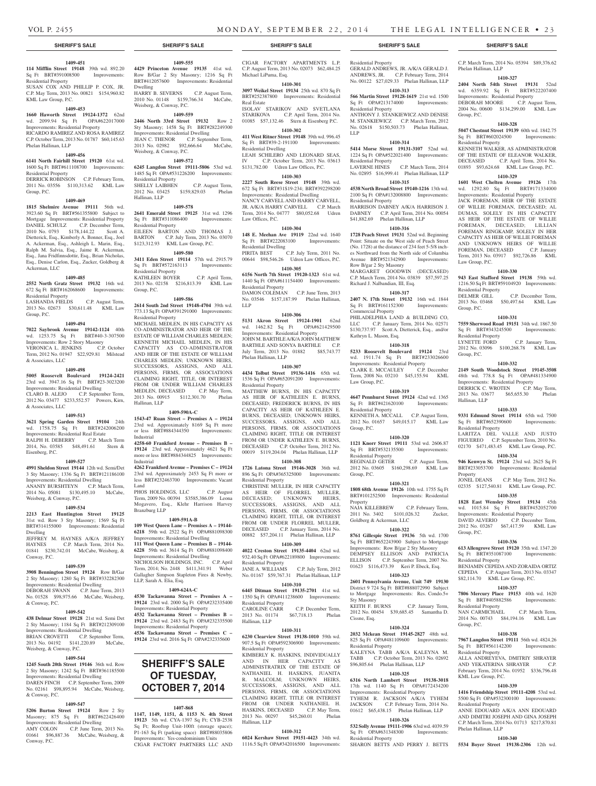#### **1409-451 114 Mifflin Street 19148** 39th wd. 892.20

Sq Ft BRT#391008500 Improvements: Residential Property SUSAN COX AND PHILLIP P. COX, JR.

C.P. May Term, 2013 No. 00821 \$154,960.82 KML Law Group, P.C.

# **1409-453**

**1660 Haworth Street 19124-1372** 62nd wd. 2099.94 Sq Ft OPA#622017000 Improvements: Residential Property RICARDO RAMIREZ AND ROSA RAMIREZ C.P. October Term, 2013 No. 01787 \$60,145.63 Phelan Hallinan, LLP

### **1409-456**

**6141 North Fairhill Street 19120** 61st wd. 1600 Sq Ft BRT#611108700 Improvements: Residential Property

DERRICK ROBINSON C.P. February Term, 2011 No. 03556 \$110,313.62 KML Law Group, P.C.

#### **1409-469**

**1815 Shelmire Avenue 19111** 56th wd. 3923.60 Sq Ft BRT#561355800 Subject to Mortgage Improvements: Residential Property DANIEL SCHULZ C.P. December Term,<br>2010 No. 0793 \$178,144.22 Scott A. 2010 No. 0793 \$178,144.22 Dietterick, Esq., Kimberly A. Bonner, Esq., Joel A. Ackerman, Esq., Ashleigh L. Marin, Esq., Ralph M. Salvia, Esq., Jaime R. Ackerman, Esq., Jana Fridfinnsdottir, Esq., Brian Nicholas, Esq., Denise Carlon, Esq., Zucker, Goldberg & Ackerman, LLC

# **1409-485**

**2552 North Gratz Street 19132** 16th wd. 672 Sq Ft BRT#162068600 Improvements: Residential Property

LASHANDA FIELDS C.P. August Term, 2013 No. 02673 \$30,611.48 KML Law Group, P.C.

#### **1409-494**

**7022 Saybrook Avenue 19142-1124** 40th wd. 1253.75 Sq Ft BRT#40-3-307500 Improvements: Row 2 Story Masonry VERONICA L. JENKINS C.P. October Term, 2012 No. 01947 \$22,929.81 Milstead & Associates, LLC

#### **1409-498**

**5005 Roosevelt Boulevard 19124-2421**  23rd wd. 3947.16 Sq Ft BRT#23-3023200 Improvements: Residential Dwelling CLARO B. ALEJO C.P. September Term, 2012 No. 03477 \$233,552.57 Powers, Kirn, & Associates, LLC

#### **1409-513**

**3621 Spring Garden Street 19104** 24th wd. 1758.75 Sq Ft BRT#242006200 Improvements: Residential Real Estate RALPH H. DEBERRY C.P. March Term 2014, No. 03585 \$48,491.61 Stern & Eisenberg, P.C.

#### **1409-527**

**4991 Sheldon Street 19144** 12th wd. Semi/Det 3 Sty Masonry; 1336 Sq Ft BRT#121186100 Improvements: Residential Dwelling ANANIY BURSHTEYN C.P. March Term, 2014 No. 05081 \$130,495.10 McCabe, Weisberg, & Conway, P.C.

# **1409-534**

**2213 East Huntington Street 19125**  31st wd. Row 3 Sty Masonry; 1569 Sq Ft BRT#314155000 Improvements: Residential Dwelling

JEFFREY M. HAYNES A/K/A JEFFREY HAYNES C.P. March Term, 2014 No. 01841 \$230,742.01 McCabe, Weisberg, & Conway, P.C.

# **1409-539**

**3908 Bennington Street 19124** Row B/Gar 2 Sty Masonry; 1280 Sq Ft BRT#332282300 Improvements: Residential Dwelling DEBORAH SWANN C.P. June Term, 2013 No. 01528 \$98,975.66 McCabe, Weisberg, & Conway, P.C.

# **1409-542**

**438 Delmar Street 19128** 21st wd. Semi Det 2 Sty Masonry; 1184 Sq Ft BRT#212309100 Improvements: Residential Dwelling BRIAN CROVETTI C.P. September Term,

2013 No. 04192 \$141,220.89 McCabe, Weisberg, & Conway, P.C.

# **1409-544**

**1245 South 20th Street 19146** 36th wd. Row 2 Sty Masonry; 1242 Sq Ft BRT#361185500 Improvements: Residential Dwelling DAREN FINCH C.P. September Term, 2009 No. 02161 \$98,895.94 McCabe, Weisberg, & Conway, P.C.

# **1409-547**

**5206 Burton Street 19124** Row 2 Sty Masonry; 875 Sq Ft BRT#622426400 Improvements: Residential Dwelling AMY COLON C.P. June Term, 2013 No. 01661 \$96,887.36 McCabe, Weisberg, & Conway, P.C.

**1409-555**

**4429 Princeton Avenue 19135** 41st wd. Row B/Gar 2 Sty Masonry; 1216 Sq Ft BRT#412057600 Improvements: Residential Dwelling HARRY B. SEVERNS C.P. August Term, 2010 No. 01148 \$159,766.34 McCabe,

Weisberg, & Conway, P.C. **1409-559**

**2446 North 33rd Street 19132** Row 2 Sty Masonry; 1458 Sq Ft BRT#282249300 Improvements: Residential Dwelling JEAN C. THENOR C.P. September Term, 2013 No. 02982 \$92,666.64 McCabe, Weisberg, & Conway, P.C.

# **1409-572**

**6245 Langdon Street 19111-5806** 53rd wd. 1485 Sq Ft OPA#531226200 Improvements: Residential Property SHELLY LAIBHEN C.P. August Term, 2012 No. 03425 \$159,829.03 Phelan Hallinan, LLP

# **1409-578**

**2641 Emerald Street 19125** 31st wd. 1296 Sq Ft BRT#311086400 Improvements: Residential Property EILEEN BARTON AND THOMAS J.

BARTON C.P. July Term, 2013 No. 03070 \$123,312.93 KML Law Group, P.C. **1409-580**

# **3411 Eden Street 19114** 57th wd. 2915.79

Sq Ft BRT#572163113 Improvements: Residential Property KATHLEEN BOYER C.P. April Term, 2013 No. 02158 \$216,813.39 KML Law Group, P.C.

#### **1409-586**

**2614 South 2nd Street 19148-4704** 39th wd. 773.13 Sq Ft OPA#391291000 Improvements: Residential Property MICHAEL MEDLEN, IN HIS CAPACITY AS CO-ADMINISTRATOR AND HEIR OF THE ESTATE OF WILLIAM CHARLES MEDLEN; KENNETH MICHAEL MEDLEN, IN HIS CAPACITY AS CO-ADMINISTRATOR AND HEIR OF THE ESTATE OF WILLIAM CHARLES MEDLEN; UNKNOWN HEIRS, SUCCESSORS, ASSIGNS, AND ALL PERSONS, FIRMS, OR ASSOCIATIONS CLAIMING RIGHT, TITLE, OR INTEREST FROM OR UNDER WILLIAM CHARLES MEDLEN, DECEASED C.P. May Term, 2013 No. 00915 \$112,301.70 Phelan Hallinan, LLP

# **1409-590A-C**

**1543-47 Ruan Street – Premises A – 19124**  23rd wd. Approximately 8169 Sq Ft more or less BRT#884344350 Improvements: Industrial

**4258-60 Frankford Avenue – Premises B – 19124** 23rd wd. Approximately 4621 Sq Ft more or less BRT#884344825 Improvements: Industrial

**4262 Frankford Avenue – Premises C – 19124**  23rd wd. Approximately 2453 Sq Ft more or less BRT#232463700 Improvements: Vacant Land

PHOS HOLDINGS, LLC C.P. August Term, 2009 No. 00394 \$3585,386.09 Leona Mogavero, Esq., Klehr Harrison Harvey Branzburg LLP

# **1409-591A-B**

**109 West Queen Lane – Premises A – 19144- 6218** 59th wd. 2522 Sq Ft OPA#881098300 Improvements: Residential Dwelling **111 West Queen Lane – Premises B – 19144- 6228** 59th wd. 3614 Sq Ft OPA#881098400 Improvements: Residential Dwelling NICHOLSON HOLDINGS, INC. C.P. April Term, 2014; No. 2448 \$411,341.91 Weber Gallagher Simpson Stapleton Fires & Newby, LLP, Sarah A. Elia, Esq.

# **1409-624A-C**

**4530 Tackawanna Street – Premises A – 19124** 23rd wd. 2000 Sq Ft OPA#232335400 Improvements: Residential Property **4532 Tackawanna Street – Premises B – 19124** 23rd wd. 2483 Sq Ft OPA#232335500

Improvements: Residential Property **4536 Tackawanna Street – Premises C – 19124** 23rd wd. 2016 Sq Ft OPA#232335600

# **SHERIFF'S SALE OF TUESDAY, October 7, 2014**

# **1407-868**

**1147, 1149, 1151, & 1153 N. 4th Street 19123** 5th wd. CYA-1397 Sq Ft; CYB-2538 Sq Ft; Rooftop Unit-100ft (storage space); P1-163 Sq Ft (parking space) BRT#88035806 Improvements: Yes-condominium Units CIGAR FACTORY PARTNERS LLC AND

**SHERIFF'S SALE SHERIFF'S SALE SHERIFF'S SALE SHERIFF'S SALE SHERIFF'S SALE**

CIGAR FACTORY APARTMENTS L.P. C.P. August Term, 2013 No. 02073 \$62,484.25 Michael LiPuma, Esq.

# **1410-301**

**3097 Weikel Street 19134** 25th wd. 870 Sq Ft BRT#252387800 Improvements: Residential Real Estate ISOLAV STARIKOV AND SVETLANA

STARIKOVA C.P. April Term, 2014 No. 01085 \$57,132.46 Stern & Eisenberg P.C.

**1410-302 411 West Ritner Street 19148** 39th wd. 996.45 Sq Ft BRT#39-2-191100 Improvements: Residential Dwelling LEAH SCHILERO AND LEONARD SEAS,

IV C.P. October Term, 2013 No. 03613 \$131,782.00 Udren Law Offices, P.C. **1410-303**

**2227 South Reese Street 19148** 39th wd. 672 Sq Ft BRT#31S19-234; BRT#392298200 Improvements: Residential Dwelling NANCY CARVELL AND HARRY CARVELL, JR. A/K/A HARRY CARVELL C.P. March Term, 2014 No. 04777 \$80,052.68 Udren Law Offices, P.C.

# **1410-304**

**148 E. Meehan Ave 19119** 22nd wd. 1640 Sq Ft BRT#222083100 Improvements: Residential Dwelling PIRITA BEST C.P. July Term, 2011 No. 00644 \$98,546.26 Udren Law Offices, P.C.

**1410-305 6156 North 7th Street 19120-1323** 61st wd. 1440 Sq Ft OPA#611154400 Improvements: Residential Property

DAMON COLEMAN C.P. June Term, 2013 No. 03546 \$157,187.99 Phelan Hallinan, LLP

#### **1410-306**

**5131 Akron Street 19124-1901** 62nd wd. 1462.82 Sq Ft OPA#621429500 Improvements: Residential Property JOHN M. BARTHLE A/K/A JOHN MATTHEW BARTHLE AND SONYA BARTHLE C.P. July Term, 2013 No. 01882 \$85,743.77 Phelan Hallinan, LLP

# **1410-307**

**4434 Tolbut Street 19136-1416** 65th wd. 1536 Sq Ft OPA#652091200 Improvements: Residential Property MATTHEW BURNS, IN HIS CAPACITY

AS HEIR OF KATHLEEN E. BURNS, DECEASED; FREDERICK BURNS, IN HIS CAPACITY AS HEIR OF KATHLEEN E. BURNS, DECEASED; UNKNOWN HEIRS, SUCCESSORS, ASSIGNS, AND ALL PERSONS, FIRMS, OR ASSOCIATIONS CLAIMING RIGHT, TITLE OR INTEREST FROM OR UNDER KATHLEEN E. BURNS, DECEASED C.P. October Term, 2012 No. 00019 \$119,204.04 Phelan Hallinan, LLP

# **1410-308**

**1726 Latona Street 19146-3028** 36th wd. 896 Sq Ft OPA#365325000 Improvements: Residential Property

CHRISTINE MULLER, IN HER CAPACITY AS HEIR OF FLORREL MULLER, DECEASED; UNKNOWN HEIRS, SUCCESSORS, ASSIGNS, AND ALL PERSONS, FIRMS, OR ASSOCIATIONS CLAIMING RIGHT, TITLE, OR INTEREST FROM OR UNDER FLORREL MULLER. DECEASED C.P. January Term, 2014 No. 00882 \$57,204.11 Phelan Hallinan, LLP

# **1410-309**

**4022 Creston Street 19135-4404** 62nd wd. 932.40 Sq Ft OPA#622189800 Improvements: Residential Property JANE A. WILLIAMS C.P. July Term, 2012 No. 01167 \$59,767.31 Phelan Hallinan, LLP

# **1410-310**

**6445 Ditman Street 19135-2701** 41st wd. 1350 Sq Ft OPA#411238600 Improvements: Residential Property<br>CAROLINE CARR C.P. December Term, 2013 No. 01174 \$67,718.13 Phelan

# **1410-311**

Hallinan, LLP

**6230 Clearview Street 19138-1010** 59th wd. 907.5 Sq Ft OPA#592306900 Improvements: Residential Property KIMBERLY K. HASKINS, INDIVIDUALLY AND IN HER CAPACITY AS ADMINISTRATRIX OF THE ESTATE OF NATHANIEL H. HASKINS, JUANITA R. MALCOLM; UNKNOWN HEIRS, SUCCESSORS, ASSIGNS, AND ALL PERSONS, FIRMS, OR ASSOCIATIONS CLAIMING RIGHT, TITLE OR INTEREST FROM OR UNDER NATHANIEL H. HASKINS, DECEASED C.P. May Term, 2013 No. 00297 \$45,260.01 Phelan Hallinan, LLP

# **1410-312**

**6024 Kershaw Street 19151-4423** 34th wd. 1116.5 Sq Ft OPA#342016500 Improvements:

C.P. March Term, 2014 No. 05394 \$89,376.62

**1410-327 2404 North 54th Street 19131** 52nd wd. 6359.92 Sq Ft BRT#522207400 Improvements: Residential Property DEBORAH MOORE C.P. August Term, 2004 No. 00600 \$134,299.00 KML Law

**1410-328 5047 Chestnut Street 19139** 60th wd. 1842.75 Sq Ft BRT#602024500 Improvements:

KENNETH WALKER, AS ADMINISTRATOR OF THE ESTATE OF ELEANOR WALKER, DECEASED C.P. April Term, 2014 No. 01893 \$93,624.68 KML Law Group, P.C. **1410-329 1601 West Chelten Avenue 19126** 17th wd. 1292.80 Sq Ft BRT#171334000 Improvements: Residential Property JACK FOREMAN, HEIR OF THE ESTATE OF WILLIE FOREMAN, DECEASED; AL DUMAS, SOLELY IN HIS CAPACITY AS HEIR OF THE ESTATE OF WILLIE FOREMAN, DECEASED; LILLIAN FOREMAN RINGKAMP, SOLELY IN HER CAPACITY AS HEIR OF WILLIE FOREMAN AND UNKNOWN HEIRS OF WILLIE FOREMAN, DECEASED C.P. January Term, 2013 No. 03917 \$92,726.86 KML

**1410-330 943 East Stafford Street 19138** 59th wd. 1216.50 Sq Ft BRT#59104920 Improvements:

DELMER GILL C.P. December Term, 2013 No. 03468 \$50,497.64 KML Law

**1410-331 7559 Sherwood Road 19151** 34th wd. 1867.50 Sq Ft BRT#343245500 Improvements:

LYNETTE FORD C.P. January Term, 2012 No. 03096 \$100,268.78 KML Law

**1410-332 2149 South Woodstock Street 19145-3508**  48th wd. 778.8 Sq Ft OPA#481334900 Improvements: Residential Property DERRICK C. WROTEN C.P. May Term, 2013 No. 03677 \$65,655.30 Phelan

**1410-333 9331 Edmund Street 19114** 65th wd. 7500 Sq Ft BRT#652390600 Improvements:

LARITZA DEL VALLE AND JUSTO FIGUEREO C.P. September Term, 2010 No. 02170 \$471,483.45 KML Law Group, P.C. **1410-334 946 Kenwyn St. 19124** 23rd wd. 2625 Sq Ft BRT#233053700 Improvements: Residential

JONEL DEANS C.P. May Term, 2012 No. 02335 \$127,540.81 KML Law Group, P.C. **1410-335 1828 East Wensley Street 19134** 45th wd. 1015.84 Sq Ft BRT#452052700 Improvements: Residential Property<br>DAVID ALVERIO C.P. Decemb

2012 No. 03267 \$67,417.59 KML Law

**1410-336 613 Allengrove Street 19120** 35th wd. 1347.20 Sq Ft BRT#351087100 Improvements:

BENJAMIN CEPEDA AND ZORAIDA ORTIZ CEPEDA C.P. August Term, 2013 No. 03347 \$82,114.70 KML Law Group, P.C. **1410-337 7806 Mercury Place 19153** 40th wd. 1620 Sq Ft BRT#405882586 Improvements:

NAN CARMICHAEL C.P. March Term, 2014 No. 00743 \$84,194.16 KML Law

**1410-338 7967 Langdon Street 19111** 56th wd. 4824.26 Sq Ft BRT#561142200 Improvements:

ALLA ANDREYEVA, DMITRIY SHRAYER AND YEKATERINA SHRAYER C.P. February Term, 2014 No. 01952 \$336,796.48

**1410-339 1416 Friendship Street 19111-4208** 53rd wd. 5500 Sq Ft OPA#532300100 Improvements:

ANNE EDOUARD A/K/A ANN EDOUARD AND DIMITRI JOSEPH AND GINA JOSEPH C.P. March Term, 2014 No. 01713 \$217,870.81

**1410-340 5534 Boyer Street 19138-2306** 12th wd.

C.P. December Term,

Phelan Hallinan, LLP

Group, P.C.

Residential Property

Law Group, P.C.

Residential Property

Residential Property

Group, P.C.

Group, P.C.

Hallinan, LLP

Property

Group, P.C.

Residential Property

Residential Property

Residential Property

KML Law Group, P.C.

Residential Property

Phelan Hallinan, LLP

Group, P.C.

Residential Property

Residential Property GERALD ANDREWS, JR. A/K/A GERALD J. ANDREWS, JR. C.P. February Term, 2014 No. 00122 \$27,029.33 Phelan Hallinan, LLP

# **1410-313 566 Martin Street 19128-1619** 21st wd. 1500

Sq Ft OPA#213174000 Improvements: Residential Property ANTHONY J. STANKIEWICZ AND DENISE M. STANKIEWICZ C.P. March Term, 2012 No. 02618 \$150,503.73 Phelan Hallinan, LLP

#### **1410-314**

**5414 Morse Street 19131-3107** 52nd wd. 1224 Sq Ft OPA#522021400 Improvements: Residential Property LAVERNE HINES C.P. March Term, 2014 No. 02895 \$16,999.41 Phelan Hallinan, LLP

# **1410-315**

**4538 North Broad Street 19140-1216** 13th wd. 2100 Sq Ft OPA#132008800 Improvements: Residential Property HARRISON DABNEY A/K/A HARRISON J. DABNEY C.P. April Term, 2014 No. 00054 \$41,882.69 Phelan Hallinan, LLP

Point: Situate on the West side of Peach Street (No. 1728) at the distance of 234 feet 5-5/8 inches Northward from the North side of Columbia Avenue BRT#521342900 Improvements:

MARGARET GOODWIN (DECEASED) C.P. March Term, 2014 No. 03839 \$57,597.25

**1410-317 2407 N. 17th Street 19132** 16th wd. 1844 Sq Ft BRT#161152300 Improvements:

PHILADELPHIA LAND & BUILDING CO, LLC C.P. January Term, 2014 No. 02571 \$130,737.97 Scott A. Dietterick, Esq., and/or

**1410-318 5233 Roosevelt Boulevard 19124** 23rd wd. 1911.74 Sq Ft BRT#233026600 Improvements: Residential Property CLARK E. MCCAULEY C.P. December Term, 2008 No. 03210 \$45,155.94 KML

**1410-319 4647 Pennhurst Street 19124** 42nd wd. 1365 Sq Ft BRT#421620100 Improvements:

KENNETH A. MCCALL C.P. August Term, 2012 No. 01657 \$49,015.17 KML Law

**1410-320 1121 Knorr Street 19111** 53rd wd. 2606.87 Sq Ft BRT#532135500 Improvements:

REGINALD GETER C.P. August Term, 2012 No. 03605 \$160,298.69 KML Law

**1410-321 1808 68th Avenue 19126** 10th wd. 1755 Sq Ft BRT#101252500 Improvements: Residential

NAJA KILLEBREW C.P. February Term, 2011 No. 3402 \$101,026.32 Zucker,

**1410-322 8761 Gillespie Street 19136** 5th wd. 1700 Sq Ft BRT#652243900 Subject to Mortgage Improvements: Row B/gar 2 Sty Masonry DEMPSEY ELLISON AND PATRICIA ELLISON C.P. September Term, 2007 No. 01623 \$116,473.39 Keri P. Ebeck, Esq. **1410-323 2601 Pennsylvania Avenue, Unit 749 19130**  District 9 724 Sq Ft BRT#888072990 Subject to Mortgage Improvements: Res. Condo.5+

KEITH F. BURNS C.P. January Term, 2012 No. 00454 \$39,685.45 Samantha D.

**1410-324 2032 Mckean Street 19145-2827** 48th wd. 825 Sq Ft OPA#481109600 Improvements:

KALEYNA TABB A/K/A KALEYNA M. TABB C.P. October Term, 2013 No. 02692 \$96,805.64 Phelan Hallinan, LLP

**1410-325 6316 North Lambert Street 19138-3018**  17th wd. 1140 Sq Ft OPA#172434200 Improvements: Residential Property TYHEM R. JACKSON A/K/A TYHEM JACKSON C.P. February Term, 2014 No. 01612 \$65,438.15 Phelan Hallinan, LLP **1410-326 532 Solly Avenue 19111-1906** 63rd wd. 4039.59 Sq Ft OPA#631348300 Improvements:

SHARON BETTS AND PERRY J. BETTS

#### **1410-316 1728 Peach Street 19131** 52nd wd. Beginning

Row B/gar 2 Sty Masonry

Commercial Property

Kathryn L. Mason, Esq.

Law Group, P.C.

Residential Property

Residential Property

Goldberg & Ackerman, LLC

Group, P.C.

Group, P.C.

Property

Sty Masonry

Cissne, Esq.

Residential Property

Residential Property

Richard J. Nalbandian, III, Esq.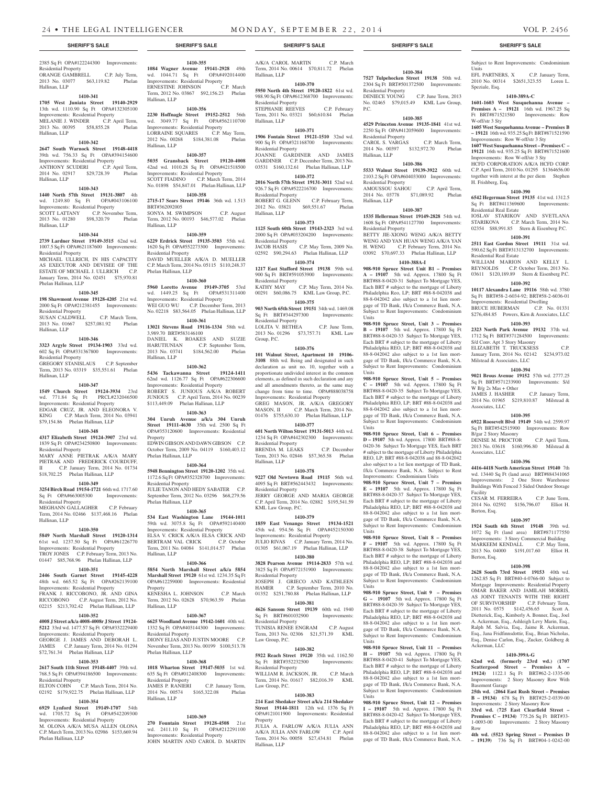# 2385 Sq Ft OPA#122244300 Improvements: Residential Property ORANGE GAMBRELL C.P. July Term, 2013 No. 03077 \$63,119.82 Phelan Hallinan, LLP

# **1410-341 1705 West Juniata Street 19140-2929**  13th wd. 1110.90 Sq Ft OPA#132305100 Improvements: Residential Property MELANIE J. WINDER C.P. April Term,<br>2013 No. 00395 \$58.855.28 Phelan 2013 No. 00395 \$58,855.28 Hallinan, LLP

# **1410-342**

**2647 South Warnock Street 19148-4418**  39th wd. 756.33 Sq Ft OPA#394154600 Improvements: Residential Property C.P. April Term, 2014 No. 02917 \$29,728.39 Phelan Hallinan, LLP

#### **1410-343**

**1440 North 57th Street 19131-3807** 4th wd. 1249.80 Sq Ft OPA#043106100 Improvements: Residential Property SCOTT LATTANY C.P. November Term, 2013 No. 01280 \$98,320.79 Phelan Hallinan, LLP

# **1410-344**

**2739 Lardner Street 19149-3515** 62nd wd. 1007.5 Sq Ft OPA#621187600 Improvements: Residential Property

MICHAEL ULLRICH, IN HIS CAPACITY AS EXECUTOR AND DEVISEE OF THE ESTATE OF MICHAEL J. ULLRICH C.P. January Term, 2014 No. 02451 \$75,970.81 Phelan Hallinan, LLP

# **1410-345 198 Shawmont Avenue 19128-4205** 21st wd.

2000 Sq Ft OPA#212381455 Improvements: Residential Property SUSAN CALDWELL C.P. March Term,

2013 No. 01667 \$257,081.92 Phelan Hallinan, LLP

#### **1410-346**

**3323 Argyle Street 19134-1903** 33rd wd. 602 Sq Ft OPA#331367800 Improvements: Residential Property GREGORY STANISLAUS C.P. September Term, 2013 No. 03319 \$35,551.61 Phelan Hallinan, LLP

### **1410-347**

**1549 Church Street 19124-3934** 23rd wd. 771.84 Sq Ft PRCL#232046500 Improvements: Residential Property EDGAR CRUZ, JR. AND ELEONORA V. KING C.P. March Term, 2014 No. 03941 \$79,154.86 Phelan Hallinan, LLP

# **1410-348**

**4317 Elizabeth Street 19124-3907** 23rd wd. 1839 Sq Ft OPA#234250800 Improvements: Residential Property MARY ANNE PIETRAK A/K/A MARY PIETRAK AND FREDERICK COURDUFF,

II C.P. January Term, 2014 No. 01734 \$18,702.25 Phelan Hallinan, LLP **1410-349**

**3254 Birch Road 19154-1721** 66th wd. 1717.60 Sq Ft OPA#663005300 Improvements: Residential Property

MEGHANN GALLAGHER C.P. February Term, 2014 No. 02466 \$137,468.16 Phelan Hallinan, LLP

# **1410-350**

**5849 North Marshall Street 19120-1314**  61st wd. 1237.50 Sq Ft OPA#61226770 Improvements: Residential Property TROY JONES C.P. February Term, 2013 No. 01447 \$85,768.96 Phelan Hallinan, LLP

# **1410-351**

**2446 South Garnet Street 19145-4228**  48th wd. 665.52 Sq Ft OPA#262139100 Improvements: Residential Property FRANK J. RICCOBONO, JR. AND GINA RICCOBONO C.P. August Term, 2012 No. 02215 \$213,702.42 Phelan Hallinan, LLP

# **1410-352**

**4008 J Street a/k/a 4008-4008r J Street 19124- 5212** 33rd wd. 1477.57 Sq Ft OPA#332229400 Improvements: Residential Property

GEORGE J. JAMES AND DEBORAH L. JAMES C.P. January Term, 2014 No. 01294 \$72,761.34 Phelan Hallinan, LLP **1410-353**

**2617 South 11th Street 19148-4407** 39th wd. 768.5 Sq Ft OPA#394186500 Improvements: Residential Property<br>ELTON COHN C.P. March Term, 2014 No.

02192 \$179,922.75 Phelan Hallinan, LLP

#### **1410-354 6929 Lynford Street 19149-1707** 54th

wd. 1705.72 Sq Ft OPA#542209300 Improvements: Residential Property M. OLONA A/K/A MUSA ALLEN OLONA C.P. March Term, 2013 No. 02986 \$153,669.94 Phelan Hallinan, LLP

**1084 Wagner Avenue 19141-2928** 49th wd. 1044.71 Sq Ft OPA#492014400 Improvements: Residential Property<br>ERNESTINE JOHNSON C.P. March ERNESTINE JOHNSON Term, 2012 No. 03867 \$92,156.23 Phelan Hallinan, LLP

**1410-355**

**1410-356 2230 Hoffnagle Street 19152-2512** 56th wd. 3049.77 Sq Ft OPA#562110700 Improvements: Residential Property LORRAINE SQUARES C.P. May Term, 2012 No. 00268 \$184,381.08 Phelan Hallinan, LLP

**1410-357 5035 Gransback Street 19120-4008**  42nd wd. 1010.28 Sq Ft OPA#421518500 Improvements: Residential Property SCOTT FIADINO C.P. March Term, 2014 No. 01898 \$54,847.01 Phelan Hallinan, LLP

#### **1410-358 2715-17 Sears Street 19146** 36th wd. 1.513

BRT#362092005 SONYA M. SWIMPSON C.P. August Term, 2012 No. 00193 \$46,577.02 Phelan Hallinan, LLP

# **1410-359**

**6229 Erdrick Street 19135-3503** 55th wd. 1620 Sq Ft OPA#552273300 Improvements: Residential Property DAVID MUELLER A/K/A D. MUELLER C.P. March Term, 2014 No. 05115 \$110,248.37 Phelan Hallinan, LLP

# **1410-360**

**5960 Loretto Avenue 19149-3705** 53rd<br>wd. 1449.25 Sq Ft OPA#531311400 wd. 1449.25 Sq Ft Improvements: Residential Property WEI GUO WU C.P. December Term, 2013 No. 02218 \$83,564.05 Phelan Hallinan, LLP **1410-361**

# **13021 Stevens Road 19116-1334** 58th wd.

3,989.70 BRT#583146100 DANIEL K. ROAKES AND SUZIE<br>HARUTIUNIAN C.P. September Term, C.P. September Term,<br>\$184,562.00 Phelan 2013 No. 03741 \$184,562.00 Phelan Hallinan, LLP

# **1410-362**

**5436 Tackawanna Street 19124-1411**  62nd wd. 1126.77 Sq Ft OPA#622306600 Improvements: Residential Property ROBERT S. JUNIOUS A/K/A ROBERT JUNIOUS C.P. April Term, 2014 No. 00239 \$113,449.09 Phelan Hallinan, LLP

# **1410-363**

**304 Unruh Avenue a/k/a 304 Unruh Street 19111-4630** 35th wd. 2500 Sq Ft OPA#353120600 Improvements: Residential Property EDWIN GIBSON AND DAWN GIBSON C.P. October Term, 2009 No. 04119 \$160,403.12 Phelan Hallinan, LLP

# **1410-364**

**5948 Bennington Street 19120-1202** 35th wd. 1172.6 Sq Ft OPA#352328700 Improvements: Residential Property

JULIE TANON AND HEDY SABATER C.P. September Term, 2012 No. 03296 \$68,279.56 Phelan Hallinan, LLP

#### **1410-365**

**534 East Washington Lane 19144-1011**  59th wd. 3075.8 Sq Ft OPA#592140400 Improvements: Residential Property ELSA V. CRICK A/K/A ELSA CRICK AND BERTRAM VAL CRICK C.P. October BERTRAM VAL CRICK Term, 2011 No. 04084 \$141,014.57 Phelan Hallinan, LLP

# **1410-366**

**5854 North Marshall Street a/k/a 5854 Marshall Street 19120** 61st wd. 1234.35 Sq Ft OPA#612259000 Improvements: Residential Property

KENESHA L. JOHNSON C.P. March Term, 2012 No. 02628 \$70,963.59 Phelan Hallinan, LLP

# **1410-367**

**6625 Woodland Avenue 19142-1601** 40th wd. 1332 Sq Ft OPA#403144300 Improvements: Residential Property DIONY ELIAS AND JUSTIN MOORE C.P.

November Term, 2013 No. 00199 \$100,513.78 Phelan Hallinan, LLP **1410-368**

# **1018 Wharton Street 19147-5035** 1st wd. 635 Sq Ft OPA#012408300 Improvements: Residential Property JAMES P. RANIERI C.P. January Term, 2014 No. 00574 \$165,322.08 Phelan Hallinan, LLP

**1410-369**

**270 Fountain Street 19128-4508** 21st wd. 2411.10 Sq Ft OPA#212291100 Improvements: Residential Property JOHN MARTIN AND CAROL D. MARTIN

# **SHERIFF'S SALE SHERIFF'S SALE SHERIFF'S SALE SHERIFF'S SALE SHERIFF'S SALE**

**1410-384 7527 Tulpehocken Street 19138** 50th wd. 2304 Sq Ft BRT#501372500 Improvements:

No. 02465 \$79,015.49 KML Law Group,

**1410-385 4529 Princeton Avenue 19135-1841** 41st wd. 2250 Sq Ft OPA#412059600 Improvements:

CAROL S. VARGAS C.P. March Term,<br>2014 No. 00397 \$132,972.70 Phelan

**1410-386 5533 Walnut Street 19139-3922** 60th wd. 2103.2 Sq Ft OPA#604033000 Improvements:

AMOUSSOU SAHOU C.P. April Term, 2014 No. 03778 \$71,089.92 Phelan

**1410-387 1535 Hellerman Street 19149-2828** 54th wd. 1608 Sq Ft OPA#541127700 Improvements:

BETTY JIE-XIONG WENG A/K/A BETTY WENG AND YAN HUAN WENG A/K/A YAN H. WENG C.P. February Term, 2014 No. 03092 \$70,697.33 Phelan Hallinan, LLP **1410-388A-I 908-910 Spruce Street Unit B1 – Premises A – 19107** 5th wd. Approx. 17800 Sq Ft BRT#88-8-0420-31 Subject To Mortgage YES, Each BRT # subject to the mortgage of Liberty Philadelphia Reo, LP; BRT #88-8-042038 and 88-8-042042 also subject to a 1st lien mortgage of TD Bank, f/k/a Commerce Bank, N.A. Subject to Rent Improvements: Condominium

**908-910 Spruce Street, Unit 3 – Premises B – 19107** 5th wd. Approx. 17800 Sq Ft BRT#88-8-0420-33 Subject To Mortgage YES, Each BRT # subject to the mortgage of Liberty Philadelphia REO, LP; BRT #88-8-042038 and 88-8-042042 also subject to a 1st lien mortgage of TD Bank, f/k/a Commerce Bank, N.A. Subject to Rent Improvements: Condominium

**908-910 Spruce Street, Unit 5 – Premises C – 19107** 5th wd. Approx. 17800 Sq Ft BRT#88-8-0420-35 Subject To Mortgage YES, Each BRT # subject to the mortgage of Liberty Philadelphia REO, LP; BRT #88-8-042038 and 88-8-042042 also subject to a 1st lien mortgage of TD Bank, f/k/a Commerce Bank, N.A. Subject to Rent Improvements: Condominium

**908-910 Spruce Street, Unit 6 – Premises D – 19107** 5th wd. Approx. 17800 BRT#88-8- 0420-36 Subject To Mortgage YES, Each BRT # subject to the mortgage of Liberty Philadelphia REO, LP; BRT #88-8-042038 and 88-8-042042 also subject to a 1st lien mortgage of TD Bank, f/k/a Commerce Bank, N.A. Subject to Rent Improvements: Condominium Units **908-910 Spruce Street, Unit 7 – Premises E – 19107** 5th wd. Approx. 17800 Sq Ft BRT#88-8-0420-37 Subject To Mortgage YES, Each BRT # subject to the mortgage of Liberty Philadelphia REO, LP; BRT #88-8-042038 and 88-8-042042 also subject to a 1st lien mortgage of TD Bank, f/k/a Commerce Bank, N.A. Subject to Rent Improvements: Condominium

**908-910 Spruce Street, Unit 8 – Premises F – 19107** 5th wd. Approx. 17800 Sq Ft BRT#88-8-0420-38 Subject To Mortgage YES, Each BRT # subject to the mortgage of Liberty Philadelphia REO, LP; BRT #88-8-042038 and 88-8-042042 also subject to a 1st lien mortgage of TD Bank, f/k/a Commerce Bank, N.A. Subject to Rent Improvements: Condominium

**908-910 Spruce Street, Unit 9 – Premises G – 19107** 5th wd. Approx. 17800 Sq Ft BRT#88-8-0420-39 Subject To Mortgage YES, Each BRT # subject to the mortgage of Liberty Philadelphia REO, LP; BRT #88-8-042038 and 88-8-042042 also subject to a 1st lien mortgage of TD Bank, f/k/a Commerce Bank, N.A. Subject to Rent Improvements: Condominium

**908-910 Spruce Street, Unit 11 – Premises H – 19107** 5th wd. Approx. 17800 Sq Ft BRT#88-8-0420-41 Subject To Mortgage YES, Each BRT # subject to the mortgage of Liberty Philadelphia REO, LP; BRT #88-8-042038 and 88-8-042042 also subject to a 1st lien mortgage of TD Bank, f/k/a Commerce Bank, N.A. Subject to Rent Improvements: Condominium

**908-910 Spruce Street, Unit 12 – Premises I – 19107** 5th wd. Approx. 17800 Sq Ft BRT#88-8-0420-42 Subject To Mortgage YES, Each BRT # subject to the mortgage of Liberty Philadelphia REO, LP; BRT #88-8-042038 and 88-8-042042 also subject to a 1st lien mortgage of TD Bank, f/k/a Commerce Bank, N.A.

C.P. June Term, 2013

Subject to Rent Improvements: Condominium

EFL PARTNERS, X C.P. January Term, 2010 No. 00314 \$2651,323.55 Loren L.

**1410-389A-C 1601-1603 West Susquehanna Avenue – Premises A – 19121** 16th wd. 1967.25 Sq Ft BRT#871521580 Improvements: Row

**1605 West Susquehanna Avenue – Premises B – 19121** 16th wd. 935.25 Sq Ft BRT#871521590 Improvements: Row W-off/str 3 Sty **1607 West Susquehanna Street – Premises C – 19121** 16th wd. 935.25 Sq Ft BRT#871521600 Improvements: Row W-off/str 3 Sty HCFD CORPORATION A/K/A HCFD CORP. C.P. April Term, 2010 No. 01295 \$1364656.00 together with interst at the per diem Stephen

**1410-390 6542 Hegerman Street 19135** 41st wd. 1312.5 Sq Ft BRT#411369600 Improvements:

IOSLAV STARIKOV AND SVETLANA STARIKOVA C.P. March Term, 2014 No. 02354 \$88,991.85 Stern & Eisenberg P.C. **1410-391 2511 East Gordon Street 19111** 31st wd. 590.62 Sq Ft BRT#313132700 Improvements:

WILLIAM MARION AND KELLY L. REYNOLDS C.P. October Term, 2013 No. 03611 \$120,189.89 Stern & Eisenberg P.C. **1410-392 10117 Alexandra Lane 19116** 58th wd. 3780 Sq Ft BRT#58-2-6034-92; BRT#58-2-6036-01 Improvements: Residential Dwelling BRUCE HUBERMAN C.P. No. 01331 \$276,484.85 Powers, Kirn & Associates, LLC **1410-393 2323 North Park Avenue 19132** 37th wd. 1712 Sq Ft BRT#371284500 Improvements:

Units

Speziale, Esq.

W-off/str 3 Sty

H. Frishberg, Esq.

Residential Real Estate

Residential Real Estate

S/d Conv. Apt 3 Story Masonry

Milstead & Associates, LLC

W B/g 2s Mas + Other

B/gar 2 Story Masonry

Associates, LLC

Associates, LLC

Facility

Berton, Esq.

Berton, Esq.

Ackerman, LLC

Basement Garage

Row

ELIZABETH T. TRUCKSESS C.P. January Term, 2014 No. 02142 \$234,973.02

**1410-394 9021 Brous Avenue 19152** 57th wd. 2777.25 Sq Ft BRT#571233900 Improvements: S/d

JAMES J. HASHER C.P. January Term, 2014 No. 01965 \$219,810.87 Milstead &

**1410-395 6922 Roosevelt Blvd 19149** 54th wd. 2599.97 Sq Ft BRT#542515900 Improvements: Row

DENISE M. PROCTOR C.P. April Term, 2013 No. 03618 \$160,996.80 Milstead &

**1410-396 4416-4418 North American Street 19140** 7th wd. 13440 Sq Ft (land area) BRT#884341065 Improvements: 2 One Store Warehouse Buildings With Fenced 3 Sided Outdoor Storage

CESAR M. FERREIRA C.P. June Term, 2014 No. 02592 \$156,796.07 Elliot H.

**1410-397 1924 South 6th Street 19148** 39th wd. 1072 Sq Ft (land area) BRT#871177550 Improvements: 3 Story Commercial Building MARKEEM KENDALL C.P. May Term, 2013 No. 04000 \$191,017.60 Elliot H.

**1410-398 2628 South 73rd Street 19153** 40th wd. 1262.85 Sq Ft BRT#40-4-0766-00 Subject to Mortgage Improvements: Residential Property OMAR BAKER AND JAMILAH MORRIS, AS JOINT TENANTS WITH THE RIGHT OF SURVIVORSHIP C.P. February Term, 2011 No. 0575 \$142,456.65 Scott A. Dietterick, Esq., Kimberly A. Bonner, Esq., Joel A. Ackerman, Esq., Ashleigh Levy Marin, Esq., Ralph M. Salvia, Esq., Jaime R. Ackerman, Esq., Jana Fridfinnsdottir, Esq., Brian Nicholas, Esq., Denise Carlon, Esq., Zucker, Goldberg &

**1410-399A-G 62nd wd. (formerly 23rd wd.)** (**1707 Scattergood Street – Premises A – 19124)** 1122.1 Sq Ft BRT#62-2-1335-00 Improvements: 2 Story Masonry Row With

**25th wd.** (**2064 East Rush Street – Premises B – 19134)** 678 Sq Ft BRT#25-2-0339-00 Improvements: 2 Story Masonry Row **33rd wd.** (**725 East Clearfield Street – Premises C – 19134)** 775.26 Sq Ft BRT#33- 1-0093-00 Improvements: 2 Story Masonry

**4th wd. (5523 Spring Street – Premises D – 19139)** 736 Sq Ft BRT#04-1-0242-00

\$132,972.70 Phelan

Residential Property<br>DENIECE YOUNG

Residential Property

Residential Property

Residential Property

Units

Units

Units

Units

Units

Units

Units

Hallinan, LLP

Hallinan, LLP

P.C.

A/K/A CAROL MARTIN C.P. March Term, 2014 No. 00614 \$70,811.72 Phelan Hallinan, LLP

# **1410-370**

Hallinan, LLP

**5950 North 4th Street 19120-1822** 61st wd. 988.90 Sq Ft OPA#612368700 Improvements: Residential Property STEPHANIE REEVES C.P. February Term, 2011 No. 03321 \$60,610.84 Phelan

# **1410-371**

**1906 Fontain Street 19121-1510** 32nd wd. 900 Sq Ft OPA#321168700 Improvements: Residential Property JOANNE GARDINER AND JAMES GARDINER C.P. December Term, 2013 No. 03531 \$160,132.61 Phelan Hallinan, LLP

**1410-372 2016 North 57th Street 19131-3011** 52nd wd. 926.7 Sq Ft OPA#522216700 Improvements: Residential Property ROBERT G. GLENN C.P. February Term, 2012 No. 03821 \$69,551.67 Phelan

# Hallinan, LLP

**1410-373 1125 South 60th Street 19143-2323** 3rd wd. 2000 Sq Ft OPA#033204200 Improvements: Residential Property<br>JACOB HASIS C.P. May Term, 2009 No.

# 02592 \$90,294.63 Phelan Hallinan, LLP

**1410-374 1217 East Stafford Street 19138** 59th wd. 900 Sq Ft BRT#591053900 Improvements: Residential Property KATHY MAY C.P. May Term, 2014 No. 00291 \$60,086.75 KML Law Group, P.C.

**1410-375 903 North 65th Street 19151** 34th wd. 1469.08

Sq Ft BRT#344297300 Improvements: Residential Property<br>
I OI ITA V RETHEA LOLITA V. BETHEA C.P. June Term,

2013 No. 01296 \$73,757.71 KML Law Group, P.C. **1410-376**

**101 Walnut Street, Apartment 10 19106- 3108** 88th wd. Being and designated in such declaration as unit no. 10, together with a proportionate undivided interest in the common elements, as defined in such declaration and any and all amendments thereto, as the same may change from time to time. OPA#888038758 Improvements: Residential Property GREG MASON, JR. A/K/A GREGORY

MASON, II C.P. March Term, 2014 No. 01476 \$755,630.10 Phelan Hallinan, LLP

**1410-377 601 North Wilton Street 19131-5013** 44th wd. 1234 Sq Ft OPA#442302300 Improvements: Residential Property

BRENDA M. LEAKS C.P. December Term, 2013 No. 02846 \$57,365.58 Phelan Hallinan, LLP

# **1410-378**

**9227 Old Newtown Road 19115** 56th wd. 4095 Sq Ft BRT#562443432 Improvements: Residential Property JERRY GEORGE AND MARIA GEORGE

C.P. April Term, 2014 No. 02882 \$195,541.59 KML Law Group, P.C. **1410-379**

**1859 East Venango Street 19134-1521**  45th wd. 954.56 Sq Ft OPA#452150300 Improvements: Residential Property<br>JULIO RIVAS C.P. January Term C.P. January Term, 2014 No. 01305 \$61,067.19 Phelan Hallinan, LLP

# **1410-380**

**3828 Pearson Avenue 19114-2833** 57th wd. 3825 Sq Ft OPA#572151900 Improvements: Residential Property JOSEPH J. GRIECO AND KATHLEEN HAMER C.P. September Term, 2010 No.

01352 \$251,780.88 Phelan Hallinan, LLP **1410-381**

# **4626 Sansom Street 19139** 60th wd. 1940<br>
Sq Ft BRT#601032900 Improvements: Sq Ft BRT#601032900

Hallinan, LLP

Residential Property TUNISIA RENEE ENGRAM C.P. August Term, 2013 No. 02306 \$21,571.39 KML Law Group, P.C.

# **1410-382**

**5922 Reach Street 19120** 35th wd. 1162.50<br>Sq Ft BRT#352232500 Improvements: Sq Ft BRT#352232500 Residential Property

WILLIAM R. JACKSON, JR. C.P. March Term, 2014 No. 01617 \$82,016.39 KML Law Group, P.C.

# **1410-383**

**214 East Shedaker Street a/k/a 214 Shedaker Street 19144-1811** 12th wd. 1376 Sq Ft OPA#121011900 Improvements: Residential Property

JULIA A. FARLOW A/K/A JULIA ANN A/K/A JULIA ANN FARLOW C.P. April Term, 2014 No. 00058 \$27,434.81 Phelan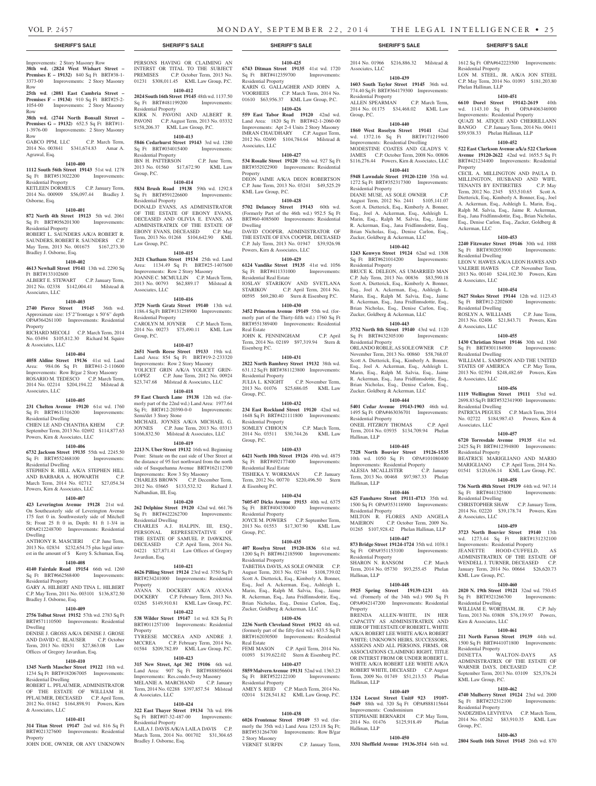Associates, LLC

Residential Property

Residential Property

Residential Property

Residential Property

Residential Property

Hallinan, LLP

Hallinan, LLP

Residential Property

Residential Property

Hallinan, LLP

Property

Hallinan, LLP

Hallinan, LLP

DIANE MUSE, AS SOLE OWNER August Term, 2012 No. 2441 \$105,141.07 Scott A. Dietterick, Esq., Kimberly A. Bonner, Esq., Joel A. Ackerman, Esq., Ashleigh L. Marin, Esq., Ralph M. Salvia, Esq., Jaime R. Ackerman, Esq., Jana Fridfinnsdottir, Esq., Brian Nicholas, Esq., Denise Carlon, Esq., Zucker, Goldberg & Ackerman, LLC **1410-442 1243 Kenwyn Street 19124** 62nd wd. 1308 Sq Ft BRT#621014200 Improvements:

BRUCE K. DELEON, AS UMARRIED MAN C.P. July Term, 2013 No. 00836 \$83,590.18 Scott A. Dietterick, Esq., Kimberly A. Bonner, Esq., Joel A. Ackerman, Esq., Ashleigh L. Marin, Esq., Ralph M. Salvia, Esq., Jaime R. Ackerman, Esq., Jana Fridfinnsdottir, Esq., Brian Nicholas, Esq., Denise Carlon, Esq., Zucker, Goldberg & Ackerman, LLC **1410-443 3732 North 8th Street 19140** 43rd wd. 1120 Sq Ft BRT#432305100 Improvements:

ORLANDO ROBLE, AS SOLE OWNER C.P. November Term, 2013 No. 00860 \$58,768.07 Scott A. Dietterick, Esq., Kimberly A. Bonner, Esq., Joel A. Ackerman, Esq., Ashleigh L. Marin, Esq., Ralph M. Salvia, Esq., Jaime R. Ackerman, Esq., Jana Fridfinnsdottir, Esq., Brian Nicholas, Esq., Denise Carlon, Esq., Zucker, Goldberg & Ackerman, LLC **1410-444 5401 Cedar Avenue 19143-1903** 46th wd. 1495 Sq Ft OPA#463036701 Improvements:

ONEIL FITZROY THOMAS C.P. April Term, 2014 No. 03935 \$134,709.94 Phelan

**1410-445 7328 North Bouvier Street 19126-1535**  10th wd. 1050 Sq Ft OPA#101080400 Improvements: Residential Property ALESIA MCALLISTER C.P. January Term, 2013 No. 00468 \$97,987.33 Phelan

**1410-446 625 Fanshawe Street 19111-4713** 35th wd. 1500 Sq Ft OPA#353118900 Improvements:

MILTON R. FLORES AND ANGELA MAIERON C.P. October Term, 2009 No. 01265 \$107,928.42 Phelan Hallinan, LLP **1410-447 873 Bridge Street 19124-1724** 35th wd. 1038.1 Sq Ft OPA#351153100 Improvements:

SHARON N. RANSOM C.P. March Term, 2014 No. 05730 \$93,255.45 Phelan

**1410-448 5925 Spring Street 19139-1231** 4th wd. (Formerly of the 34th wd.) 990 Sq Ft OPA#042147200 Improvements: Residential

BRENDA ALLEN-WHITE, IN HER CAPACITY AS ADMINISTRATRIX AND HEIR OF THE ESTATE OF ROBERT L. WHITE A/K/A ROBERT LEE WHITE A/K/A ROBERT WHITE: UNKNOWN HEIRS, SUCCESSORS ASSIGNS AND ALL PERSONS, FIRMS, OR ASSOCIATIONS CLAIMINIG RIGHT, TITLE OR INTERST FROM OR UNDER ROBERT L. WHITE A/K/A ROBERT LEE WHITE A/K/A ROBERT WHITE, DECEASED C.P. August Term, 2009 No. 01749 \$51,213.53 Phelan

**1410-449 1324 Locust Street Unit# 923 19107- 5649** 88th wd. 320 Sq Ft OPA#888115644

STEPHANIE BERNARDI C.P. May Term, 2014 No. 01476 \$125,918.49 Phelan

**1410-450 3331 Sheffield Avenue 19136-3514** 64th wd.

Improvements: Condominium

Group, P.C.

2014 No. 01966 \$216,886.32 Milstead &

1612 Sq Ft OPA#642223500 Improvements:

LON M. STEEL, JR. A/K/A JON STEEL C.P. May Term, 2014 No. 01093 \$181,203.80

**1410-451 6610 Dorel Street 19142-2619** 40th wd. 1143.10 Sq Ft OPA#406346900 Improvements: Residential Property QUAZI M. ATIQUE AND CHERRILLANN BANGO C.P. January Term, 2014 No. 00411 \$59,938.33 Phelan Hallinan, LLP **1410-452 522 East Clarkson Avenue a/k/a 522 Clarkson Avenue 19120-2622** 42nd wd. 1655.5 Sq Ft BRT#421234400 Improvements: Residential

CECIL A. MILLINGTON AND PAULA D. MILLINGTON, HUSBAND AND WIFE,<br>TENANTS BY ENTIRETIES C.P. May

Term, 2012 No. 2345 \$53,510.65 Scott A. Dietterick, Esq., Kimberly A. Bonner, Esq., Joel A. Ackerman, Esq., Ashleigh L. Marin, Esq., Ralph M. Salvia, Esq., Jaime R. Ackerman, Esq., Jana Fridfinnsdottir, Esq., Brian Nicholas, Esq., Denise Carlon, Esq., Zucker, Goldberg &

**1410-453 2240 Fitzwater Street 19146** 30th wd. 1088 Sq Ft BRT#302053900 Improvements:

LEON V. HAWES A/K/A LEON HAWES AND VALERIE HAWES C.P. November Term, 2013 No. 00140 \$244,102.30 Powers, Kirn

**1410-454 5627 Stokes Street 19144** 12th wd. 1123.43 Sq Ft BRT#12-2202600 Improvements:

ROSLYN A. WILLIAMS C.P. June Term, 2013 No. 02406 \$21,843.71 Powers, Kirn

**1410-455 1430 Christian Street 19146** 30th wd. 1360 Sq Ft BRT#301184900 Improvements:

WILLIAM L. SAMPSON AND THE UNITED STATES OF AMERICA C.P. May Term, 2013 No. 02394 \$248,482.69 Powers, Kirn

**1410-456 1119 Wellington Street 19111** 53rd wd. 2698.83 Sq Ft BRT#532341900 Improvements:

PATRICIA PEGUES C.P. March Term, 2014 No. 02722 \$184,987.43 Powers, Kirn &

**1410-457 6720 Torresdale Avenue 19135** 41st wd. 2425 Sq Ft BRT#412394800 Improvements:

BEATRICE MARIGLIANO AND MARIO MARIGLIANO C.P. April Term, 2014 No. 01541 \$120,636.14 KML Law Group, P.C. **1410-458 736 North 48th Street 19139** 44th wd. 947.14 Sq Ft BRT#441325800 Improvements:

CHRISTOPHER SHAW C.P. January Term, 2014 No. 02220 \$39,178.74 Powers, Kirn

**1410-459 3723 North Bouvier Street 19140** 13th wd. 1273.44 Sq Ft BRT#131232100 Improvements: Residential Property JEANETTE HOOD-CUFFELD, ADMINISTRATRIX OF THE ESTATE OF WENDELL J. TURNER, DECEASED C.P. January Term, 2014 No. 00664 \$26,620.73

**1410-460 2020 N. 19th Street 19121** 32nd wd. 750.45 Sq Ft BRT#321266700 Improvements:

WILLIAM E. WORTHAM, JR. C.P. July Term, 2013 No. 03808 \$76,139.97 Powers,

**1410-461 211 North Farson Street 19139** 44th wd. 1500 Sq Ft BRT#441071800 Improvements:

**1410-462 4740 Mulberry Street 19124** 23rd wd. 2000 Sq Ft BRT#232312100 Improvements:

NADEZHDA LEVIYEVA C.P. March Term, 2014 No. 05262 \$83,910.35 KML Law

**1410-463 2804 South 16th Street 19145** 26th wd. 870

WALTON-DAYS ADMINISTRATRIX OF THE ESTATE OF WARNER DAYS, DECEASED C.P. September Term, 2013 No. 03109 \$25,376.24

TENANTS BY ENTIRETIES

Residential Property

Phelan Hallinan, LLP

Property

Ackerman, LLC

Residential Dwelling

& Associates, LLC

Residential Dwelling

& Associates, LLC

Residential Dwelling

& Associates, LLC

Residential Dwelling

Residential Property

Residential Dwelling

& Associates, LLC

KML Law Group, P.C.

Residential Dwelling

Kirn & Associates, LLC

Residential Property<br>DINETTA W/

KML Law Group, P.C.

Residential Property

Group, P.C.

Associates, LLC

**1410-439 1603 South Taylor Street 19145** 36th wd. 774.40 Sq Ft BRT#364179300 Improvements:

ALLEN SPEARMAN C.P. March Term, 2014 No. 01175 \$34,468.02 KML Law

**1410-440 1860 West Roselyn Street 19141** 42nd wd. 1372.16 Sq Ft BRT#171219600 Improvements: Residential Dwelling MODESTINE COATES AND GLADYS V. JAMES C.P. October Term, 2008 No. 00806 \$116,276.44 Powers, Kirn & Associates, LLC **1410-441 5948 Lawndale Street 19120-1210** 35th wd. 1272 Sq Ft BRT#352317300 Improvements:

## **SHERIFF'S SALE SHERIFF'S SALE SHERIFF'S SALE SHERIFF'S SALE SHERIFF'S SALE**

#### Improvements: 2 Story Masonry Row **38th wd.** (**2824 West Wishart Street – Premises E – 19132)** 840 Sq Ft BRT#38-1- 3373-00 Improvements: 2 Story Masonry PERSONS HAVING OR CLAIMING AN

Group, P.C.

Row **25th wd**. (**2081 East Cambria Street – Premises F – 19134)** 910 Sq Ft BRT#25-2- 1054-00 Improvements: 2 Story Masonry Row

**38th wd. (2744 North Bonsall Street – Premises G – 19132)** 652.5 Sq Ft BRT#11- 1-3976-00 Improvements: 2 Story Masonry Row

GABCO PPM, LLC C.P. March Term, 2014 No. 003841 \$341,674.83 Amar A. Agrawal, Esq.

# **1410-400**

**1112 South 56th Street 19143** 51st wd. 1278 Sq Ft BRT#513022200 Improvements: Residential Property KETLEEN DORMEUS C.P. January Term,

2014 No. 000909 \$56,097.44 Bradley J. Osborne, Esq.

# **1410-401**

**872 North 4th Street 19123** 5th wd. 2061 Sq Ft BRT#056201300 Improvements: Residential Property ROBERT L. SAUNDERS A/K/A ROBERT R. SAUNDERS, ROBERT R. SAUNDERS C.P.

May Term, 2013 No. 001675 \$167,273.30 Bradley J. Osborne, Esq. **1410-402**

# **4613 Newhall Street 19141** 13th wd. 2290 Sq

Ft BRT#133102600 ALBERT E. STEWART C.P. January Term, 2012 No. 02338 \$142,004.41 Milstead & Associates, LLC

#### **1410-403**

**2740 Pierce Street 19145** 36th wd. Approximate size: 15'2"frontage x 50'6" depth OPA#364261100 Improvements: Residential **Property** 

RICHARD MECOLI C.P. March Term, 2014 No. 03494 \$105,812.30 Richard M. Squire & Associates, LLC

# **1410-404**

**4058 Aldine Street 19136** 41st wd. Land Area: 984.06 Sq Ft BRT#41-2-110600 Improvements: Row B/gar 2 Story Masonry ROSARIO M. TEDESCO C.P. March Term, 2014 No. 02214 \$204,194.22 Milstead & Associates, LLC

#### **1410-405**

**231 Chelten Avenue 19120** 61st wd. 1760 Sq Ft BRT#611316200 Improvements: Residential Dwelling

CHIEN LE AND CHANTHA KHEM C.P. September Term, 2013 No. 02692 \$114,877.63 Powers, Kirn & Associates, LLC

# **1410-406**

**6732 Jackson Street 19135** 55th wd. 2245.50 Sq Ft BRT#552468100 Improvements: Residential Dwelling

STEPHEN R. HILL A/K/A STEPHEN HILL AND BARBARA A. HOWARTH C.P. March Term, 2014 No. 02712 \$27,054.34 Powers, Kirn & Associates, LLC

#### **1410-407**

**423 Leverington Avenue 19128** 21st wd. On Southeasterly side of Leverington Avenue 175 feet 0 in. Southwesterly side of Mitchell St; Front 25 ft 0 in, Depth: 81 ft 1-3/4 in OPA#212248700 Improvements: Residential Dwelling

ANTHONY R. MASCIERI C.P. June Term, 2013 No. 02834 \$232,654.75 plus legal interest in the amount of \$ Kerry S. Schuman, Esq.

# **1410-408**

**4140 Fairdale Road 19154** 66th wd. 1260 Sq Ft BRT#662568400 Improvements: Residential Property

GARY A. HILBERT AND TINA L. HILBERT C.P. May Term, 2011 No. 003101 \$136,872.50 Bradley J. Osborne, Esq.

# **1410-409**

**2756 Tolbut Street 19152** 57th wd. 2783 Sq Ft BRT#571110500 Improvements: Residential Dwelling DENISE J. GROSS A/K/A DENISE J. GROSE

AND DAVID C. BLAUSER C.P. October Term, 2013 No. 02831 \$27,863.08 Law Offices of Gregory Javardian, Esq.

# **1410-410**

**1345 North Mascher Street 19122** 18th wd. 1234 Sq Ft BRT#182067005 Improvements: Residential Dwelling

ROBERT L. PFLAUMER, ADMINISTRATOR OF THE ESTATE OF WILLIAM H. PFLAUMER, DECEASED C.P. April Term, 2012 No. 01842 \$164,898.91 Powers, Kirn & Associates, LLC

#### **1410-411 314 Titan Street 19147** 2nd wd. 816 Sq Ft

BRT#021327600 Improvements: Residential Property JOHN DOE, OWNER, OR ANY UNKNOWN INTERST OR TITAL TO THE SUBJECT<br>PREMISES C.P. October Term. 2013 No. C.P. October Term, 2013 No. 01231 \$308,011.45 KML Law Group, P.C. **1410-412 6743 Ditman Street 19135** 41st wd. 1720 Sq Ft BRT#412359700 Improvements:

# **2024 South 16th Street 19145** 48th wd. 1137.50 Sq Ft BRT#481199200 Improvements: Residential Property

KIRK N. PAVONI AND ALBERT R. PAVONI C.P. August Term, 2013 No. 03332 \$158,206.37 KML Law Group, P.C.

# **1410-413**

**5846 Cedarhurst Street 19143** 3rd wd. 1280 Sq Ft BRT#034015400 Residential Property IBN H. PATTERSON C.P. June Term, 2013 No. 01560 \$17,672.90 KML Law

**1410-414 5834 Brush Road 19138** 59th wd. 1292.8 Sq Ft BRT#591226600 Improvements: Residential Property DONALD EVANS, AS ADMINISTRATOR OF THE ESTATE OF EBONY EVANS, DECEASED AND OLIVIA E. EVANS, AS ADMINISTRATRIX OF THE ESTATE OF EBONY EVANS, DECEASED C.P. May Term, 2013 No. 01268 \$104,642.90 KML Law Group, P.C.

# **1410-415**

**3121 Chatham Street 19134** 25th wd. Land Area: 1134.49 Sq Ft BRT#25-1407600 Improvements: Row 2 Story Masonry JOANNE C. MCMULLIN C.P. March Term, 2013 No. 00793 \$62,889.17 Milstead & Associates, LLC

# **1410-416**

**3729 North Gratz Street 19140** 13th wd. 1186.4 Sq Ft BRT#131258900 Improvements: Residential Property CAROLYN M. JOYNER C.P. March Term, 2014 No. 00273 \$75,490.11 KML Law Group, P.C.

# **1410-417**

**2651 North Reese Street 19133** 19th wd. Land Area: 854 Sq Ft BRT#19-2-233320 Improvements: Row 2 Story Masonry YOLICET GRIN A/K/A YOLICET GRIN-<br>LOPEZ C.P. June Term. 2012 No. 00924 C.P. June Term, 2012 No. 00924 \$23,747.68 Milstead & Associates, LLC

# **1410-418**

**59 East Church Lane 19138** 12th wd. (formerly part of the 22nd wd.) Land Area: 1977.64 Sq Ft; BRT#12-20390-0-0 Improvements: Semi/det 3 Story Stone MICHAEL JOYNES A/K/A MICHAEL G. JOYNES C.P. June Term, 2013 No. 03313 \$166,832.50 Milstead & Associates, LLC

#### **1410-419**

**2213 N. Uber Street 19132** 16th wd. Beginning Point: Situate on the east side of Uber Street at the distance of 95 feet northward from the north side of Susquehanna Avenue BRT#162112700 Improvements: Row 3 Sty Masonry CHARLES BROWN C.P. December Term, 2012 No. 03665 \$133,532.32 Richard J. Nalbandian, III, Esq.

**1410-420 262 Delphine Street 19120** 42nd wd. 661.76 Sq Ft BRT#422262700 Improvements: Residential Dwelling CHARLES A.J. HALPIN, III, ESQ., PERSONAL REPRESENTATIVE OF THE ESTATE OF SAMUEL P. DAWKINS, DECEASED C.P. April Term, 2014 No.

04221 \$27,871.41 Law Offices of Gregory Javardian, Esq. **1410-421**

# **4626 Pilling Street 19124** 23rd wd. 3750 Sq Ft BRT#234241000 Improvements: Residential

Property AYANA N. DOCKERY A/K/A AYANA DOCKERY C.P. February Term, 2013 No. 03265 \$149,910.81 KML Law Group, P.C. **1410-422**

**538 Wilder Street 19147** 1st wd. 828 Sq Ft BRT#011257100 Improvements: Residential Property TYREESE MCCREA AND ANDRE J. MCCREA C.P. February Term, 2014 No.

01584 \$209,782.89 KML Law Group, P.C. **1410-423**

#### **315 New Street, Apt 302 19106** 6th wd. Land Area: 907 Sq Ft BRT#888056604 Improvements: Res.condo.5+sty Masonry MELANIE A. MARCHAND C.P. January Term, 2014 No. 02288 \$397,857.54 Milstead & Associates, LLC

# **1410-424**

Bradley J. Osborne, Esq.

**322 East Thayer Street 19134** 7th wd. 896 Sq Ft BRT#07-32-487-00 Improvements: Residential Property LAILA J. DAVIS A/K/A LAILA DAVIS C.P. March Term, 2014 No. 001702 \$31,304.65

Residential Property KARIN G. GALLAGHER AND JOHN A.

VOORHEES C.P. March Term, 2014 No. 01610 \$63,956.37 KML Law Group, P.C.

**1410-425**

# **1410-426**

**559 East Tabor Road 19120** 42nd wd. Land Area: 1820 Sq Ft BRT#42-1-2060-00 Improvements: Apt 2-4 Units 2 Story Masonry IMRAN CHAUDHARY C.P. August Term, 2012 No. 02690 \$104,784.64 Milstead & Associates, LLC

# **1410-427**

**534 Rosalie Street 19120** 35th wd. 927 Sq Ft BRT#352022900 Improvements: Residential Property

DEON JAIME A/K/A DEON ROBERTSON C.P. June Term, 2013 No. 03241 \$49,525.29 KML Law Group, P.C.

# **1410-428**

**5702 Delancey Street 19143** 60th wd. (Formerly Part of the 46th wd.) 952.5 Sq Ft BRT#60-4085600 Improvements: Residential Dwelling

DAVID COOPER, ADMINISTRATOR OF THE ESTATE OF EVA COOPER, DECEASED C.P. July Term, 2013 No. 01947 \$39,926.98 Powers, Kirn & Associates, LLC

# **1410-429**

**6124 Vandike Street 19135** 41st wd. 1056 Sq Ft BRT#411331000 Improvements: Residential Real Estate IOSLAV STARIKOV AND SVETLANA STARIKOV C.P. April Term, 2014 No. 00595 \$69,280.40 Stern & Eisenberg P.C.

# **1410-430**

**3452 Princeton Avenue 19149** 55th wd. (formerly part of the Thirty-fifth wd.) 1760 Sq Ft BRT#551389400 Improvements: Residential Real Estate JOHN K. FENNINGHAM C.P. April Term, 2014 No. 02189 \$97,319.94 Stern &

Eisenberg P.C. **1410-431**

# **2822 North Bambrey Street 19132** 38th wd.

631.12 Sq Ft BRT#381123800 Improvements: Residential Property<br>JULIA L. KNIGHT C.P. November Term, 2013 No. 01076 \$25,686.05 KML Law Group, P.C.

# **1410-432**

**234 East Rockland Street 19120** 42nd wd. 1648 Sq Ft BRT#421111800 Improvements: Residential Property SOMLEY CHHOUN C.P. March Term, 2014 No. 03511 \$30,744.26 KML Law Group, P.C.

# **1410-433**

**6421 North 10th Street 19126** 49th wd. 4875 Sq Ft BRT#492177400 Improvements: Residential Real Estate TISHEKA Y. WORKMAN C.P. January Term, 2012 No. 00770 \$220,496.50 Stern

& Eisenberg P.C. **1410-434**

**7605-07 Dicks Avenue 19153** 40th wd. 6375 Sq Ft BRT#404330400 Improvements: Residential Property JOYCE M. POWERS C.P. September Term, 2013 No. 01553 \$17,307.90 KML Law Group, P.C.

# **1410-435**

**407 Roselyn Street 19120-1836** 61st wd. 1200 Sq Ft BRT#612185900 Improvements: Residential Property

TABETHA DAVIS, AS SOLE OWNER C.P. August Term, 2013 No. 02744 \$108,739.02 Scott A. Dietterick, Esq., Kimberly A. Bonner, Esq., Joel A. Ackerman, Esq., Ashleigh L. Marin, Esq., Ralph M. Salvia, Esq., Jaime R. Ackerman, Esq., Jana Fridfinnsdottir, Esq., Brian Nicholas, Esq., Denise Carlon, Esq., Zucker, Goldberg & Ackerman, LLC

# **1410-436**

**2236 North Cleveland Street 19132** 4th wd. (formerly part of the fifty-first wd.) 633.5 Sq Ft BRT#162030500 Improvements: Residential Real Estate

FEMI MASON C.P. April Term, 2014 No.<br>01093 \$139,622.02 Stern & Eisenberg P.C. 01093 \$139,622.02 Stern & Eisenberg P.C.

# **1410-437**

**5859 Malvern Avenue 19131** 52nd wd. 1363.23 Sq Ft BRT#522122100 Improvements: Residential Property AMEY S. REID C.P. March Term, 2014 No. 02014 \$128,541.82 KML Law Group, P.C.

# **1410-438**

2 Story Masonry

**6026 Frontenac Street 19149** 53 wd. (formerly the 35th wd.) Land Area 1253.18 Sq Ft: BRT#531264700 Improvements: Row B/gar

C.P. January Term,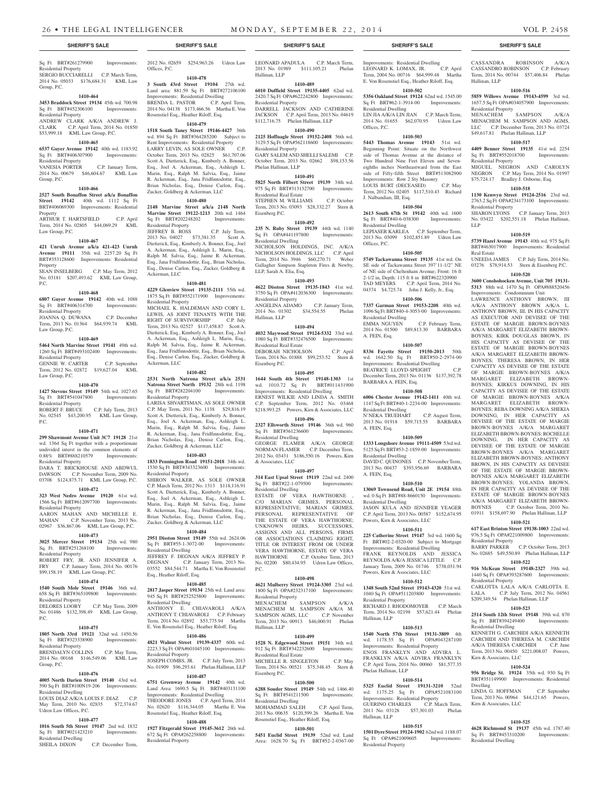Improvements: Residential Dwelling<br>LEONARD K. LOMAX. JR. C.P. April

Term, 2004 No. 00716 \$64,999.48 Martha E. Von Rosenstiel Esq., Heather Riloff, Esq. **1410-502 5356 Oakland Street 19124** 62nd wd. 1545.00 Sq Ft BRT#62-1-3914-00 Improvements:

LIN JIA A/K/A LIN JIAN C.P. March Term, 2014 No. 01655 \$62,070.95 Udren Law

**1410-503 5443 Thomas Avenue 19143** 51st wd. Beginning Point: Situate on the Northwest side of Thomas Avenue at the distance of Two Hundred Nine Feet Eleven and Seveneighths inches Northeastward from the East side of Fifty-fifth Street BRT#513082900 Improvements: Row 2 Sty Masonry<br>
I OUIS BURT (DECEASED) C.P. May

Term, 2012 No. 02405 \$117,510.43 Richard

**1410-504 2613 South 67th St 19142** 40th wd. 1600 Sq Ft BRT#40-6-038300 Improvements:

LEPIASER KARLEA C.P. September Term, 2013 No. 03099 \$102,851.89 Udren Law

**1410-505 5749 Tackawanna Street 19135** 41st wd. On SE side of Tackawanna Street 397'11-1/2" NE of NE side of Cheltenham Avenue; Front: 16 ft 2-1/2 in, Depth: 115 ft 8 in BRT#622320900 TAD MEYERS C.P. April Term, 2014 No. 04374 \$4,725.74 John J. Kelly, Jr., Esq. **1410-506 7337 Garman Street 19153-2208** 40th wd. 1096 Sq Ft BRT#40-4-3053-00 Improvements:

2014 No. 01500 \$89,813.30 BARBARA

**1410-507 8336 Fayette Street 19150-2013** 50th wd. 1642.50 Sq Ft BRT#50-2-2974-00 Improvements: Residential Dwelling BEATRICE LLOYD-SPEIGHT C.P. December Term, 2013 No. 01136 \$137,392.78

**1410-508 6006 Chester Avenue 19142-1411** 40th wd. 1147 Sq Ft BRT#40-1-2234-00 Improvements:

N'NEKA TRUEHART C.P. August Term, 2013 No. 01918 \$59,715.55 BARBARA

**1410-509 1333 Longshore Avenue 19111-4509** 53rd wd. 5125 Sq Ft BRT#53-2-1859-00 Improvements:

DAVID C. OUINONES C.P. November Term, 2013 No. 00437 \$393,956.69 BARBARA

**1410-510 13069 Townsend Road, Unit 2E 19154** 88th wd. 0 Sq Ft BRT#88-8660150 Improvements:

JASON KULA AND JENNIFER YEAGER C.P. April Term, 2013 No. 00587 \$152,674.95

**1410-511 225 Catherine Street 19147** 3rd wd. 1600 Sq Ft BRT#02-2-0320-00 Subject to Mortgage Improvements: Residential Dwelling FRANK REYNOLDS AND JESSICA REYNOLDS A/K/A JESSICA LITTLE C.P. January Term, 2009 No. 01746 \$738,031.94

**1410-512 1348 South 52nd Street 19143-4320** 51st wd. 1040 Sq Ft OPA#511203800 Improvements:

RICHARD J. RHODOMOYER C.P. March Term, 2014 No. 02198 \$57,621.44 Phelan

**1410-513 1540 North 57th Street 19131-3809** 4th<br>wd. 1178.55 Sq Ft OPA#043287100

**1410-514 5325 Euclid Street 19131-3210** 52nd wd. 1175.25 Sq Ft OPA#521083100 Improvements: Residential Property GUERINO CHARLES C.P. March Term, 2011 No. 03128 \$57,301.03 Phelan

**1410-515 1501 Dyre Street 19124-1902** 62nd wd. 1188.07<br>Sq Ft OPA#621009605 Improvements:

C.P. February Term,

LOUIS BURT (DECEASED)

J. Nalbandian, III, Esq.

Residential Dwelling

Residential Dwelling<br>EMMA NGUYEN

BARBARA A. FEIN, Esq.

Residential Dwelling

Residential Dwelling

Residential Dwelling

Powers, Kirn & Associates, LLC

Powers, Kirn & Associates, LLC

Residential Property

wd. 1178.55 Sq Ft Improvements: Residential Property ENOS FRANKLYN AND ADVIRA L. FRANKLYN A/K/A ADVIRA FRANKLYN C.P. April Term, 2014 No. 00060 \$81,577.35

Phelan Hallinan, LLP

Hallinan, LLP

Sq Ft OPA#621009605 Residential Property

Hallinan, LLP

A. FEIN, Esq.

A. FEIN, Esq.

A. FEIN, Esq.

Offices, P.C.

LEONARD K. LOMAX, JR.

Residential Dwelling

Offices, P.C.

CASSANDRA ROBINSON A/K/A CASSANDRO ROBINSON C.P. February Term, 2014 No. 00744 \$57,406.84 Phelan

**1410-516 5859 Willows Avenue 19143-4599** 3rd wd. 1657.5 Sq Ft OPA#034057900 Improvements:

MENACHEM SAMPSON A/K/A MENACHEM M. SAMPSON AND AGMS, LLC C.P. December Term, 2013 No. 03724 \$49,617.81 Phelan Hallinan, LLP **1410-517 4409 Benner Street 19135** 41st wd. 2254 Sq Ft BRT#552018700 Improvements:

MIGUEL NEGRON AND CAROLYN NEGRON C.P. May Term, 2014 No. 01997 \$75,724.17 Bradley J. Osborne, Esq. **1410-518 1130 Kenwyn Street 19124-2516** 23rd wd. 2763.2 Sq Ft OPA#234173100 Improvements:

SHARON LYONS C.P. January Term, 2013 No. 03422 \$202,551.18 Phelan Hallinan,

**1410-519 5739 Hazel Avenue 19143** 40th wd. 975 Sq Ft BRT#463017900 Improvements: Residential

UNEEDA JAMES C.P. July Term, 2014 No. 03276 \$78,914.53 Stern & Eisenberg P.C. **1410-520 3600 Conshohocken Avenue, Unit 705 19131- 5313** 88th wd. 1470 Sq Ft OPA#888520456 Improvements: Condominium Unit LAWRENCE ANTHONY BROWN, III A/K/A ANTHONY BROWN A/K/A L. ANTHONY BROWN, III, IN HIS CAPACITY AS EXECUTOR AND DEVISEE OF THE ESTATE OF MARGIE BROWN-BOYNES A/K/A MARGARET ELIZABETH BROWN-BOYNES; KIRK DOUGLAS BROWN, IN HIS CAPACITY AS DEVISEE OF THE ESTATE OF MARGIE BROWN-BOYNES A/K/A MARGARET ELIZABETH BROWN-BOYNES; THERESA BROWN, IN HER CAPACITY AS DEVISEE OF THE ESTATE OF MARGIE BROWN-BOYNES A/K/A MARGARET ELIZABETH BROWN-BOYNES; KIRKUS DOWNING, IN HIS CAPACITY AS DEVISEE OF THE ESTATE OF MARGIE BROWN-BOYNES A/K/A MARGARET ELIZABETH BROWN-BOYNES; REBA DOWNING A/K/A SHEKIA DOWNING, IN HER CAPACITY AS DEVISEE OF THE ESTATE OF MARGIE BROWN-BOYNES A/K/A MARGARET ELIZABETH BROWN-BOYNES; ROCHELLE DOWNING, IN HER CAPACITY AS DEVISEE OF THE ESTATE OF MARGIE BROWN-BOYNES A/K/A MARGARET ELIZABETH BROWN-BOYNES; ANTHONY BROWN, IN HIS CAPACITY AS DEVISEE OF THE ESTATE OF MARGIE BROWN-BOYNES A/K/A MARGARET ELIZABETH BROWN-BOYNES; YOLANDA BROWN, IN HER CAPACITY AS DEVISEE OF THE ESTATE OF MARGIE BROWN-BOYNES A/K/A MARGARET ELIZABETH BROWN-<br>BOYNES C.P. October Term. 2010 No.

C.P. October Term, 2010 No.

01911 \$158,697.90 Phelan Hallinan, LLP **1410-521 617 East Brinton Street 19138-1003** 22nd wd. 976.5 Sq Ft OPA#221009800 Improvements:

BARRY PARKER C.P. October Term, 2013 No. 02685 \$49,550.89 Phelan Hallinan, LLP **1410-522 916 McKean Street 19148-2327** 39th wd. 1440 Sq Ft OPA#393287600 Improvements:

CARLOTTA LALA A/K/A CARLOTTA E. LALA C.P. July Term, 2012 No. 04561 \$209,349.54 Phelan Hallinan, LLP **1410-523 2514 South 12th Street 19148** 39th wd. 870 Sq Ft BRT#394249400 Improvements:

KENNETH G. CARCHIDI A/K/A KENNETH CARCHIDI AND THERESA M. CARCHIDI A/K/A THERESA CARCHIDI C.P. June Term, 2013 No. 00450 \$221,008.07 Powers,

**1410-524 956 Bridge St. 19124** 35th wd. 930 Sq Ft BRT#351149900 Improvements: Residential

LINDA G. HOFFMAN C.P. September Term, 2013 No. 00964 \$44,121.65 Powers,

**1410-525 4628 Richmond St 19137** 45th wd. 1787.40 Sq Ft BRT#453310200 Improvements:

Residential Property

Residential Property

Residential Dwelling

Kirn & Associates, LLC

Kirn & Associates, LLC

Residential Dwelling

Dwelling

Hallinan, LLP

Residential Property

Residential Property

Residential Property

LLP

Real Estate

# **SHERIFF'S SALE SHERIFF'S SALE SHERIFF'S SALE SHERIFF'S SALE SHERIFF'S SALE**

# Sq Ft BRT#261279900 Improvements: Residential Property

SERGIO BUCCIARELLI C.P. March Term, 2014 No. 05033 \$176,684.31 KML Law Group, P.C.

# **1410-464**

Group, P.C.

**3453 Braddock Street 19134** 45th wd. 700.98 Sq Ft BRT#452306100 Improvements: Residential Property

# ANDREW CLARK A/K/A ANDREW J.

CLARK C.P. April Term, 2014 No. 01850 \$53,999.18 KML Law Group, P.C.

#### **1410-465**

**6537 Guyer Avenue 19142** 40th wd. 1183.92 Sq Ft BRT#406307900 Improvements: Residential Property VANESIA PORTER C.P. January Term, 2014 No. 00679 \$46,604.67 KML Law

# **1410-466**

**2527 South Bonaffon Street a/k/a Bonaffon Street 19142** 40th wd. 1112 Sq Ft BRT#406069300 Improvements: Residential Property

ARTHUR T. HARTSFIELD C.P. April Term, 2014 No. 02805 \$44,069.29 KML Law Group, P.C.

#### **1410-467**

**421 Unruh Avenue a/k/a 421-423 Unruh Avenue 19111** 35th wd. 2257.20 Sq Ft BRT#353128600 Improvements: Residential Property

SEAN INSELBERG C.P. May Term, 2012 No. 03181 \$207,493.62 KML Law Group, P.C.

# **1410-468**

**6807 Guyer Avenue 19142** 40th wd. 1088 Sq Ft BRT#406314700 Improvements: Residential Property JOANNA Q. DUWANA C.P. December

# Term, 2013 No. 01364 \$64,939.74 KML Law Group, P.C.

### **1410-469**

**5464 North Marvine Street 19141** 49th wd. 1260 Sq Ft BRT#493102400 Improvements: Residential Property GENNIE W. CARTER C.P. September Term, 2012 No. 02872 \$19,627.04 KML Law Group, P.C.

#### **1410-470**

**1427 Stevens Street 19149 54th wd. 1027.65**<br>Sq Ft BRT#541047800 **Improvements:** Sq Ft BRT#541047800 Residential Property

ROBERT F. BRUCE C.P. July Term, 2013 No. 02545 \$43,200.95 KML Law Group, P.C.

# **1410-471**

**299 Shawmont Avenue Unit 3C7 19128** 21st wd. 1364 Sq Ft together with a proportionate undivided interst in the common elements of 0.88% BRT#888210579 Improvements: Residential Property

DARA T. BRICKHOUSE AND ABDWUL DAWSON C.P. November Term, 2009 No. 03708 \$124,875.71 KML Law Group, P.C.

# **1410-472**

**323 West Nedro Avenue 19120** 61st wd. 1566 Sq Ft BRT#612097700 Improvements: Residential Property AARON MAHAN AND MICHELLE E.

MAHAN C.P. November Term, 2013 No. 02967 \$36,867.06 KML Law Group, P.C.

# **1410-473**

**3025 Mercer Street 19134** 25th wd. 980 Sq. Ft. BRT#251268100 Improvements: Residential Property ROBERT FRY, JR. AND JENNIFER A. FRY C.P. January Term, 2014 No. 00176 \$99,158.19 KML Law Group, P.C.

#### **1410-474**

**1540 South Mole Street 19146** 36th wd. 658 Sq Ft BRT#365109800 Improvements:

Residential Property DELORES LOOBY C.P. May Term, 2009 No. 01486 \$132,398.49 KML Law Group, P.C.

#### **1410-475**

**1805 North 33rd 19121** 32nd wd. 1450.56 Sq Ft BRT#323338900 Improvements: Residential Property BRENDALYN COLLINS C.P. May Term,

# 2014 No. 00168 \$146,549.06 KML Law Group, P.C.

# **1410-476**

**4005 North Darien Street 19140** 43rd wd. 590 Sq Ft BRT#100N19-206 Improvements: Residential Dwelling

#### LOUIS DIAZ A/K/A LOUIS F. DIAZ C.P. May Term, 2010 No. 02835 \$72,374.67 Udren Law Offices, P.C.

# **1410-477**

**1016 South 5th Street 19147** 2nd wd. 1832

Sq Ft BRT#021423210 Improvements: Residential Dwelling SHEILA DIXON C.P. December Term,

2012 No. 02659 \$254,963.26 Udren Law Offices, P.C. **1410-478**

# **3 South 43rd Street 19104** 27th wd.

Land area: 881.59 Sq Ft BRT#272106100 Improvements: Residential Dwelling BRENDA L. PASTOR C.P. April Term, 2014 No. 04138 \$173,466.56 Martha E. Von Rosenstiel Esq., Heather Riloff, Esq.

# **1410-479**

**1518 South Taney Street 19146-4427** 36th wd. 894 Sq Ft BRT#364285200 Subject to Rent Improvements: Residential Property

LARRY LEVIN, AS SOLE OWNER October Term, 2013 No. 02825 \$61,707.06 Scott A. Dietterick, Esq., Kimberly A. Bonner, Esq., Joel A. Ackerman, Esq., Ashleigh L. Marin, Esq., Ralph M. Salvia, Esq., Jaime R. Ackerman, Esq., Jana Fridfinnsdottir, Esq., Brian Nicholas, Esq., Denise Carlon, Esq., Zucker, Goldberg & Ackerman, LLC

# **1410-480**

**2148 Marvine Street a/k/a 2148 North Marvine Street 19122-1213** 20th wd. 1464 Sq Ft BRT#202248202 Improvements: Residential Property

JEFFREY B. ROSS C.P. July Term, 2013 No. 04027 \$73,381.35 Scott A. Dietterick, Esq., Kimberly A. Bonner, Esq., Joel A. Ackerman, Esq., Ashleigh L. Marin, Esq., Ralph M. Salvia, Esq., Jaime R. Ackerman, Esq., Jana Fridfinnsdottir, Esq., Brian Nicholas, Esq., Denise Carlon, Esq., Zucker, Goldberg & Ackerman, LLC

## **1410-481**

**4229 Glenview Street 19135-2111** 55th wd. 1875 Sq Ft BRT#552171900 Improvements: Residential Property MICHAEL K. HALDEMAN AND CORY L. LEWIS, AS JOINT TENANTS WITH THE

RIGHT OF SURVIVORSHIP C.P. July Term, 2013 No. 02527 \$117,458.87 Scott A. Dietterick, Esq., Kimberly A. Bonner, Esq., Joel A. Ackerman, Esq., Ashleigh L. Marin, Esq., Ralph M. Salvia, Esq., Jaime R. Ackerman, Esq., Jana Fridfinnsdottir, Esq., Brian Nicholas, Esq., Denise Carlon, Esq., Zucker, Goldberg & Ackerman, LLC

#### **1410-482**

**2531 North Natrona Street a/k/a 2531 Natrona Street North 19132** 28th wd. 1198<br>Sq Ft BRT#282204100 Improvements: Sq Ft BRT#282204100 Residential Property

LARISA SHVARTSMAN, AS SOLE OWNER C.P. May Term, 2011 No. 1138 \$29,816.19 Scott A. Dietterick, Esq., Kimberly A. Bonner, Esq., Joel A. Ackerman, Esq., Ashleigh L. Marin, Esq., Ralph M. Salvia, Esq., Jaime R. Ackerman, Esq., Jana Fridfinnsdottir, Esq., Brian Nicholas, Esq., Denise Carlon, Esq., Zucker, Goldberg & Ackerman, LLC

# **1410-483**

**1833 Pennington Road 19151-2018** 34th wd. 1530 Sq Ft BRT#343323600 Improvements: Residential Property

SHIRON WALKER, AS SOLE OWNER C.P. March Term, 2012 No. 1313 \$118,116.91 Scott A. Dietterick, Esq., Kimberly A. Bonner, Esq., Joel A. Ackerman, Esq., Ashleigh L. Marin, Esq., Ralph M. Salvia, Esq., Jaime R. Ackerman, Esq., Jana Fridfinnsdottir, Esq., Brian Nicholas, Esq., Denise Carlon, Esq., Zucker, Goldberg & Ackerman, LLC

# **1410-484**

**2951 Disston Street 19149** 55th wd. 2624.06 Sq Ft BRT#55-1-3072-00 Improvements: Residential Dwelling

JEFFREY F. DEGNAN A/K/A JEFFREY P. DEGNAN C.P. January Term, 2013 No. 03552 \$84,544.71 Martha E. Von Rosenstiel Esq., Heather Riloff, Esq.

# **1410-485**

**2817 Jasper Street 19134** 25th wd. Land area: 945 Sq Ft BRT#252525800 Improvements: Residential Dwelling ANTHONY E. CHIAVAROLI A/K/A ANTHONY T. CHIAVAROLI C.P. February Term, 2014 No. 02892 \$53,775.94 Martha E. Von Rosenstiel Esq., Heather Riloff, Esq.

#### **1410-486**

**4821 Walnut Street 19139-4337** 60th wd. 2223.3 Sq Ft OPA#601045100 Improvements: Residential Property JOSEPH COMBS, JR. C.P. July Term, 2013 No. 01909 \$96,293.61 Phelan Hallinan, LLP

# **1410-487**

**6751 Greenway Avenue 19142** 40th wd. Land Area: 1690.5 Sq Ft BRT#403131100 Improvements: Residential Dwelling THEODORE JONES C.P. April Term, 2014 No. 02620 \$116,344.05 Martha E. Von Rosenstiel Esq., Heather Riloff, Esq.

# **1410-488**

**1927 Fitzgerald Street 19145-3612** 26th wd. 672 Sq Ft OPA#262258800 Improvements: Residential Property

LEONARD APADULA C.P. March Term, 2013 No. 01989 \$111,105.21 Phelan Hallinan, LLP

**1410-489 6010 Duffield Street 19135-4405** 62nd wd. 2420.7 Sq Ft OPA#622242800 Improvements: Residential Property

DARRELL JACKSON AND CATHERINE JACKSON C.P. April Term, 2013 No. 04619 \$112,716.75 Phelan Hallinan, LLP

#### **1410-490 2125 Hoffnagle Street 19152-2408** 56th wd.

3129.5 Sq Ft OPA#562118600 Improvements: Residential Property GARY SALEM AND SHELLI SALEMI C.P. October Term, 2013 No. 02662 \$98,153.56

Phelan Hallinan, LLP **1410-491**

# **5825 North Filbert Street 19139** 34th wd.

975 Sq Ft BRT#313132700 Improvements: Residential Real Estate STEPHEN M. WILLIAMS C.P. October Term, 2013 No. 03093 \$28,332.27 Stern & Eisenberg P.C.

### **1410-492**

**235 N. Ruby Street 19139** 44th wd. 1140 Sq Ft OPA#441197800 Improvements: Residential Dwelling NICHOLSON HOLDINGS, INC. A/K/A NICHOLSON HOLDINGS, LLC C.P. April Term, 2014 No. 3946 \$60,270.71 Weber Gallagher Simpson Stapleton Fires & Newby, LLP, Sarah A. Elia, Esq.

# **1410-493**

**4622 Disston Street 19135-1843** 41st wd. 3750 Sq Ft OPA#412036300 Improvements: Residential Property

ANGELINA ADAMO C.P. January Term,<br>2014 No. 01302 \$34.554.55 Phelan 2014 No. 01302 \$34,554.55 Hallinan, LLP

#### **1410-494 4032 Maywood Street 19124-5332** 33rd wd.

1080 Sq Ft BRT#332476500 Improvements: Residential Real Estate DEBORAH NICHOLSON C.P. April Term, 2014 No. 01888 \$99,253.52 Stern &

# **1410-495**

Eisenberg P.C.

**1644 South 4th Street 19148-1303** 1st wd. 1010.72 Sq Ft BRT#011431900 Improvements: Residential Dwelling ERNEST WILKIE AND LINDA A. SMITH C.P. September Term, 2012 No. 03468 \$218,993.25 Powers, Kirn & Associates, LLC

# **1410-496**

**2327 Ellsworth Street 19146** 36th wd. 960 Sq Ft BRT#361236600 Improvements: Residential Dwelling GEORGE FLAMER A/K/A GEORGE

NORMAN FLAMER C.P. December Term, 2012 No. 03431 \$186,550.16 Powers, Kirn & Associates, LLC

# **1410-497**

**314 East Upsal Street 19119** 22nd wd. 2400 Sq Ft BRT#22-1-079500 Improvements: Residential Dwelling ESTATE OF VERA HAWTHORNE C/O MARIAN GRIMES, PERSONAL

REPRESENTATIVE; MARIAN GRIMES, PERSONAL REPRESENTATIVE OF THE ESTATE OF VERA HAWTHORNE; UNKNOWN HEIRS, SUCCESSORS, ASSIGNS AND ALL PERSONS, FIRMS OR ASSOCIATIONS CLAIMING RIGHT, TITLE OR INTEREST FROM OR UNDER VERA HAWTHORNE, ESTATE OF VERA HAWTHORNE C.P. October Term, 2013 No. 02200 \$80,434.95 Udren Law Offices,  $PC$ .

#### **1410-498 4621 Mulberry Street 19124-3305** 23rd wd. 1800 Sq Ft OPA#232317100 Improvements:

**1410-499 1528 N. Edgewood Street 19151** 34th wd. 912 Sq Ft BRT#342232600 Improvements:

MICHELLE R. SINGLETON C.P. May Term, 2014 No. 00521 \$75,348.45 Stern &

**1410-500 6288 Souder Street 19149** 54th wd. 1466.40 Sq Ft BRT#541211500 Improvements:

MOHAMMAD SALEH C.P. April Term, 2013 No. 00635 \$120,599.26 Martha E. Von Rosenstiel Esq., Heather Riloff, Esq. **1410-501 5451 Euclid Street 19139** 52nd wd. Land Area: 1628.70 Sq Ft BRT#52-2-0367-00

Residential Property<br>MENACHEM SAMPSON MENACHEM SAMPSON A/K/A MENACHEM M. SAMPSON A/K/A M. SAMPSON AGMS, LLC C.P. November Term, 2013 No. 00913 \$46,000.91 Phelan

tial Real Estate

Hallinan, LLP

Eisenberg P.C.

Residential Dwelling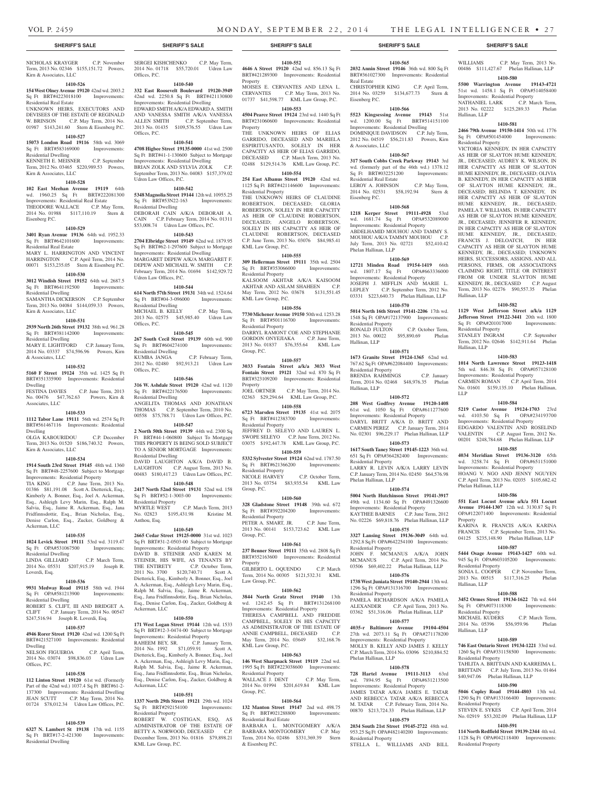# **SHERIFF'S SALE SHERIFF'S SALE SHERIFF'S SALE SHERIFF'S SALE SHERIFF'S SALE**

NICHOLAS KRAYGER C.P. November Term, 2013 No. 02346 \$155,151.72 Powers, Kirn & Associates, LLC

#### **1410-526**

# **154 West Olney Avenue 19120** 42nd wd. 2003.2 Sq Ft BRT#4223018100 Improvements:

Residential Real Estate UNKNOWN HEIRS, EXECUTORS AND DEVISEES OF THE ESTATE OF REGINALD W. BRINSON C.P. May Term, 2014 No. 01987 \$143,241.60 Stern & Eisenberg P.C.

# **1410-527**

**15073 London Road 19116** 58th wd. 3069 Sq Ft BRT#583169000 Improvements: Residential Dwelling

KENNETH E. MEISNER C.P. September Term, 2012 No. 03465 \$220,989.53 Powers, Kirn & Associates, LLC

# **1410-528**

**102 East Meehan Avenue 19119** 64th wd. 1960.25 Sq Ft BRT#222081300 Improvements: Residential Real Estate THEODORE WALLACE C.P. May Term, 2014 No. 01988 \$117,110.19 Stern & Eisenberg P.C.

# **1410-529**

**3401 Ryan Avenue 19136** 64th wd. 1952.33 Sq Ft BRT#642101600 Improvements: Residential Real Estate MARY L. HARRINGTON AND VINCENT HARRINGTON C.P. April Term, 2014 No.

# 00071 \$153,235.05 Stern & Eisenberg P.C. **1410-530**

**3012 Windish Street 19152** 64th wd. 2687.5 Sq Ft BRT#641192500 Improvements: Residential Dwelling

SAMANTHA DICKERSON C.P. September Term, 2013 No. 04084 \$144,059.33 Powers, Kirn & Associates, LLC

# **1410-531**

**2939 North 26th Street 19132** 38th wd. 961.28 Sq Ft BRT#381142000 Improvements:

Residential Dwelling MARY E. LIGHTFORD C.P. January Term, 2014 No. 03337 \$74,596.96 Powers, Kirn

& Associates, LLC **1410-532**

#### **5160 F Street 19124** 35th wd. 1425 Sq Ft BRT#351335900 Improvements: Residential Dwelling

FESTINA DAVIES C.P. June Term, 2013 No. 00476 \$47,762.63 Powers, Kirn & Associates, LLC

# **1410-533**

**1112 Tabor Lane 19111** 56th wd. 2574 Sq Ft BRT#561467116 Improvements: Residential Dwelling

OLGA KABOURIDOU C.P. December Term, 2013 No. 01520 \$186,740.32 Powers, Kirn & Associates, LLC

# **1410-534**

**1914 South 23rd Street 19145** 48th wd. 1360 Sq Ft BRT#48-2257600 Subject to Mortgage Improvements: Residential Property TIA KING C.P. June Term, 2013 No. 01386 \$81,191.08 Scott A. Dietterick, Esq., Kimberly A. Bonner, Esq., Joel A. Ackerman, Esq., Ashleigh Levy Marin, Esq., Ralph M. Salvia, Esq., Jaime R. Ackerman, Esq., Jana Fridfinnsdottir, Esq., Brian Nicholas, Esq., Denise Carlon, Esq., Zucker, Goldberg & Ackerman, LLC

# **1410-535**

**1024 Levick Street 19111** 53rd wd. 3119.47 Sq Ft OPA#531067500 Improvements: Residential Dwelling C.P. March Term,

# 2014 No. 05531 \$207,915.19 Joseph R. Loverdi, Esq.

# **1410-536**

**9931 Medway Road 19115** 58th wd. 1944 Sq Ft OPA#581213900 Improvements: Residential Dwelling ROBERT S. CLIFT, III AND BRIDGET A. CLIFT C.P. January Term, 2014 No. 00547 \$247,516.94 Joseph R. Loverdi, Esq.

# **1410-537**

**4946 Rorer Street 19120** 42nd wd. 1200 Sq Ft BRT#421527100 Improvements: Residential Dwelling NELSON FIGUEROA C.P. April Term,

# 2014 No. 03074 \$98,836.03 Udren Law Offices, P.C. **1410-538**

# **112 Linton Street 19120** 61st wd. (Formerly

Part of the 42nd wd.) 1037.4 Sq Ft BRT#61-2- 137300 Improvements: Residential Dwelling JEAN SCUTT C.P. May Term, 2014 No. 01724 \$78,012.34 Udren Law Offices, P.C.

# **1410-539**

**6327 N. Lambert St 19138** 17th wd. 1155 Sq Ft BRT#17-2-421300 Improvements: Residential Dwelling

SERGEI KISHCHENKO C.P. May Term, 2014 No. 01718 \$55,720.01 Udren Law

**1410-540 332 East Roosevelt Boulevard 19120-3949**  42nd wd. 2250.8 Sq Ft BRT#421130800 Improvements: Residential Dwelling EDWARD SMITH A/K/A EDWARD A. SMITH AND VANESSA SMITH A/K/A VANESSA ALLEN SMITH C.P. September Term, 2013 No. 01435 \$109,576.55 Udren Law

**1410-541 4708 Higbee Street 19135-0000** 41st wd. 2500 Sq Ft BRT#41-1-130600 Subject to Mortgage Improvements: Residential Dwelling BRIAN ZOLK AND SYLVIA ZOLK C.P. September Term, 2013 No. 04083 \$157,379.02

**1410-542 5348 Magnolia Street 19144** 12th wd. 10955.25 Sq Ft BRT#53N22-163 Improvements:

DEBORAH CAIN A/K/A DEBORAH A. CAIN C.P. February Term, 2014 No. 01311 \$53,008.74 Udren Law Offices, P.C. **1410-543 2704 Elbridge Street 19149** 62nd wd. 1879.95 Sq Ft BRT#62-1-297600 Subject to Mortgage Improvements: Residential Dwelling MARGARET DEPEW A/K/A MARGARET F. DEPEW AND MICHAEL W. SMITH C.P. February Term, 2014 No. 01694 \$142,929.72

**1410-544 614 North 57th Street 19131** 34th wd. 1524.64 Sq Ft BRT#04-3-096000 Improvements:

MICHAEL B. KELLY C.P. May Term, 2013 No. 02575 \$45,985.40 Udren Law

**1410-545 267 South Cecil Street 19139** 60th wd. 900 Sq Ft BRT#604274100 Improvements:

KUMBA JANGA C.P. February Term, 2012 No. 02480 \$92,913.21 Udren Law

**1410-546 316 W. Ashdale Street 19120** 42nd wd. 1120 Sq Ft BRT#422176500 Improvements:

ANGELITA THOMAS AND JONATHAN THOMAS C.P. September Term, 2010 No. 00558 \$75,788.71 Udren Law Offices, P.C. **1410-547 2 North 50th Street 19139** 44th wd. 2300 Sq Ft BRT#44-1-060800 Subject To Mortgage THIS PROPERTY IS BEING SOLD SUBJECT TO A SENIOR MORTGAGE Improvements:

DAVID LAUGHTON A/K/A DAVID B. LAUGHTON C.P. August Term, 2013 No. 00483 \$180,417.23 Udren Law Offices, P.C. **1410-548 2417 North 52nd Street 19131** 52nd wd. 158 Sq Ft BRT#52-1-3003-00 Improvements:

MYRTLE WEST C.P. March Term, 2013 No. 02823 \$195,431.98 Kristine M.

**1410-549 2665 Cedar Street 19125-0000** 31st wd. 1023 Sq Ft BRT#31-2-0503-00 Subject to Mortgage Improvements: Residential Property DAVID B. STEINER AND KAREN M. STEINER, HIS WIFE, AS TENANTS BY THE ENTIRETY C.P. October Term, 2011 No. 3700 \$120,740.71 Scott A. Dietterick, Esq., Kimberly A. Bonner, Esq., Joel A. Ackerman, Esq., Ashleigh Levy Marin, Esq., Ralph M. Salvia, Esq., Jaime R. Ackerman, Esq., Jana Fridfinnsdottir, Esq., Brian Nicholas, Esq., Denise Carlon, Esq., Zucker, Goldberg &

**1410-550 171 West Logan Street 19144** 12th wd. 1533 Sq Ft BRT#12-3-0474-00 Subject to Mortgage Improvements: Residential Property<br>RAHEEM BEY, SR. C.P. January Term.

2014 No. 1992 \$71,059.91 Scott A. Dietterick, Esq., Kimberly A. Bonner, Esq., Joel A. Ackerman, Esq., Ashleigh Levy Marin, Esq., Ralph M. Salvia, Esq., Jaime R. Ackerman, Esq., Jana Fridfinnsdottir, Esq., Brian Nicholas, Esq., Denise Carlon, Esq., Zucker, Goldberg &

**1410-551 1337 North 29th Street 19121** 29th wd. 1024 Sq Ft BRT#292154100 Improvements:

ROBERT W. COSTIGAN, ESQ, AS ADMINISTRATOR OF THE ESTATE OF BETTY A. NORWOOD, DECEASED C.P. December Term, 2013 No. 01816 \$79,898.21

Offices, P.C.

Offices, P.C.

Udren Law Offices, P.C.

Residential Dwelling

Udren Law Offices, P.C.

Residential Dwelling

Residential Dwelling

Residential Dwelling

Residential Dwelling

Residential Property

Anthou, Esq.

Ackerman, LLC

RAHEEM BEY, SR.

Ackerman, LLC

Residential Property

KML Law Group, P.C.

Offices, P.C.

Offices, P.C.

**1410-552 4646 A Street 19120** 42nd wd. 856.13 Sq Ft

BRT#421289300 Improvements: Residential Property MOISES E. CERVANTES AND LENA L.

CERVANTES C.P. May Term, 2013 No. 01737 \$41,598.77 KML Law Group, P.C.

# **1410-553**

**4504 Pearce Street 19124** 23rd wd. 1440 Sq Ft BRT#231060600 Improvements: Residential Property

THE UNKNOWN HEIRS OF ELIAS GARRIDO, DECEASED AND MARIELA ESPIRITUSANTO, SOLELY IN HER CAPACITY AS HEIR OF ELIAS GARRIDO, DECEASED C.P. March Term, 2013 No. 02488 \$129,514.76 KML Law Group, P.C.

# **1410-554**

**254 East Albanus Street 19120** 42nd wd. 1125 Sq Ft BRT#421146600 Improvements: Residential Property THE UNKNOWN HEIRS OF CLAUDINE ROBERTSON, DECEASED; GLORIA ROBERTSON, SOLELY IN HER CAPACITY AS HEIR OF CLAUDINE ROBERTSON, DECEASED; ANGELO ROBERTSON, SOLELY IN HIS CAPACITY AS HEIR OF CLAUDINE ROBERTSON, DECEASED C.P. June Term, 2013 No. 03076 \$84,985.41 KML Law Group, P.C.

# **1410-555**

**309 Hellerman Street 19111** 35th wd. 2504 Sq Ft BRT#353066000 Improvements: Residential Property KALSOOM AKHTAR A/K/A KAISOOM AKHTAR AND ASLAM SHAHEEN C.P.

May Term, 2012 No. 03678 \$131,551.45 KML Law Group, P.C. **1410-556**

# **7730 Michener Avenue 19150** 50th wd. 1253.28 Sq Ft BRT#501116700 Improvements: Residential Property DARRYL RAMONT COE AND STEPHANIE

GORDON ONYEJIAKA C.P. June Term, 2013 No. 01837 \$76,355.64 KML Law Group, P.C. **1410-557**

**3033 Fontain Street a/k/a 3033 West Fontain Street 19121** 32nd wd. 870 Sq Ft BRT#323109200 Improvements: Residential Property JOEL ORTNER C.P. May Term, 2014 No.

# 02363 \$29,294.64 KML Law Group, P.C. **1410-558**

**6723 Marsden Street 19135** 41st wd. 2075 Sq Ft BRT#412383700 Improvements: Residential Property JEFFREY D. SELEYO AND LAUREN L. SWOPE SELEYO C.P. June Term, 2012 No. 03075 \$192,447.78 KML Law Group, P.C.

# **1410-559**

**5332 Sylvester Street 19124** 62nd wd. 1787.50 Sq Ft BRT#621366200 Improvements: Residential Property NICOLE HARVEY C.P. October Term, 2013 No. 03754 \$83,935.54 KML Law

Group, P.C. **1410-560**

**328 Gladstone Street 19148** 39th wd. 672 Sq Ft BRT#392204200 Improvements: Residential Property PETER A. SMART, JR. C.P. June Term, 2013 No. 00141 \$153,723.62 KML Law Group, P.C.

# **1410-561**

**237 Benner Street 19111** 35th wd. 2808 Sq Ft BRT#352163600 Improvements: Residential Property

GILBERTO L. OQUENDO C.P. March Term, 2014 No. 00305 \$121,532.31 KML Law Group, P.C.

# **1410-562**

**3844 North Gratz Street 19140** 13th wd. 1242.45 Sq Ft BRT#131268100 Improvements: Residential Property THERESA CAMPBELL AND FREDDIE CAMPBELL, SOLELY IN HIS CAPACITY AS ADMINISTRATOR OF THE ESTATE OF ANNIE CAMPBELL, DECEASED C.P. May Term, 2014 No. 03649 \$32,168.76 KML Law Group, P.C.

# **1410-563**

**146 West Sharpnack Street 19119** 22nd wd. 1995 Sq Ft BRT#223038600 Improvements: Residential Property WALLACE J. DENT C.P. May Term, 2014 No. 01994 \$201,619.84 KML Law Group, P.C.

# **1410-564**

**132 Manton Street 19147** 2nd wd. 498.75 Sq Ft BRT#021288800 Improvements: Residential Real Estate BARBARA L. MONTGOMERY A/K/A BARBARA MONTGOMERY C.P. May Term, 2014 No. 02486 \$331,369.39 Stern & Eisenberg P.C.

#### **1410-565 2032 Annin Street 19146** 36th wd. 800 Sq Ft

BRT#361027300 Improvements: Residential Real Estate CHRISTOPHER KING C.P. April Term, 2014 No. 03259 \$134,677.73 Stern & Eisenberg P.C.

WILLIAMS C.P. May Term, 2013 No. 00486 \$111,427.67 Phelan Hallinan, LLP **1410-580 5500 Warrington Avenue 19143-4721**  51st wd. 1458.1 Sq Ft OPA#514058400 Improvements: Residential Property NATHANIEL LARK C.P. March Term, 2013 No. 02222 \$125,289.33 Phelan

**1410-581 2466 79th Avenue 19150-1414** 50th wd. 1776 Sq Ft OPA#501454000 Improvements:

VICTORIA KENNEDY, IN HER CAPACITY AS HEIR OF SLAYTON HUME KENNEDY, JR., DECEASED; AUDREY K. WILSON, IN HER CAPACITY AS HEIR OF SLAYTON HUME KENNEDY, JR., DECEASED; OLIVIA B. KENNEDY, IN HER CAPACITY AS HEIR OF SLAYTON HUME KENNEDY, JR., DECEASED; BELINDA T. KENNEDY, IN HER CAPACITY AS HEIR OF SLAYTON HUME KENNEDY, JR., DECEASED; PAMELA T. WILLIAMS, IN HER CAPACITY AS HEIR OF SLAYTON HUME KENNEDY, JR., DECEASED; JENNIFER R. KENNEDY, IN HER CAPACITY AS HEIR OF SLAYTON HUME KENNEDY, JR., DECEASED; FRANCIS J. DELOATCH, IN HER CAPACITY AS HEIR OF SLAYTON HUME KENNEDY, JR., DECEASED; UNKNOWN HEIRS, SUCCESSORS, ASSIGNS, AND ALL PERSONS, FIRMS, OR ASSOCIATIONS CLAIMING RIGHT, TITLE OR INTEREST FROM OR UNDER SLAYTON HUME KENNEDY, JR., DECEASED C.P. August Term, 2013 No. 02276 \$90,557.35 Phelan

**1410-582 1129 West Jefferson Street a/k/a 1129 Jefferson Street 19122-3441** 20th wd. 1800 Sq Ft OPA#201017000 Improvements:

STANLEY INGRAM C.P. September Term, 2012 No. 02646 \$142,911.64 Phelan

**1410-583 1014 North Lawrence Street 19123-1418**  5th wd. 846.38 Sq Ft OPA#057128100 Improvements: Residential Property CARMEN ROMAN C.P. April Term, 2014 No. 01601 \$159,135.10 Phelan Hallinan,

**1410-584 5219 Castor Avenue 19124-1703** 23rd wd. 4103.50 Sq Ft OPA#234193700 Improvements: Residential Property EDGARDO VALENTIN AND ROSELIND VALENTIN C.P. August Term, 2012 No. 00201 \$248,784.68 Phelan Hallinan, LLP **1410-585 4034 Meridian Street 19136-3120** 65th wd. 3258.74 Sq Ft OPA#651151000 Improvements: Residential Property HOANG V. NGO AND JENNY NGUYEN C.P. April Term, 2013 No. 02035 \$105,682.42

**1410-586 551 East Locust Avenue a/k/a 551 Locust Avenue 19144-1307** 12th wd. 3130.87 Sq Ft OPA#122071400 Improvements: Residential

KARINA R. FRANCIS A/K/A KARINA FRANCIS C.P. September Term, 2013 No. 04125 \$235,148.90 Phelan Hallinan, LLP **1410-587 5444 Osage Avenue 19143-1427** 60th wd. 945 Sq Ft OPA#603105200 Improvements:

SONIA L. COOPER C.P. November Term, 2013 No. 00515 \$117,316.25 Phelan

**1410-588 3452 Ormes Street 19134-1622** 7th wd. 644 Sq Ft OPA#073118300 Improvements:

MICHAEL KUDERS C.P. March Term, 2014 No. 05396 \$56,959.96 Phelan

**1410-589 746 East Ontario Street 19134-1221** 33rd wd. 1260 Sq Ft OPA#331158500 Improvements:

TAHLITA A. BRITTAIN AND KARREIMA L. BRITTAIN C.P. July Term, 2013 No. 01464 \$40,947.06 Phelan Hallinan, LLP **1410-590 5046 Copley Road 19144-4803** 13th wd. 1290 Sq Ft OPA#133166400 Improvements:

No. 02919 \$53,202.09 Phelan Hallinan, LLP **1410-591 114 North Redfield Street 19139-2344** 4th wd. 1128 Sq Ft OPA#042118400 Improvements:

C.P. April Term, 2014

Hallinan, LLP

Residential Property

Hallinan, LLP

Residential Property

Phelan Hallinan, LLP

Residential Property

Residential Property

Hallinan, LLP

Hallinan, LLP

Residential Property

Residential Property<br>STEVEN E. SYKES

Residential Property

Property

Hallinan, LLP

LLP

# **1410-566**

**5523 Kingsessing Avenue 19143** 51st wd. 1200.00 Sq Ft BRT#514151100 Improvements: Residential Dwelling DOMINIQUE DAVIDSON C.P. July Term, 2012 No. 04519 \$56,211.83 Powers, Kirn & Associates, LLC

### **1410-567**

**317 South Cobbs Creek Parkway 19143** 3rd wd. (formerly part of the 46th wd.) 1378.12 Sq Ft BRT#032251200 Improvements: Residential Real Estate LEROY A. JOHNSON C.P. May Term, 2014 No. 02531 \$58,192.94 Stern &

Eisenberg P.C. **1410-568**

# **1218 Kerper Street 19111-4928** 53rd wd. 1681.74 Sq Ft OPA#532089000 Improvements: Residential Property ABDELHAMID MOUHOU AND TAMMY S. MOUHOU A/K/A TAMMY MOUHOU C.P. July Term, 2013 No. 02721 \$52,410.42 Phelan Hallinan, LLP

# **1410-569 12721 Minden Road 19154-1419** 66th

wd. 1807.17 Sq Ft OPA#663336000 Improvements: Residential Property JOSEPH J. MIFFLIN AND MARIE L. LEPLEY C.P. September Term, 2012 No. 03331 \$223,640.73 Phelan Hallinan, LLP

# **1410-570**

**5014 North 16th Street 19141-2206** 17th wd. 1548 Sq Ft OPA#172137900 Improvements: Residential Property RONALD FULTON C.P. October Term,

2013 No. 00022 \$95,890.69 Phelan Hallinan, LLP **1410-571**

# **1673 Granite Street 19124-1365** 62nd wd.

767.62 Sq Ft OPA#622084400 Improvements: Residential Property BRENDA RAHMINGS C.P. January Term, 2014 No. 02468 \$48,976.35 Phelan Hallinan, LLP

# **1410-572**

**208 West Godfrey Avenue 19120-1408**  61st wd. 1050 Sq Ft OPA#611277600 Improvements: Residential Property DARYL BRITT A/K/A D. BRITT AND CARMEN PEREZ C.P. January Term, 2014 No. 02301 \$96,229.17 Phelan Hallinan, LLP

# **1410-573**

**1617 South Taney Street 19145-1223** 36th wd. 651 Sq Ft OPA#364282400 Improvements: Residential Property LARRY R. LEVIN A/K/A LARRY LEVIN C.P. January Term, 2014 No. 02450 \$64,576.98 Phelan Hallinan, LLP

# **1410-574 5004 North Hutchinson Street 19141-3917**

49th wd. 1134.60 Sq Ft OPA#491326600 Improvements: Residential Property KAYTHEE BARNES C.P. June Term, 2012 No. 02226 \$69,818.76 Phelan Hallinan, LLP **1410-575**

**3327 Lansing Street 19136-3049** 64th wd. 1292.8 Sq Ft OPA#642254100 Improvements: Residential Property JOHN F. MCMANUS A/K/A JOHN MCMANUS C.P. April Term, 2014 No.

# 03506 \$69,402.22 Phelan Hallinan, LLP **1410-576**

**1738 West Juniata Street 19140-2944** 13th wd. 1296 Sq Ft OPA#131316700 Improvements: Residential Property PAMELA RICHARDSON A/K/A PAMELA ALEXANDER C.P. April Term, 2013 No.

# 03362 \$51,316.06 Phelan Hallinan, LLP **1410-577**

**4035-r Baltimore Avenue 19104-4504**  27th wd. 2073.11 Sq Ft OPA#271178200 Improvements: Residential Property MOLLY B. KELLY AND JAMES J. KELLY C.P. March Term, 2014 No. 03096 \$210,884.52 Phelan Hallinan, LLP

# **1410-578**

**728 Hartel Avenue 19111-3113** 63rd wd. 7894.95 Sq Ft OPA#631213500 Improvements: Residential Property JAMES TATAR A/K/A JAMES E. TATAR AND REBECCA TATAR A/K/A REBECCA M. TATAR C.P. February Term, 2014 No. 00870 \$213,724.33 Phelan Hallinan, LLP

# **1410-579 2034 South 21st Street 19145-2722** 48th wd.

953.25 Sq Ft OPA#482140200 Improvements: Residential Property STELLA L. WILLIAMS AND BILL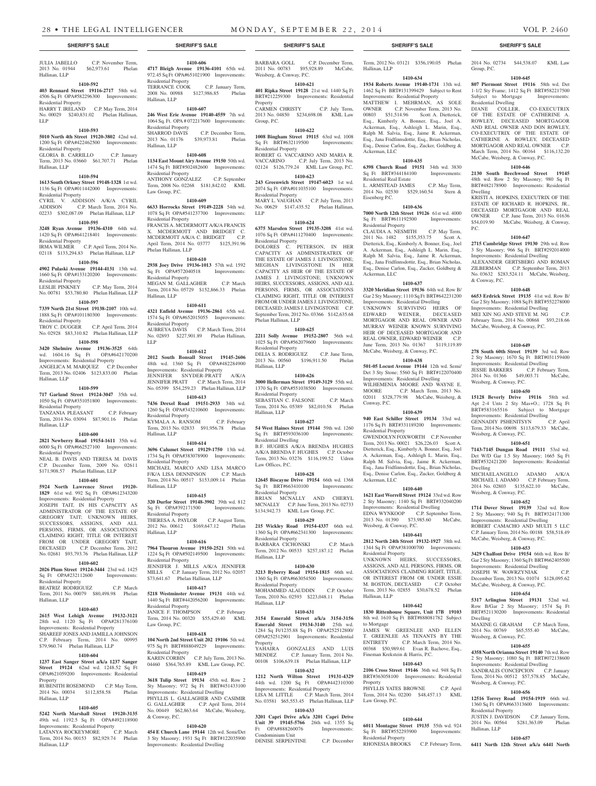#### JULIA JABELLO C.P. November Term, 2013 No. 01944 \$62,973.61 Phelan Hallinan, LLP

# **1410-592**

Residential Property

Residential Property

Residential Property

Residential Property

Residential Property

Hallinan, LLP

Hallinan, LLP

Residential Property

Residential Property

Residential Property

Hallinan, LLP

Property

Hallinan, LLP

Hallinan, LLP

ANGELICA M. MARQUEZ

Hallinan, LLP

# **403 Rennard Street 19116-2717** 58th wd. 4506 Sq Ft OPA#582296300 Improvements:

Residential Property

HARRY T. IRELAND C.P. May Term, 2014 No. 00029 \$240,831.02 Phelan Hallinan, LLP

Term, 2013 No. 03660 \$61,707.71 Phelan

**1410-594 1613 South Orkney Street 19148-1328** 1st wd. 1136 Sq Ft OPA#011442000 Improvements:

CYRIL V. ADDISON A/K/A CYRIL<br>ADDISON C.P. March Term, 2014 No.

02233 \$302,087.09 Phelan Hallinan, LLP **1410-595 3248 Ryan Avenue 19136-4310** 64th wd. 1420 Sq Ft OPA#641218401 Improvements:

IRMA WILMER C.P. April Term, 2014 No. 02118 \$133,294.83 Phelan Hallinan, LLP **1410-596 4902 Pulaski Avenue 19144-4131** 13th wd. 1660 Sq Ft OPA#133120200 Improvements:

LESLIE PINKNEY C.P. May Term, 2014 No. 00781 \$53,780.80 Phelan Hallinan, LLP **1410-597 7339 North 21st Street 19138-2107** 10th wd. 1888 Sq Ft OPA#101180300 Improvements:

TROY C. DUGGER C.P. April Term, 2014 No. 02928 \$83,310.82 Phelan Hallinan, LLP **1410-598 3420 Shelmire Avenue 19136-3525** 64th wd. 1604.16 Sq Ft OPA#642170200 Improvements: Residential Property<br>ANGELICA M. MARQUEZ C.P. December

Term, 2013 No. 02406 \$123,833.00 Phelan

**1410-599 717 Garland Street 19124-3047** 35th wd. 1050 Sq Ft OPA#351051800 Improvements:

TANZANIA PLEASANT C.P. February Term, 2014 No. 03094 \$87,901.16 Phelan

**1410-600 2821 Newberry Road 19154-1611** 35th wd. 6000 Sq Ft OPA#662527100 Improvements:

NEAL B. DAVIS AND TERESA M. DAVIS C.P. December Term, 2009 No. 02611 \$171,908.57 Phelan Hallinan, LLP **1410-601 5924 North Lawrence Street 19120- 1829** 61st wd. 992 Sq Ft OPA#612343200 Improvements: Residential Property JOSEPH TAIT, IN HIS CAPACITY AS ADMINISTRATOR OF THE ESTATE OF GREGORY TAIT; UNKNOWN HEIRS, SUCCESSORS, ASSIGNS, AND ALL PERSONS, FIRMS, OR ASSOCIATIONS CLAIMING RIGHT, TITLE OR INTEREST FROM OR UNDER GREGORY TAIT, DECEASED C.P. December Term, 2012 No. 02681 \$93,793.76 Phelan Hallinan, LLP **1410-602 2026 Plum Street 19124-3444** 23rd wd. 1425 Sq Ft OPA#232112600 Improvements:

BEATRIZ RODRIGUEZ C.P. March Term, 2011 No. 00079 \$80,498.98 Phelan

**1410-603 2615 West Lehigh Avenue 19132-3121**  28th wd. 1120 Sq Ft OPA#281376100 Improvements: Residential Property SHAREEF JONES AND JAMILLA JOHNSON C.P. February Term, 2014 No. 00995 \$79,960.74 Phelan Hallinan, LLP

**1410-604 1237 East Sanger Street a/k/a 1237 Sanger Street 19124** 62nd wd. 1248.52 Sq Ft OPA#621059200 Improvements: Residential

RUBENITH ROSEMOND C.P. May Term, 2014 No. 00034 \$112,858.58 Phelan

**1410-605 5242 North Marshall Street 19120-3135**  49th wd. 1192.5 Sq Ft OPA#492118900 Improvements: Residential Property LATANYA ROCKEYMORE C.P. March Term, 2014 No. 00153 \$82,929.74 Phelan

C.P. March Term, 2014 No.

#### **1410-593 5010 North 4th Street 19120-3802** 42nd wd.

1200 Sq Ft OPA#422462500 Improvements: GLORIA B. CARRILLO C.P. January Residential Property<br>SHARROD DAVIS C.P. December Term, 2013 No. 01176 \$39,973.81 Phelan Hallinan, LLP

Residential Property

Hallinan, LLP

# **1410-608**

**1134 East Mount Airy Avenue 19150** 50th wd. 1474 Sq Ft BRT#502482600 Improvements: Residential Property ANTHONY GONZALEZ C.P. September Term, 2008 No. 02268 \$181,842.02 KML Law Group, P.C.

**1410-606 4717 Bleigh Avenue 19136-4101** 65th wd. 972.45 Sq Ft OPA#651021900 Improvements:

TERRANCE COOK C.P. January Term, 2008 No. 00988 \$127,986.85 Phelan

**1410-607 246 West Erie Avenue 19140-4559** 7th wd. 1064 Sq. Ft. OPA # 072217600 Improvements:

# **1410-609**

**6633 Horrocks Street 19149-2228** 54th wd. 1078 Sq Ft OPA#541237700 Improvements: Residential Property FRANCIS A. MCDERMOTT A/K/A FRANCIS

X. MCDERMOTT AND BRIDGET C. MCDERMOTT A/K/A C. BRIDGET C.P. April Term, 2014 No. 03777 \$125,391.96 Phelan Hallinan, LLP

# **1410-610**

**2938 Joey Drive 19136-1013** 57th wd. 1592 Sq Ft OPA#572040518 Improvements: Residential Property MEGAN M. GALLAGHER C.P. March Term, 2014 No. 05729 \$152,866.33 Phelan Hallinan, LLP

#### **1410-611**

**4321 Enfield Avenue 19136-2861** 65th wd. 1574 Sq Ft OPA#652015055 Improvements: Residential Property AUBREYA DAVIS C.P. March Term, 2014 No. 02893 \$227,901.89 Phelan Hallinan,

**1410-612**

LLP

**2012 South Bonsall Street 19145-2606**  48th wd. 1360 Sq Ft OPA#482284900 Improvements: Residential Property JENNIFER SNYDER-PRATT A/K/A JENNIFER PRATT C.P. March Term, 2014 No. 05399 \$54,259.23 Phelan Hallinan, LLP

**1410-613 7436 Drexel Road 19151-2933** 34th wd. 1260 Sq Ft OPA#343210600 Improvements: Residential Property KYMALA A. RANSOM C.P. February Term, 2013 No. 02833 \$91,956.78 Phelan Hallinan, LLP

# **1410-614**

**3696 Calumet Street 19129-1750** 13th wd. 1734 Sq Ft OPA#383078900 Improvements: Residential Property MICHAEL MARCO AND LISA MARCO F/K/A LISA DENNINSON C.P. March Term, 2014 No. 00517 \$153,009.14 Phelan Hallinan, LLP

# **1410-615**

**320 Durfor Street 19148-3902** 39th wd. 812 Sq Ft OPA#392171500 Residential Property THERESA A. PAYLOR C.P. August Term, 2012 No. 00612 \$169,647.12 Phelan Hallinan, LLP

# **1410-616**

**7964 Thouron Avenue 19150-2521** 50th wd. 1224 Sq Ft OPA#502149500 Improvements: Residential Property JENNIFER J. MILLS A/K/A JENNIFER MILLS C.P. January Term, 2012 No. 02057 \$73,641.67 Phelan Hallinan, LLP

# **1410-617**

**5218 Westminster Avenue 19131** 44th wd. 1440 Sq Ft BRT#442056200 Improvements: Residential Property JANICE F. THOMPSON C.P. February Term, 2014 No. 00320 \$55,429.40 KML

Law Group, P.C. **1410-618**

**104 North 2nd Street Unit 202 19106** 5th wd. 975 Sq Ft BRT#888049229 Improvements: Residential Property KAREN CORBIN C.P. July Term, 2013 No. 04460 \$364,765.89 KML Law Group, P.C.

# **1410-619**

**3618 Tulip Street 19134** 45th wd. Row 2 Sty Masonry; 972 Sq Ft BRT#451433100 Improvements: Residential Dwelling PHYLLIS L. GALLAGHER AND CASIMIR G. GALLAGHER C.P. April Term, 2014 No. 00449 \$62,863.64 McCabe, Weisberg, & Conway, P.C.

# **1410-620**

**454 E Church Lane 19144** 12th wd. Semi/Det 3 Sty Masonry; 1931 Sq Ft BRT#122035900 Improvements: Residential Dwelling

**SHERIFF'S SALE SHERIFF'S SALE SHERIFF'S SALE SHERIFF'S SALE SHERIFF'S SALE**

BARBARA GOLL C.P. December Term, 2011 No. 00783 \$95,928.89 McCabe, Weisberg, & Conway, P.C.

# **1410-621**

**401 Ripka Street 19128** 21st wd. 1440 Sq Ft BRT#212259300 Improvements: Residential Property

CARMEN CHRISTY C.P. July Term, 2013 No. 04850 \$234,698.08 KML Law Group, P.C.

#### **1410-622 1008 Bingham Street 19115** 63rd wd. 1008

Sq Ft BRT#632119500 Improvements: Residential Property ROBERT G. VACCARINO AND MARIA R. VACCARINO C.P. July Term, 2013 No.

02124 \$126,779.24 KML Law Group, P.C. **1410-623**

**243 Greenwich Street 19147-6023** 1st wd. 2074 Sq Ft OPA#011035100 Improvements: Residential Property

MARY L. VAUGHAN C.P. July Term, 2013 No. 00629 \$147,435.52 Phelan Hallinan, LLP

# **1410-624**

**6375 Marsden Street 19135-3208** 41st wd. 1076 Sq Ft OPA#411270400 Improvements: Residential Property

DOLORES C. PETERSON, IN HER CAPACITY AS ADMINISTRATRIX OF THE ESTATE OF JAMES J. LIVINGSTONE: MEGHAN LIVINGSTONE IN HER CAPACITY AS HEIR OF THE ESTATE OF JAMES J. LIVINGSTONE; UNKNOWN HEIRS, SUCCESSORS, ASSIGNS, AND ALL PERSONS, FIRMS, OR ASSOCIATIONS CLAIMING RIGHT, TITLE OR INTEREST FROM OR UNDER JAMES J. LIVINGSTONE, DECEASED; JAMES J. LIVINGSTONE C.P. September Term, 2012 No. 03366 \$142,635.68 Phelan Hallinan, LLP

# **1410-625**

**2211 Solly Avenue 19152-2807** 56th wd. 1025 Sq Ft OPA#562079600 Improvements: Residential Property DELIA S. RODRIGUEZ C.P. June Term, 2013 No. 00560 \$196,911.50 Phelan

# Hallinan, LLP

**1410-626 3000 Hellerman Street 19149-3129** 55th wd. 1370 Sq Ft OPA#551038500 Improvements: Residential Property SEBASTIAN C. FALSONE C.P. March Term, 2014 No. 05389 \$82,010.58 Phelan Hallinan, LLP

# **1410-627**

**54 West Haines Street 19144** 59th wd. 1260 Sq Ft BRT#593036100 Improvements: Residential Dwelling B.F. HUGHES A/K/A BRENDA HUGHES A/K/A BRENDA F. HUGHES C.P. October Term, 2013 No. 03276 \$116,199.52 Udren Law Offices, P.C.

**1410-628 12645 Biscayne Drive 19154** 66th wd. 1368 Sq Ft BRT#663410100 Improvements:

Residential Property BRIAN MCNALLY AND CHERYL MCNALLY C.P. June Term, 2013 No. 02733 \$134,942.73 KML Law Group, P.C.

# **1410-629**

**215 Wickley Road 19154-4337** 66th wd. 1360 Sq Ft OPA#662341300 Improvements: Residential Property BARBARA CICHONSKI C.P. March

Term, 2012 No. 00533 \$257,187.12 Phelan Hallinan, LLP **1410-630**

# **3213 Byberry Road 19154-1815** 66th wd.

1360 Sq Ft OPA#663054500 Improvements: Residential Property MOHAMMED ALAUDDIN C.P. October

Term, 2010 No. 02593 \$223,048.11 Phelan Hallinan, LLP

# **1410-631**

**3154 Emerald Street a/k/a 3154-3156 Emerald Street 19134-3140** 25th wd. 1284 Sq Ft/1235.88 Sq Ft OPA#252512800/ OPA#252512901 Improvements: Residential Property YAHAIRA GONZALES AND LUIS

# C.P. January Term, 2014 00108 \$106,639.18 Phelan Hallinan, LLP

**1410-632 1212 North Wilton Street 19131-4329**  44th wd. 1200 Sq Ft OPA#442310300 Improvements: Residential Property LISA M. LITTLE C.P. March Term, 2014 No. 03581 \$65,553.45 Phelan Hallinan, LLP

**1410-633 3201 Capri Drive a/k/a 3201 Capri Drive Unit 39 19145-5766** 26th wd. 1355 Sq<br>Ft OPA#888260076 Improvements:

Ft OPA#888260076 Condominium Unit DENISE SERPENTINE C.P. December

Term, 2012 No. 03121 \$356,190.05 Phelan Hallinan, LLP

# **1410-634**

**1934 Roberts Avenue 19140-1731** 13th wd. 1462 Sq Ft BRT#131399429 Subject to Rent Improvements: Residential Property MATTHEW I. MEHRMAN, AS SOLE OWNER C.P. November Term, 2013 No. 00803 \$51,514.96 Scott A. Dietterick, Esq., Kimberly A. Bonner, Esq., Joel A. Ackerman, Esq., Ashleigh L. Marin, Esq., Ralph M. Salvia, Esq., Jaime R. Ackerman, Esq., Jana Fridfinnsdottir, Esq., Brian Nicholas, Esq., Denise Carlon, Esq., Zucker, Goldberg & Ackerman, LLC

#### **1410-635**

**6398 Church Road 19151** 34th wd. 3830 Sq Ft BRT#344184100 Improvements: Residential Real Estate L. ARMSTEAD JAMES C.P. May Term,

2014 No. 02530 \$529,160.54 Stern & Eisenberg P.C. **1410-636**

**7000 North 12th Street 19126** 61st wd. 4000 Sq Ft BRT#611192500 Residential Property

CLAUDIA A. NESMITH C.P. May Term, 2011 No. 1482 \$155,353.75 Scott A. Dietterick, Esq., Kimberly A. Bonner, Esq., Joel A. Ackerman, Esq., Ashleigh L. Marin, Esq., Ralph M. Salvia, Esq., Jaime R. Ackerman, Esq., Jana Fridfinnsdottir, Esq., Brian Nicholas, Esq., Denise Carlon, Esq., Zucker, Goldberg & Ackerman, LLC

## **1410-637**

**3320 Meridian Street 19136** 64th wd. Row B/ Gar 2 Sty Masonry: 1110 Sq Ft BRT#642231200 Improvements: Residential Dwelling UNKNOWN SURVIVING HEIRS OF EDWARD WEINER, DECEASED MORTGAGOR AND REAL OWNER AND MURRAY WEINER KNOWN SURVIVING HEIR OF DECEASED MORTGAGOR AND REAL OWNER, EDWARD WEINER C.P. June Term, 2013 No. 01367 \$119,119.89 McCabe, Weisberg, & Conway, P.C.

# **1410-638**

**501-05 Locust Avenue 19144** 12th wd. Semi/ Det 3 Sty Stone; 5560 Sq Ft BRT#122070400 Improvements: Residential Dwelling WILHEMENIA MOORE AND WAYNE E. MOORE C.P. March Term, 2013 No. 02011 \$328,779.98 McCabe, Weisberg, & Conway, P.C.

# **1410-639**

**940 East Schiller Street 19134** 33rd wd. 1176 Sq Ft BRT#331189200 Improvements: Residential Property GWENDOLYN FOXWORTH C.P. November Term, 2013 No. 00021 \$26,226.03 Scott A. Dietterick, Esq., Kimberly A. Bonner, Esq., Joel A. Ackerman, Esq., Ashleigh L. Marin, Esq., Ralph M. Salvia, Esq., Jaime R. Ackerman, Esq., Jana Fridfinnsdottir, Esq., Brian Nicholas, Esq., Denise Carlon, Esq., Zucker, Goldberg & Ackerman, LLC

# **1410-640**

**1621 East Worrell Street 19124** 33rd wd. Row 2 Sty Masonry; 1140 Sq Ft BRT#332040200 Improvements: Residential Dwelling EDNA WYNKOOP C.P. September Term, 2013 No. 01390 \$73,985.60 McCabe, Weisberg, & Conway, P.C.

# **1410-641**

**2812 North 24th Street 19132-1927** 38th wd. 1344 Sq Ft OPA#381000700 Improvements: Residential Property UNKNOWN HEIRS, SUCCESSORS, ASSIGNS, AND ALL PERSONS, FIRMS, OR ASSOCIATIONS CLAIMING RIGHT, TITLE, OR INTEREST FROM OR UNDER ESSIE M. BOSTON, DECEASED C.P. October Term, 2013 No. 02855 \$30,678.52 Phelan Hallinan, LLP

# **1410-642 1830 Rittenhouse Square, Unit 17B 19103**

8th wd. 1610 Sq Ft BRT#888081782 Subject to Mortgage JAMES W. GREENLEE AND ELLEN T. GREENLEE AS TENANTS BY THE<br>ENTIRETY C.P. March Term. 2014 No. C.P. March Term, 2014 No. 00368 \$50,989.61 Evan R. Bachove, Esq., Fineman Krekstein & Harris, P.C.

# **1410-643**

**2106 Cross Street 19146** 36th wd. 948 Sq Ft BRT#363058100 Improvements: Residential **Property** PHYLLIS YATES BROWNE C.P. April Term, 2014 No. 02200 \$48,457.13 KML

# Law Group, P.C.

#### **1410-644 6011 Montague Street 19135** 55th wd. 924

Sq Ft BRT#552293900 Improvements: Residential Property RHONESIA BROOKS C.P. February Term,

2014 No. 02734 \$44,538.07 KML Law Group, P.C.

# **1410-645**

**807 Piermont Street 19116** 58th wd. Det 1-1/2 Sty Frame; 1412 Sq Ft BRT#582217500 Subject to Mortgage Improvements: Residential Dwelling

DIANE COLLER, CO-EXECUTRIX OF THE ESTATE OF CATHERINE A. ROWLEY, DECEASED MORTGAGOR AND REAL OWNER AND DON ROWLEY, CO-EXECUTRIX OF THE ESTATE OF CATHERINE A. ROWLEY, DECEASED MORTGAGOR AND REAL OWNER C.P. March Term, 2014 No. 00164 \$116,132.20 McCabe, Weisberg, & Conway, P.C.

**1410-646 2130 South Beechwood Street 19145**  48th wd. Row 2 Sty Masonry; 980 Sq Ft BRT#482178900 Improvements: Residential

KRISTI A. HOPKINS, EXECUTRIX OF THE ESTATE OF RICHARD R. HOPKINS, JR., DECEASED MORTGAGOR AND REAL OWNER C.P. June Term, 2013 No. 01636 \$54,019.90 McCabe, Weisberg, & Conway,

**1410-647 2715 Cambridge Street 19130** 29th wd. Row 3 Sty Masonry; 966 Sq Ft BRT#292014000 Improvements: Residential Dwelling ALEXANDER GERTSBERG AND ROMAN ZILBERMAN C.P. September Term, 2013 No. 03632 \$283,524.11 McCabe, Weisberg,

**1410-648 6653 Erdrick Street 19135** 41st wd. Row B/ Gar 2 Sty Masonry; 1088 Sq Ft BRT#552278000 Improvements: Residential Dwelling MEI XIN NG AND STEVE M. NG February Term, 2014 No. 00868 \$93,218.66 McCabe, Weisberg, & Conway, P.C.

**1410-649 278 South 60th Street 19139** 3rd wd. Row 2 Sty Masonry; 1670 Sq Ft BRT#031159400 Improvements: Residential Dwelling JESSIE BARKERS C.P. February Term, 2014 No. 01366 \$49,003.71 McCabe,

**1410-650 15128 Beverly Drive 19116** 58th wd. Apt 2-4 Unts 2 Sty Mas+O.; 1728 Sq Ft BRT#583165516 Subject to Mortgage Improvements: Residential Dwelling GENNADIY PSHENITSYN C.P. April Term, 2014 No. 00698 \$113,679.33 McCabe,

**1410-651 7143-7145 Dungan Road 19111** 53rd wd. Det W/D Gar 1.5 Sty Masonry; 1665 Sq Ft BRT#532421200 Improvements: Residential

MICHAELANGELO ADAMO A/K/A MICHAEL I. ADAMO C.P. February Term, 2014 No. 02803 \$135,622.10 McCabe,

**1410-652 1714 Dover Street 19139** 32nd wd. Row 2 Sty Masonry; 940 Sq Ft BRT#324171300 Improvements: Residential Dwelling ROBERT CAMACHO AND MULTI 5 LLC C.P. January Term, 2014 No. 00188 \$58,518.49 McCabe, Weisberg, & Conway, P.C. **1410-653 3429 Chalfont Drive 19154** 66th wd. Row B/ Gar 2 Sty Masonry; 1360 Sq Ft BRT#662405500 Improvements: Residential Dwelling JOSEPH W. WAWRZYNIAK C.P. December Term, 2013 No. 01074 \$128,095.62 McCabe, Weisberg, & Conway, P.C. **1410-654 5317 Arlington Street 19131** 52nd wd. Row B/Gar 2 Sty Masonry; 1574 Sq Ft BRT#521130200 Improvements: Residential

MAXINE G. GRAHAM C.P. March Term, 2014 No. 00769 \$65,555.40 McCabe,

**1410-655 4358 North Orianna Street 19140** 7th wd. Row 2 Sty Masonry; 1080 Sq Ft BRT#072138600 Improvements: Residential Dwelling SANDRALIS CONCEPCION C.P. January Term, 2014 No. 00512 \$57,578.85 McCabe,

**1410-656 12516 Torrey Road 19154-1919** 66th wd. 1360 Sq Ft OPA#663313600 Improvements:

JUSTIN J. DAVIDSON C.P. January Term,<br>2014 No. 00564 \$281,363.09 Phelan 2014 No. 00564 \$281,363.09

**1410-657 6411 North 12th Street a/k/a 6441 North** 

Weisberg, & Conway, P.C.

Weisberg, & Conway, P.C.

Weisberg, & Conway, P.C.

Dwelling

Dwelling

Weisberg, & Conway, P.C.

Weisberg, & Conway, P.C.

Residential Property

Hallinan, LLP

Dwelling

P.C.

& Conway, P.C.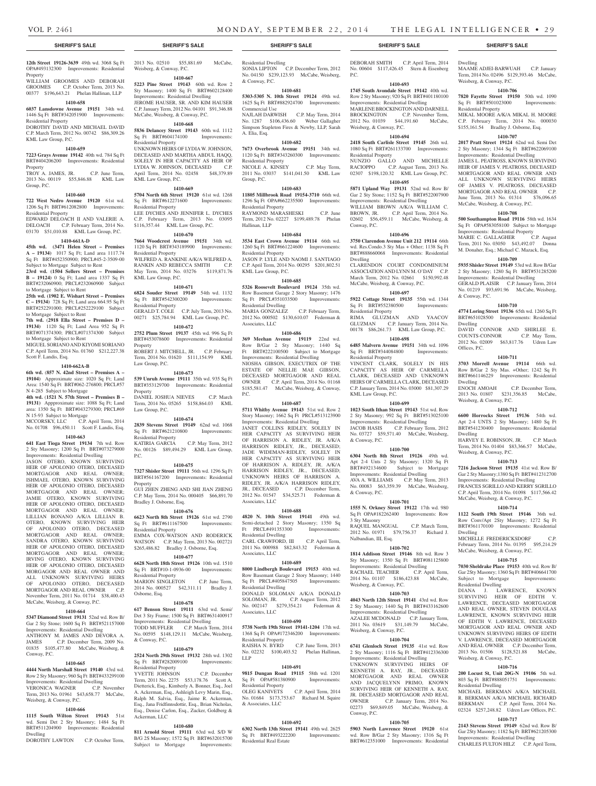Weisberg, & Conway, P.C.

Residential Property

Conway, P.C.

Dwelling

Residential Property

Residential Property

KML Law Group, P.C.

& Conway, P.C.

& Conway, P.C.

3 Sty Masonry

Nalbandian, III, Esq.

Weisberg, & Conway, P.C.

Weisberg, & Conway, P.C.

Conway, P.C.

#### **12th Street 19126-3639** 49th wd. 3068 Sq Ft OPA#493132300 Improvements: Residential Property

WILLIAM GROOMES AND DEBORAH GROOMES C.P. October Term, 2013 No. 00377 \$196,643.21 Phelan Hallinan, LLP

# **1410-658**

**6037 Lansdowne Avenue 19151** 34th wd. 1446 Sq Ft BRT#342051900 Improvements: Residential Property DOROTHY DAVID AND MICHAEL DAVID

C.P. March Term, 2012 No. 00742 \$86,309.26 KML Law Group, P.C.

# **1410-659**

**7223 Grays Avenue 19142** 40th wd. 784 Sq Ft BRT#404206200 Improvements: Residential **Property** 

TROY A. JAMES, JR. C.P. June Term, 2013 No. 00119 \$55,846.88 KML Law Group, P.C.

# **1410-660**

**722 West Nedro Avenue 19120** 61st wd. 1206 Sq Ft BRT#612082800 Improvements:

Residential Property EDWARD DELOACH II AND VALERIE A. DELOACH C.P. February Term, 2014 No. 03170 \$51,010.88 KML Law Group, P.C.

# **1410-661A-D**

**45th wd. (3471 Helen Street – Premises A – 19134)** 1017 Sq Ft; Land area 1117.74 Sq Ft BRT#452350900; PRCL#45-2-3509-00 Subject to Mortgage Subject to Rent

**23rd wd. (1504 Sellers Street – Premises B – 19124)** 0 Sq Ft; Land area 1337 Sq Ft BRT#232060900; PRCL#232060900 Subject to Mortgage Subject to Rent

**25th wd. (1902 E. Wishart Street – Premises C – 19134)** 728 Sq Ft; Land area 664.95 Sq Ft BRT#252291000; PRCL#252229100 Subject to Mortgage Subject to Rent

**7th wd.** (**2918 Ella Street – Premises D – 19134)** 1120 Sq Ft; Land Area 952 Sq Ft BRT#071374300; PRCL#071374300 Subject to Mortgage Subject to Rent

MIGUEL SORIANO AND KIYOMI SORIANO C.P. April Term, 2014 No. 01760 \$212,227.38 Scott F. Landis, Esq.

# **1410-662A-B**

**6th wd.** (**857 N. 42nd Street – Premises A –**  19104) Approximate size: 1020 Sq Ft; Land Area: 1540 Sq Ft BRT#062-276800; PRCL#57 N 4-285 Subject to Mortgage

**4th wd.** (**1521 N. 57th Street – Premises B – 19131)** Appproximate size: 1088 Sq Ft; Land area: 1350 Sq Ft BRT#043279300; PRCL#69 N 15-93 Subject to Mortgage

MCCORSKY, LLC C.P. April Term, 2014 No. 01708 \$96,450.11 Scott F. Landis, Esq.

# **1410-663**

**641 East Tioga Street 19134** 7th wd. Row 2 Sty Masonry; 1200 Sq Ft BRT#073279000 Improvements: Residential Dwelling JASON OTERO, KNOWN SURVIVING HEIR OF APOLONIO OTERO, DECEASED MORTGAGOR AND REAL OWNER; ISHMAEL OTERO, KNOWN SURVIVING HEIR OF APOLONIO OTERO, DECEASED MORTGAGOR AND REAL OWNER; JAMIE OTERO, KNOWN SURVIVING HEIR OF APOLONIO OTERO, DECEASED MORTGAGOR AND REAL OWNER; LILLIAN BONANO A/K/A LILLIAN B. OTERO, KNOWN SURVIVING HEIR OF APOLONIO OTERO, DECEASED MORTGAGOR AND REAL OWNER; SANDRA OTERO, KNOWN SURVIVING HEIR OF APOLONIO OTERO, DECEASED MORTGAGOR AND REAL OWNER; IRVING OTERO, KNOWN SURVIVING HEIR OF APOLONIO OTERO, DECEASED MORGAGOR AND REAL OWNER AND ALL UNKNOWN SURVIVING HEIRS OF APOLONIO OTERO, DECEASED MORTGAGOR AND REAL OWNER C.P. November Term, 2011 No. 01714 \$38,400.43 McCabe, Weisberg, & Conway, P.C.

# **1410-664**

**5347 Diamond Street 19131** 52nd wd. Row B/ Gar 2 Sty Stone; 1600 Sq Ft BRT#521157000 Improvements: Residential Dwelling

ANTHONY M. JAMES AND DEVORA A.<br>JAMES C.P. December Term, 2009 No. C.P. December Term, 2009 No. 01835 \$105,477.80 McCabe, Weisberg, & vay, P.C.

# **1410-665**

**4444 North Marshall Street 19140** 43rd wd. Row 2 Sty Masonry; 960 Sq Ft BRT#433299100 Improvements: Residential Dwelling VERONICA WAGNER C.P. November

# Term, 2013 No. 01961 \$43,658.77 McCabe, Weisberg, & Conway, P.C. **1410-666**

**1115 South Wilton Street 19143** 51st wd. Semi Det 2 Sty Masonry; 1484 Sq Ft BRT#511204900 Improvements: Residential Dwelling

DOROTHY LAWTON C.P. October Term,

2013 No. 02510 \$55,881.69 McCabe,

Weisberg, & Conway, P.C. **1410-667**

**5223 Pine Street 19143** 60th wd. Row 2 Sty Masonry; 1400 Sq Ft BRT#602128400 Improvements: Residential Dwelling JEROME HAUSER, SR. AND KIM HAUSER C.P. January Term, 2012 No. 04101 \$91,346.88 McCabe, Weisberg, & Conway, P.C.

# **1410-668**

**5836 Delancey Street 19143** 60th wd. 1112 Sq Ft BRT#604174100 Improvements: Residential Property UNKNOWN HEIRS OF LYDIA W. JOHNSON, DECEASED AND MARTHA ABDUL HAQQ, SOLELY IN HER CAPACITY AS HEIR OF

LYDIA W. JOHNSON, DECEASED C.P. April Term, 2014 No. 02458 \$48,379.89 KML Law Group, P.C. **1410-669**

**5704 North 6th Street 19120** 61st wd. 1268<br>
Sq Ft BRT#612271600 Improvements: Sq Ft BRT#612271600 Residential Property LEE DYCHES AND JENNIFER L. DYCHES C.P. February Term, 2013 No. 03095 \$116,357.44 KML Law Group, P.C.

# **1410-670**

**7664 Woodcrest Avenue 19151** 34th wd. 1120 Sq Ft BRT#343189900 Improvements: Residential Property WILFRED A. RANKINE A/K/A WILFRED A. RANKIN AND REBECCA SMITH C.P. May Term, 2014 No. 03276 \$119,871.76

# KML Law Group, P.C.

**1410-671 6824 Souder Street 19149** 54th wd. 1132 Sq Ft BRT#542300200 Improvements:

Residential Property GERALD T. COLE C.P. July Term, 2013 No. 00271 \$25,784.94 KML Law Group, P.C.

# **1410-672**

**2752 Plum Street 19137** 45th wd. 996 Sq Ft BRT#453078600 Improvements: Residential Property ROBERT J. MITCHELL, JR. C.P. February Term, 2014 No. 01620 \$111,154.99 KML Law Group, P.C.

# **1410-673**

**539 Unruh Avenue 19111** 35th wd. 935 Sq Ft BRT#353129700 Improvements: Residential Property DANIEL JOSHUA NIEVES C.P. March

Term, 2014 No. 05265 \$158,864.03 KML Law Group, P.C. **1410-674**

**2839 Stevens Street 19149** 62nd wd. 1068 Sq Ft BRT#621210800 Improvements: Residential Property<br>KATIRIA GARCIA C.P. May Term, 2012

No. 00126 \$89,494.29 KML Law Group, P.C.

# **1410-675**

**7327 Shisler Street 19111** 56th wd. 1296 Sq Ft BRT#561167200 Improvements: Residential Property GUI ZHEN ZHENG AND SHI JIAN ZHENG

C.P. May Term, 2014 No. 000405 \$66,891.70 Bradley J. Osborne, Esq.

# **1410-676**

**6623 North 8th Street 19126** 61st wd. 2790 Sq Ft BRT#611167500 Improvements: Residential Property EMMA COX-WATSON AND RODERICK WATSON C.P. May Term, 2013 No. 002721 \$265,486.82 Bradley J. Osborne, Esq.

# **1410-677**

**6628 North 18th Street 19126** 10th wd. 1510 Sq Ft BRT#10-1-0936-00 Improvements: Residential Property MARION SINGLETON C.P. June Term,

2014 No. 000527 \$42,311.11 Bradley J. Osborne, Esq.

# **1410-678**

**617 Benson Street 19111** 63rd wd. Semi/ Det 3 Sty Frame; 1500 Sq Ft BRT#631400917 Improvements: Residential Dwelling TODD MUFFLER C.P. March Term, 2014 No. 00595 \$148,129.11 McCabe, Weisberg, & Conway, P.C.

# **1410-679**

**2524 North 29th Street 19132** 28th wd. 1302 Sq Ft BRT#282009100 Improvements: Residential Property

YVETTE JOHNSON C.P. December Term, 2011 No. 2275 \$53,178.76 Scott A. Dietterick, Esq., Kimberly A. Bonner, Esq., Joel A. Ackerman, Esq., Ashleigh Levy Marin, Esq., Ralph M. Salvia, Esq., Jaime R. Ackerman, Esq., Jana Fridfinnsdottir, Esq., Brian Nicholas, Esq., Denise Carlon, Esq., Zucker, Goldberg & Ackerman, LLC

#### **1410-680**

**811 Arnold Street 19111** 63rd wd. S/D W B/G 2S Masonry; 1572 Sq Ft BRT#632015700 Subject to Mortgage Improvements

Residential Dwelling SONIA LIPTON C.P. December Term, 2012 No. 04150 \$239,123.93 McCabe, Weisberg, & Conway, P.C.

#### **1410-681**

**5303-5305 N. 10th Street 19124** 49th wd. 1625 Sq Ft BRT#882924700 Improvements: Commercial Use NAJLAH DARWISH C.P. May Term, 2014

No. 1287 \$106,436.60 Weber Gallagher Simpson Stapleton Fires & Newby, LLP, Sarah A. Elia, Esq.

#### **1410-682**

**7673 Overbrook Avenue 19151** 34th wd. 1120 Sq Ft BRT#343260300 Improvements: Residential Property NICOLE A. KINSEY C.P. May Term, 2011 No. 03037 \$141,041.50 KML Law Group, P.C.

#### **1410-683**

**11805 Millbrook Road 19154-3710** 66th wd. 1296 Sq Ft OPA#662235500 Improvements: Residential Property RAYMOND MARASHESKI C.P. June Term, 2012 No. 02227 \$199,489.78 Phelan

Hallinan, LLP **1410-684**

# **3534 East Crown Avenue 19114** 66th wd. 1260 Sq Ft BRT#661224600 Improvements: Residential Property JASON P. LYLE AND NAOMI J. SANTIAGO C.P. April Term, 2014 No. 00295 \$201,802.51

KML Law Group, P.C. **1410-685 5326 Roosevelt Boulevard 19124** 35th wd.

Row Basement Garage 2 Story Masonry; 1476<br>Sq Ft PRCL#351033500 Improvements: Sq Ft PRCL#351033500 Residential Dwelling MARIA GONZALEZ C.P. February Term, 2012 No. 000502 \$130,610.07 Federman & Associates, LLC

# **1410-686**

**369 Meehan Avenue 19119** 22nd wd. Row B/Gar 2 Sty Masonry; 1440 Sq Ft BRT#222100500 Subject to Mortgage Improvements: Residential Dwelling NIOSHA GIBSON, EXECUTRIX OF THE ESTATE OF NELLIE MAE GIBSON, DECEASED MORTGAGOR AND REAL OWNER C.P. April Term, 2014 No. 01168 \$185,581.47 McCabe, Weisberg, & Conway, P.C.

# **1410-687**

**5711 Whitby Avenue 19143** 51st wd. Row 2 Story Masonry; 1662 Sq Ft PRCL#513123900 Improvements: Residential Dwelling JANET COLLINS RIDLEY, SOLELY IN HER CAPACITY AS SURVIVING HEIR OF HARRISON A. RIDLEY, JR. A/K/A HARRISON RIDLEY, JR., DECEASED; JADE WIDEMAN-RIDLEY, SOLELY IN HER CAPACITY AS SURVIVING HEIR OF HARRISON A. RIDLEY, JR. A/K/A HARRISON RIDLEY, JR., DECEASED; UNKNOWN HEIRS OF HARRISON A. RIDLEY, JR. A/K/A HARRISON RIDLEY,<br>JR., DECEASED C.P. December Term, C.P. December Term, 2012 No. 01547 \$34,525.71 Federman & Associates, LLC

# **1410-688**

**4820 N. 10th Street 19141** 49th wd. Semi-detached 2 Story Masonry; 1350 Sq Ft PRCL#491353300 Improvements: Residential Dwelling CARL CRAWFORD, III C.P. April Term,

2011 No. 000988 \$82,843.32 Federman & Associates, LLC **1410-689**

**8000 Lindbergh Boulevard 19153** 40th wd. Row Basemant Garage 2 Story Masonry; 1440 Sq Ft PRCL#405847505 Improvements: Residential Dwelling DONALD SOLOMAN A/K/A DONALD SOLOMAN, JR. C.P. August Term, 2012 No. 002147 \$279,354.21 Federman & Associates, LLC

# **1410-690**

**5738 North 19th Street 19141-1204** 17th wd. 1368 Sq Ft OPA#172346200 Improvements: Residential Property RAISHA N. BYRD C.P. June Term, 2013 No. 02232 \$100,403.52 Phelan Hallinan, LLP

# **1410-691**

**9815 Dungan Road 19115** 58th wd. 1201 Sq Ft OPA#581380900 Improvements: Residential Property OLEG KANIVETS C.P. April Term, 2014 No. 01684 \$173,753.67 Richard M. Squire & Associates, LLC

# **1410-692**

**6302 North 13th Street 19141** 49th wd. 2625 Sq Ft BRT#493222200 Improvements: Residential Real Estate

# **SHERIFF'S SALE SHERIFF'S SALE SHERIFF'S SALE SHERIFF'S SALE SHERIFF'S SALE**

**1410-693 1745 South Avondale Street 19142** 40th wd. Row 2 Sty Masonry; 920 Sq Ft BRT#401180100 Improvements: Residential Dwelling MARLENE BROCKINGTON AND DARNELL BROCKINGTON C.P. November Term, 2012 No. 01039 \$44,191.60 McCabe,

**1410-694 2418 South Carlisle Street 19145** 26th wd. 1080 Sq Ft BRT#261133700 Improvements:

NUNZIO GALLO AND MICHELLE RACIOPPO C.P. August Term, 2013 No. 02307 \$198,120.32 KML Law Group, P.C. **1410-695 5871 Upland Way 19131** 52nd wd. Row B/ Gar 2 Sty Stone; 1152 Sq Ft BRT#522007900 Improvements: Residential Dwelling WILLIAM BROWN A/K/A WILLIAM C. BROWN, JR. C.P. April Term, 2014 No. 02602 \$56,459.11 McCabe, Weisberg, &

**1410-696 3750 Clarendon Avenue Unit 212 19114** 66th wd. Res.Condo.3 Sty Mas + Other; 1138 Sq Ft BRT#888660068 Improvements: Residential

CLARENDON COURT CONDOMINIUM ASSOCIATION AND LYNN M. O'DAY C.P. March Term, 2012 No. 02661 \$150,992.48 McCabe, Weisberg, & Conway, P.C. **1410-697 5922 Cottage Street 19135** 55th wd. 1344 Sq Ft BRT#552380500 Improvements:

RIMA GLUZMAN AND YAACOV GLUZMAN C.P. January Term, 2014 No. 00178 \$86,261.73 KML Law Group, P.C. **1410-698 6485 Malvern Avenue 19151** 34th wd. 1096 Sq Ft BRT#344084800 Improvements:

VINCENT CLARK, SOLELY IN HIS CAPACITY AS HEIR OF CARMELLA CLARK, DECEASED AND UNKNOWN HEIRS OF CARMELLA CLARK, DECEASED C.P. January Term, 2014 No. 03000 \$81,307.29

**1410-699 1023 South Ithan Street 19143** 51st wd. Row 2 Sty Masonry; 992 Sq Ft BRT#513025100 Improvements: Residential Dwelling JACOB HASIS C.P. February Term, 2012 No. 03727 \$59,571.40 McCabe, Weisberg,

**1410-700 6304 North 8th Street 19126** 49th wd. Apt 2-4 Unts 2 Sty Masonry; 1320 Sq Ft BRT#492134600 Subject to Mortgage Improvements: Residential Dwelling AVA A. WILLIAMS C.P. May Term, 2013 No. 00083 \$63,359.39 McCabe, Weisberg,

**1410-701 1555 N. Orkney Street 19122** 17th wd. 980 Sq Ft OPA#182262400 Improvements: Row

RAQUEL MANGUAL C.P. March Term, 2012 No. 01971 \$79,756.37 Richard J.

**1410-702 1814 Addison Street 19146** 8th wd. Row 3 Sty Masonry; 1350 Sq Ft BRT#081125800 Improvements: Residential Dwelling RACHAEL TEACHER C.P. April Term, 2014 No. 01107 \$186,423.88 McCabe,

**1410-703 4043 North 12th Street 19141** 43rd wd. Row 2 Sty Masonry; 1440 Sq Ft BRT#433162600 Improvements: Residential Dwelling AZALEE MCDONALD C.P. January Term, 2011 No. 03619 \$31,149.79 McCabe,

**1410-704 6741 Glenloch Street 19135** 41st wd. Row 2 Sty Masonry; 1116 Sq Ft BRT#412336300 Improvements: Residential Dwelling UNKNOWN SURVIVING HEIRS OF KENNETH A. RAY, JR., DECEASED MORTGAGOR AND REAL OWNER AND JACQUELYNN PRIMO, KNOWN SURVIVING HEIR OF KENNETH A. RAY, JR. DECEASED MORTGAGOR AND REAL OWNER C.P. January Term, 2014 No. 02273 \$69,849.05 McCabe, Weisberg, &

**1410-705 5903 North Lawrence Street 19120** 61st wd. Row B/Gar 2 Sty Masonry; 1316 Sq Ft BRT#612351000 Improvements: Residential

DEBORAH SMITH C.P. April Term, 2014 No. 00604 \$117,426.45 Stern & Eisenberg P.C.

Dwelling

Weisberg, & Conway, P.C.

Residential Property

& Conway, P.C.

Dwelling

Offices, P.C.

Dwelling

Dwelling

Dwelling

Residential Dwelling

Weisberg, & Conway, P.C.

Residential Dwelling

Weisberg, & Conway, P.C.

Weisberg, & Conway, P.C.

**1410-710 4774 Loring Street 19136** 65th wd. 1260 Sq Ft BRT#651028500 Improvements: Residential

DAVID CONNOR AND SHIRLEE E.<br>COUNTS-CONNOR C.P. May Term,

2012 No. 02009 \$63,817.76 Udren Law

**1410-711 3703 Morrell Avenue 19114** 66th wd. Row B/Gar 2 Sty Mas. +Other; 1242 Sq Ft BRT#661146229 Improvements: Residential

ENOCH AMOAH C.P. December Term, 2013 No. 01807 \$231,356.85 McCabe,

**1410-712 6600 Horrocks Street 19136** 54th wd. Apt 2-4 UNTS 2 Sty Masonry; 1480 Sq Ft BRT#541230400 Improvements: Residential

HARVEY E. ROBINSON, JR. C.P. March Term, 2014 No. 01404 \$83,366.57 McCabe,

**1410-713 7216 Jackson Street 19135** 41st wd. Row B/ Gar 2 Sty Masonry;1380 Sq Ft BRT#412312700 Improvements: Residential Dwelling FRANCES SGRILLO AND KERRY SGRILLO C.P. April Term, 2014 No. 01098 \$117,566.42 McCabe, Weisberg, & Conway, P.C. **1410-714 1122 South 19th Street 19146** 36th wd. Row Conv/Apt 2Sty Masonry; 1272 Sq Ft BRT#361170100 Improvements: Residential

MICHELLE FREDERICKSDORF C.P. February Term, 2014 No. 01395 \$95,214.29 McCabe, Weisberg, & Conway, P.C. **1410-715 7030 Sheldrake Place 19153** 40th wd. Row B/ Gar 2Sty Masonry; 1360 Sq Ft BRT#406641700 Subject to Mortgage Improvements:

DIANA J. LAWRENCE, KNOWN SURVIVING HEIR OF EDITH V. LAWRENCE, DECEASED MORTGAGOR AND REAL OWNER, STEVEN DOUGLAS LAWRENCE, KNOWN SURVIVING HEIR OF EDITH V. LAWRENCE, DECEASED MORTGAGOR AND REAL OWNER AND UNKNOWN SURVIVING HEIRS OF EDITH V. LAWRENCE, DECEASED MORTGAGOR AND REAL OWNER C.P. December Term, 2013 No. 01506 \$128,521.88 McCabe,

**1410-716 200 Locust St, Unit 20G-N 19106** 5th wd. 803 Sq Ft BRT#888051751 Improvements:

MICHAEL BERKMAN A/K/A MICHAEL R. BERKMAN A/K/A MICHAEL RICHARD BERKMAN C.P. April Term, 2014 No. 02324 \$257,248.82 Udren Law Offices, P.C. **1410-717 2143 Stevens Street 19149** 62nd wd. Row B/ Gar 2Sty Masonry; 1182 Sq Ft BRT#621205300 Improvements: Residential Dwelling CHARLES FULTON HILZ C.P. April Term,

C.P. May Term,

MAAME ADJEI-BARWUAH C.P. January Term, 2014 No. 02496 \$129,393.46 McCabe,

**1410-706 7820 Fayette Street 19150** 50th wd. 1090 Sq Ft BRT#501023000 Improvements:

MIKAL MOORE A/K/A MIKAL H. MOORE C.P. February Term, 2014 No. 000030 \$155,161.54 Bradley J. Osborne, Esq. **1410-707 2017 Pratt Street 19124** 62nd wd. Semi Det 2 Sty Masonry; 1344 Sq Ft BRT#622069100 Improvements: Residential Dwelling JAMES L. PEATROSS, KNOWN SURVIVING HEIR OF JAMES V. PEATROSS, DECEASED MORTGAGOR AND REAL OWNER AND ALL UNKNOWN SURVIVING HEIRS OF JAMES V. PEATROSS, DECEASED MORTGAGOR AND REAL OWNER C.P. June Term, 2013 No. 01314 \$76,096.65 McCabe, Weisberg, & Conway, P.C. **1410-708 500 Southampton Road 19116** 58th wd. 1634 Sq Ft OPA#583058100 Subject to Mortgage Improvements: Residential Property MARIE C. GALLAGHER C.P. August Term, 2011 No. 03050 \$43,492.07 Donna M. Donaher, Esq.; Michael C. Mazack, Esq. **1410-709 5935 Shisler Street 19149** 53rd wd. Row B/Gar 2 Sty Masonry; 1280 Sq Ft BRT#531285200 Improvements: Residential Dwelling GERALD PLAISIR C.P. January Term, 2014 No. 01219 \$93,691.96 McCabe, Weisberg,